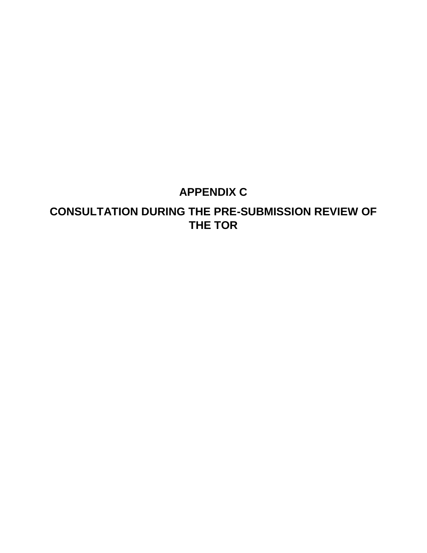# **APPENDIX C**

# **CONSULTATION DURING THE PRE-SUBMISSION REVIEW OF THE TOR**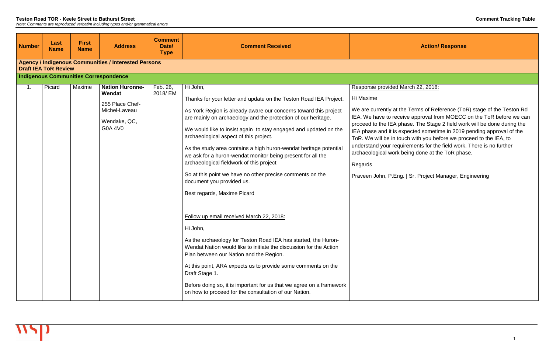| <b>Number</b> | Last<br><b>Name</b>                                                                        | <b>First</b><br><b>Name</b> | <b>Address</b>                                                                                  | <b>Comment</b><br>Date/<br><b>Type</b> | <b>Comment Received</b>                                                                                                                                                                                                                                                                                                                                                                                                                                                                                                                                                                                                                                                                                                                                                                                                                                                                                                                                                                                                                                                                                  |                                                                                                                                                                                                                                                                      |  |  |  |  |
|---------------|--------------------------------------------------------------------------------------------|-----------------------------|-------------------------------------------------------------------------------------------------|----------------------------------------|----------------------------------------------------------------------------------------------------------------------------------------------------------------------------------------------------------------------------------------------------------------------------------------------------------------------------------------------------------------------------------------------------------------------------------------------------------------------------------------------------------------------------------------------------------------------------------------------------------------------------------------------------------------------------------------------------------------------------------------------------------------------------------------------------------------------------------------------------------------------------------------------------------------------------------------------------------------------------------------------------------------------------------------------------------------------------------------------------------|----------------------------------------------------------------------------------------------------------------------------------------------------------------------------------------------------------------------------------------------------------------------|--|--|--|--|
|               | <b>Agency / Indigenous Communities / Interested Persons</b><br><b>Draft IEA ToR Review</b> |                             |                                                                                                 |                                        |                                                                                                                                                                                                                                                                                                                                                                                                                                                                                                                                                                                                                                                                                                                                                                                                                                                                                                                                                                                                                                                                                                          |                                                                                                                                                                                                                                                                      |  |  |  |  |
|               |                                                                                            |                             | <b>Indigenous Communities Correspondence</b>                                                    |                                        |                                                                                                                                                                                                                                                                                                                                                                                                                                                                                                                                                                                                                                                                                                                                                                                                                                                                                                                                                                                                                                                                                                          |                                                                                                                                                                                                                                                                      |  |  |  |  |
| 1.            | Picard                                                                                     | Maxime                      | <b>Nation Huronne-</b><br>Wendat<br>255 Place Chef-<br>Michel-Laveau<br>Wendake, QC,<br>G0A 4V0 | Feb. 26,<br>2018/EM                    | Hi John,<br>Thanks for your letter and update on the Teston Road IEA Project.<br>As York Region is already aware our concerns toward this project<br>are mainly on archaeology and the protection of our heritage.<br>We would like to insist again to stay engaged and updated on the<br>archaeological aspect of this project.<br>As the study area contains a high huron-wendat heritage potential<br>we ask for a huron-wendat monitor being present for all the<br>archaeological fieldwork of this project<br>So at this point we have no other precise comments on the<br>document you provided us.<br>Best regards, Maxime Picard<br>Follow up email received March 22, 2018:<br>Hi John,<br>As the archaeology for Teston Road IEA has started, the Huron-<br>Wendat Nation would like to initiate the discussion for the Action<br>Plan between our Nation and the Region.<br>At this point, ARA expects us to provide some comments on the<br>Draft Stage 1.<br>Before doing so, it is important for us that we agree on a framework<br>on how to proceed for the consultation of our Nation. | Response provided Mar<br>Hi Maxime<br>We are currently at the<br>IEA. We have to receive<br>proceed to the IEA phas<br>IEA phase and it is expe<br>ToR. We will be in touch<br>understand your require<br>archaeological work bei<br>Regards<br>Praveen John, P.Eng. |  |  |  |  |

 $\arch$  22, 2018:

Terms of Reference (ToR) stage of the Teston Rd e approval from MOECC on the ToR before we can ase. The Stage 2 field work will be done during the lected sometime in 2019 pending approval of the th with you before we proceed to the IEA, to ements for the field work. There is no further eing done at the ToR phase.

**Sr. Project Manager, Engineering**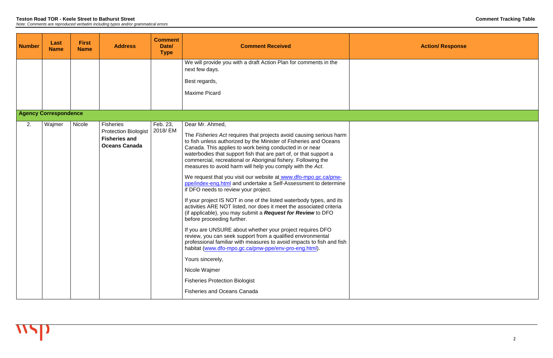| <b>Number</b> | Last<br><b>Name</b>          | <b>First</b><br><b>Name</b> | <b>Address</b>                                                                                  | <b>Comment</b><br>Date/<br><b>Type</b> | <b>Comment Received</b>                                                                                                                                                                                                                                                                                                                                                                                                                                                                                                                                                                                                                                                                                                                                                                                                                                                                                                                                                                                                                                                                                                                                                                                                                      |  |
|---------------|------------------------------|-----------------------------|-------------------------------------------------------------------------------------------------|----------------------------------------|----------------------------------------------------------------------------------------------------------------------------------------------------------------------------------------------------------------------------------------------------------------------------------------------------------------------------------------------------------------------------------------------------------------------------------------------------------------------------------------------------------------------------------------------------------------------------------------------------------------------------------------------------------------------------------------------------------------------------------------------------------------------------------------------------------------------------------------------------------------------------------------------------------------------------------------------------------------------------------------------------------------------------------------------------------------------------------------------------------------------------------------------------------------------------------------------------------------------------------------------|--|
|               |                              |                             |                                                                                                 |                                        | We will provide you with a draft Action Plan for comments in the<br>next few days.<br>Best regards,                                                                                                                                                                                                                                                                                                                                                                                                                                                                                                                                                                                                                                                                                                                                                                                                                                                                                                                                                                                                                                                                                                                                          |  |
|               |                              |                             |                                                                                                 |                                        | <b>Maxime Picard</b>                                                                                                                                                                                                                                                                                                                                                                                                                                                                                                                                                                                                                                                                                                                                                                                                                                                                                                                                                                                                                                                                                                                                                                                                                         |  |
|               | <b>Agency Correspondence</b> |                             |                                                                                                 |                                        |                                                                                                                                                                                                                                                                                                                                                                                                                                                                                                                                                                                                                                                                                                                                                                                                                                                                                                                                                                                                                                                                                                                                                                                                                                              |  |
| 2.            | Wajmer                       | Nicole                      | <b>Fisheries</b><br><b>Protection Biologist</b><br><b>Fisheries and</b><br><b>Oceans Canada</b> | Feb. 23,<br>2018/EM                    | Dear Mr. Ahmed,<br>The Fisheries Act requires that projects avoid causing serious harm<br>to fish unless authorized by the Minister of Fisheries and Oceans<br>Canada. This applies to work being conducted in or near<br>waterbodies that support fish that are part of, or that support a<br>commercial, recreational or Aboriginal fishery. Following the<br>measures to avoid harm will help you comply with the Act.<br>We request that you visit our website at www.dfo-mpo.gc.ca/pnw-<br>ppe/index-eng.html and undertake a Self-Assessment to determine<br>if DFO needs to review your project.<br>If your project IS NOT in one of the listed waterbody types, and its<br>activities ARE NOT listed, nor does it meet the associated criteria<br>(if applicable), you may submit a <b>Request for Review</b> to DFO<br>before proceeding further.<br>If you are UNSURE about whether your project requires DFO<br>review, you can seek support from a qualified environmental<br>professional familiar with measures to avoid impacts to fish and fish<br>habitat (www.dfo-mpo.gc.ca/pnw-ppe/env-pro-eng.html).<br>Yours sincerely,<br>Nicole Wajmer<br><b>Fisheries Protection Biologist</b><br><b>Fisheries and Oceans Canada</b> |  |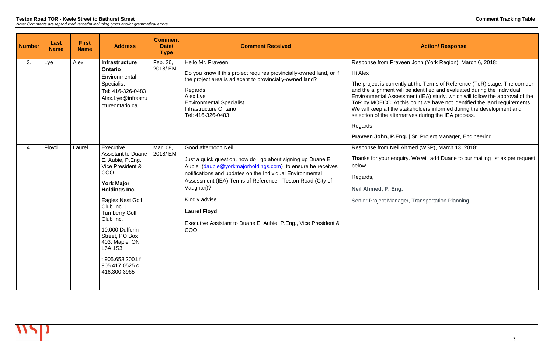#### **Teston Road TOR - Keele Street to Bathurst Street Comment Tracking Table** *Note: Comments are reproduced verbatim including typos and/or grammatical errors*

The project is currently at the Terms of Reference (ToR) stage. The corridor and the alignment will be identified and evaluated during the Individual Environmental Assessment (IEA) study, which will follow the approval of the is point we have not identified the land requirements. akeholders informed during the development and atives during the IEA process.

## **Pranding** Project Manager, Engineering

## hmed (WSP), March 13, 2018:

ry. We will add Duane to our mailing list as per request

er, Transportation Planning

| <b>Number</b> | Last<br><b>Name</b> | <b>First</b><br><b>Name</b> | <b>Address</b>                                                                                                                                                                                                                                                                                                                              | <b>Comment</b><br>Date/<br><b>Type</b> | <b>Comment Received</b>                                                                                                                                                                                                                                                                                                                                                                                       |                                                                                                                                                                                                                                                   |
|---------------|---------------------|-----------------------------|---------------------------------------------------------------------------------------------------------------------------------------------------------------------------------------------------------------------------------------------------------------------------------------------------------------------------------------------|----------------------------------------|---------------------------------------------------------------------------------------------------------------------------------------------------------------------------------------------------------------------------------------------------------------------------------------------------------------------------------------------------------------------------------------------------------------|---------------------------------------------------------------------------------------------------------------------------------------------------------------------------------------------------------------------------------------------------|
| 3.            | Lye                 | Alex                        | <b>Infrastructure</b><br><b>Ontario</b><br>Environmental<br>Specialist<br>Tel: 416-326-0483<br>Alex.Lye@infrastru<br>ctureontario.ca                                                                                                                                                                                                        | Feb. 26,<br>2018/EM                    | Hello Mr. Praveen:<br>Do you know if this project requires provincially-owned land, or if<br>the project area is adjacent to provincially-owned land?<br>Regards<br>Alex Lye<br><b>Environmental Specialist</b><br>Infrastructure Ontario<br>Tel: 416-326-0483                                                                                                                                                | <b>Response from Pravee</b><br>Hi Alex<br>The project is currently<br>and the alignment will I<br><b>Environmental Assessr</b><br>ToR by MOECC. At thi<br>We will keep all the sta<br>selection of the alterna<br>Regards<br>Praveen John, P.Eng. |
| 4.            | Floyd               | Laurel                      | Executive<br><b>Assistant to Duane</b><br>E. Aubie, P.Eng.,<br>Vice President &<br>COO<br><b>York Major</b><br><b>Holdings Inc.</b><br>Eagles Nest Golf<br>Club Inc.  <br><b>Turnberry Golf</b><br>Club Inc.<br>10,000 Dufferin<br>Street, PO Box<br>403, Maple, ON<br><b>L6A 1S3</b><br>t 905.653.2001 f<br>905.417.0525 c<br>416.300.3965 | Mar. 08,<br>2018/EM                    | Good afternoon Neil,<br>Just a quick question, how do I go about signing up Duane E.<br>Aubie (daubie@yorkmajorholdings.com) to ensure he receives<br>notifications and updates on the Individual Environmental<br>Assessment (IEA) Terms of Reference - Teston Road (City of<br>Vaughan)?<br>Kindly advise.<br><b>Laurel Floyd</b><br>Executive Assistant to Duane E. Aubie, P.Eng., Vice President &<br>COO | Response from Neil Ah<br>Thanks for your enquir<br>below.<br>Regards,<br>Neil Ahmed, P. Eng.<br>Senior Project Manage                                                                                                                             |

## **Action/ Response**

#### en John (York Region), March 6, 2018: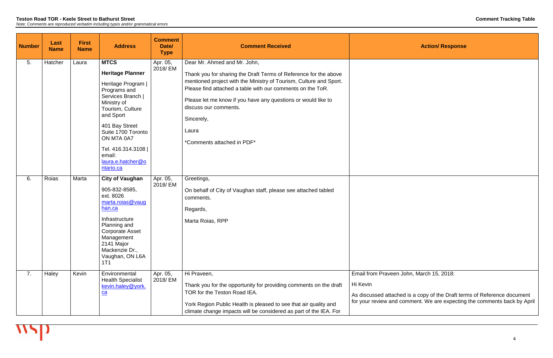| <b>Number</b> | Last<br><b>Name</b> | <b>First</b><br><b>Name</b> | <b>Address</b>                                                                                                                                                                                                                                                             | <b>Comment</b><br>Date/<br><b>Type</b> | <b>Comment Received</b>                                                                                                                                                                                                                                                                                                                                                             |                                                                                  |
|---------------|---------------------|-----------------------------|----------------------------------------------------------------------------------------------------------------------------------------------------------------------------------------------------------------------------------------------------------------------------|----------------------------------------|-------------------------------------------------------------------------------------------------------------------------------------------------------------------------------------------------------------------------------------------------------------------------------------------------------------------------------------------------------------------------------------|----------------------------------------------------------------------------------|
| 5.            | Hatcher             | Laura                       | <b>MTCS</b><br><b>Heritage Planner</b><br>Heritage Program  <br>Programs and<br>Services Branch  <br>Ministry of<br>Tourism, Culture<br>and Sport<br>401 Bay Street<br>Suite 1700 Toronto<br>ON M7A 0A7<br>Tel. 416.314.3108  <br>email:<br>laura.e.hatcher@o<br>ntario.ca | Apr. 05,<br>2018/EM                    | Dear Mr. Ahmed and Mr. John,<br>Thank you for sharing the Draft Terms of Reference for the above<br>mentioned project with the Ministry of Tourism, Culture and Sport.<br>Please find attached a table with our comments on the ToR.<br>Please let me know if you have any questions or would like to<br>discuss our comments.<br>Sincerely,<br>Laura<br>*Comments attached in PDF* |                                                                                  |
| 6.            | Roias               | Marta                       | <b>City of Vaughan</b><br>905-832-8585,<br>ext. 8026<br>marta.roias@vaug<br>han.ca<br>Infrastructure<br>Planning and<br><b>Corporate Asset</b><br>Management<br>2141 Major<br>Mackenzie Dr.,<br>Vaughan, ON L6A<br>1T1                                                     | Apr. 05,<br>2018/EM                    | Greetings,<br>On behalf of City of Vaughan staff, please see attached tabled<br>comments.<br>Regards,<br>Marta Roias, RPP                                                                                                                                                                                                                                                           |                                                                                  |
| 7.            | Haley               | Kevin                       | Environmental<br><b>Health Specialist</b><br>kevin.haley@york.<br>ca                                                                                                                                                                                                       | Apr. 05,<br>2018/ EM                   | Hi Praveen,<br>Thank you for the opportunity for providing comments on the draft<br>TOR for the Teston Road IEA.<br>York Region Public Health is pleased to see that air quality and<br>climate change impacts will be considered as part of the IEA. For                                                                                                                           | Email from Praveen,<br>Hi Kevin<br>As discussed attache<br>for your review and c |

John, March 15, 2018:

As discussed attached is a copy of the Draft terms of Reference document for your review and comment. We are expecting the comments back by April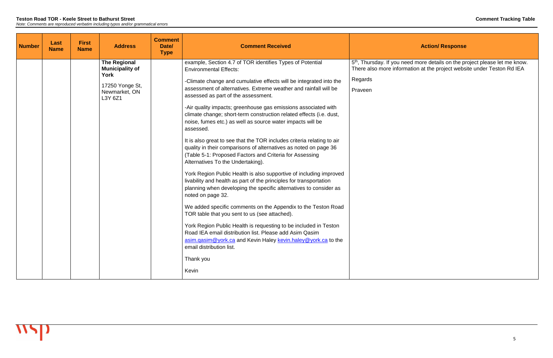<sup>th</sup>, Thursday. If you need more details on the project please let me know. There also more information at the project website under Teston Rd IEA

| <b>Number</b> | Last<br><b>Name</b> | <b>First</b><br><b>Name</b> | <b>Address</b>                                                                                       | <b>Comment</b><br>Date/<br><b>Type</b> | <b>Comment Received</b>                                                                                                                                                                                                                                                                                                                                                                                                                                                                                                                                                                                                                                                                                                                                                                                                                                                                                                                                                                                                                                                                                                                                                                                                                                                                                                                                 |                                                                                       |
|---------------|---------------------|-----------------------------|------------------------------------------------------------------------------------------------------|----------------------------------------|---------------------------------------------------------------------------------------------------------------------------------------------------------------------------------------------------------------------------------------------------------------------------------------------------------------------------------------------------------------------------------------------------------------------------------------------------------------------------------------------------------------------------------------------------------------------------------------------------------------------------------------------------------------------------------------------------------------------------------------------------------------------------------------------------------------------------------------------------------------------------------------------------------------------------------------------------------------------------------------------------------------------------------------------------------------------------------------------------------------------------------------------------------------------------------------------------------------------------------------------------------------------------------------------------------------------------------------------------------|---------------------------------------------------------------------------------------|
|               |                     |                             | <b>The Regional</b><br><b>Municipality of</b><br>York<br>17250 Yonge St,<br>Newmarket, ON<br>L3Y 6Z1 |                                        | example, Section 4.7 of TOR identifies Types of Potential<br><b>Environmental Effects:</b><br>-Climate change and cumulative effects will be integrated into the<br>assessment of alternatives. Extreme weather and rainfall will be<br>assessed as part of the assessment.<br>-Air quality impacts; greenhouse gas emissions associated with<br>climate change; short-term construction related effects (i.e. dust,<br>noise, fumes etc.) as well as source water impacts will be<br>assessed.<br>It is also great to see that the TOR includes criteria relating to air<br>quality in their comparisons of alternatives as noted on page 36<br>(Table 5-1: Proposed Factors and Criteria for Assessing<br>Alternatives To the Undertaking).<br>York Region Public Health is also supportive of including improved<br>livability and health as part of the principles for transportation<br>planning when developing the specific alternatives to consider as<br>noted on page 32.<br>We added specific comments on the Appendix to the Teston Road<br>TOR table that you sent to us (see attached).<br>York Region Public Health is requesting to be included in Teston<br>Road IEA email distribution list. Please add Asim Qasim<br>asim.gasim@york.ca and Kevin Haley kevin.haley@york.ca to the<br>email distribution list.<br>Thank you<br>Kevin | 5 <sup>th</sup> , Thursday. If you ne<br>There also more inform<br>Regards<br>Praveen |

# **Action/ Response**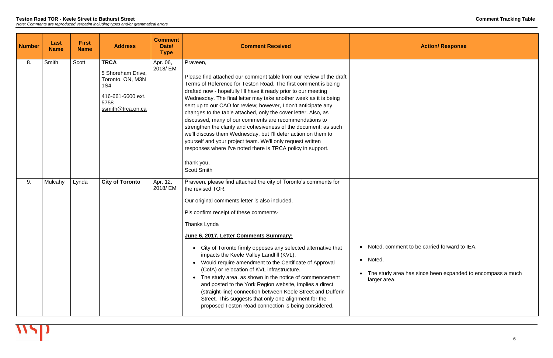| <b>Number</b> | Last<br><b>Name</b> | <b>First</b><br><b>Name</b> | <b>Address</b>                                                                                                       | <b>Comment</b><br>Date/<br><b>Type</b> | <b>Comment Received</b>                                                                                                                                                                                                                                                                                                                                                                                                                                                                                                                                                                                                                                                                                                                                                                         |                                                            |
|---------------|---------------------|-----------------------------|----------------------------------------------------------------------------------------------------------------------|----------------------------------------|-------------------------------------------------------------------------------------------------------------------------------------------------------------------------------------------------------------------------------------------------------------------------------------------------------------------------------------------------------------------------------------------------------------------------------------------------------------------------------------------------------------------------------------------------------------------------------------------------------------------------------------------------------------------------------------------------------------------------------------------------------------------------------------------------|------------------------------------------------------------|
| 8.            | Smith               | <b>Scott</b>                | <b>TRCA</b><br>5 Shoreham Drive,<br>Toronto, ON, M3N<br><b>1S4</b><br>416-661-6600 ext.<br>5758<br>ssmith@trca.on.ca | Apr. 06,<br>2018/EM                    | Praveen,<br>Please find attached our comment table from our review of the draft<br>Terms of Reference for Teston Road. The first comment is being<br>drafted now - hopefully I'll have it ready prior to our meeting<br>Wednesday. The final letter may take another week as it is being<br>sent up to our CAO for review; however, I don't anticipate any<br>changes to the table attached, only the cover letter. Also, as<br>discussed, many of our comments are recommendations to<br>strengthen the clarity and cohesiveness of the document; as such<br>we'll discuss them Wednesday, but I'll defer action on them to<br>yourself and your project team. We'll only request written<br>responses where I've noted there is TRCA policy in support.<br>thank you,<br><b>Scott Smith</b>   |                                                            |
| 9.            | Mulcahy             | Lynda                       | <b>City of Toronto</b>                                                                                               | Apr. 12,<br>2018/EM                    | Praveen, please find attached the city of Toronto's comments for<br>the revised TOR.<br>Our original comments letter is also included.<br>Pls confirm receipt of these comments-<br>Thanks Lynda<br>June 6, 2017, Letter Comments Summary:<br>City of Toronto firmly opposes any selected alternative that<br>$\bullet$<br>impacts the Keele Valley Landfill (KVL).<br>Would require amendment to the Certificate of Approval<br>(CofA) or relocation of KVL infrastructure.<br>The study area, as shown in the notice of commencement<br>$\bullet$<br>and posted to the York Region website, implies a direct<br>(straight-line) connection between Keele Street and Dufferin<br>Street. This suggests that only one alignment for the<br>proposed Teston Road connection is being considered. | Noted, comme<br>• Noted.<br>The study area<br>larger area. |

ent to be carried forward to IEA.

a has since been expanded to encompass a much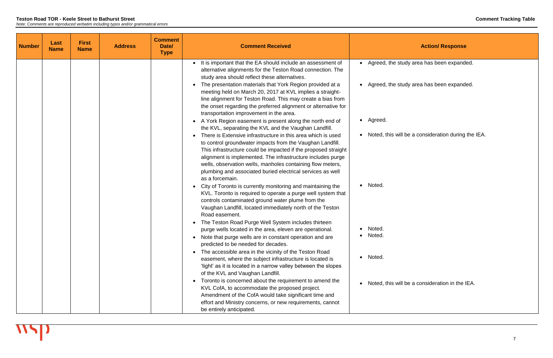| <b>Number</b> | Last<br><b>Name</b> | <b>First</b><br><b>Name</b> | <b>Address</b> | <b>Comment</b><br>Date/<br><b>Type</b> | <b>Comment Received</b>                                                                                                                                                                                                                                                                                                                                                                                   |                    |
|---------------|---------------------|-----------------------------|----------------|----------------------------------------|-----------------------------------------------------------------------------------------------------------------------------------------------------------------------------------------------------------------------------------------------------------------------------------------------------------------------------------------------------------------------------------------------------------|--------------------|
|               |                     |                             |                |                                        | • It is important that the EA should include an assessment of<br>alternative alignments for the Teston Road connection. The<br>study area should reflect these alternatives.                                                                                                                                                                                                                              | • Agreed, the stud |
|               |                     |                             |                |                                        | The presentation materials that York Region provided at a<br>meeting held on March 20, 2017 at KVL implies a straight-<br>line alignment for Teston Road. This may create a bias from<br>the onset regarding the preferred alignment or alternative for<br>transportation improvement in the area.                                                                                                        | Agreed, the stud   |
|               |                     |                             |                |                                        | A York Region easement is present along the north end of<br>the KVL, separating the KVL and the Vaughan Landfill.                                                                                                                                                                                                                                                                                         | Agreed.            |
|               |                     |                             |                |                                        | There is Extensive infrastructure in this area which is used<br>to control groundwater impacts from the Vaughan Landfill.<br>This infrastructure could be impacted if the proposed straight<br>alignment is implemented. The infrastructure includes purge<br>wells, observation wells, manholes containing flow meters,<br>plumbing and associated buried electrical services as well<br>as a forcemain. | Noted, this will I |
|               |                     |                             |                |                                        | City of Toronto is currently monitoring and maintaining the<br>KVL. Toronto is required to operate a purge well system that<br>controls contaminated ground water plume from the<br>Vaughan Landfill, located immediately north of the Teston<br>Road easement.                                                                                                                                           | Noted.             |
|               |                     |                             |                |                                        | The Teston Road Purge Well System includes thirteen<br>purge wells located in the area, eleven are operational.                                                                                                                                                                                                                                                                                           | Noted.             |
|               |                     |                             |                |                                        | Note that purge wells are in constant operation and are<br>predicted to be needed for decades.                                                                                                                                                                                                                                                                                                            | Noted.             |
|               |                     |                             |                |                                        | The accessible area in the vicinity of the Teston Road<br>easement, where the subject infrastructure is located is<br>'tight' as it is located in a narrow valley between the slopes<br>of the KVL and Vaughan Landfill.                                                                                                                                                                                  | Noted.             |
|               |                     |                             |                |                                        | Toronto is concerned about the requirement to amend the<br>KVL CofA, to accommodate the proposed project.<br>Amendment of the CofA would take significant time and<br>effort and Ministry concerns, or new requirements, cannot<br>be entirely anticipated.                                                                                                                                               | Noted, this will I |

dy area has been expanded.

dy area has been expanded.

be a consideration during the IEA.

be a consideration in the IEA.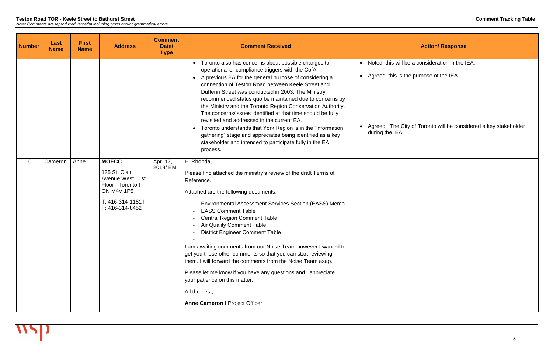| <b>Number</b> | Last<br><b>Name</b> | <b>First</b><br><b>Name</b> | <b>Address</b>                                                                                                                       | <b>Comment</b><br>Date/<br><b>Type</b> | <b>Comment Received</b>                                                                                                                                                                                                                                                                                                                                                                                                                                                                                                                                                                                                                                                                                                     |                                                                              |
|---------------|---------------------|-----------------------------|--------------------------------------------------------------------------------------------------------------------------------------|----------------------------------------|-----------------------------------------------------------------------------------------------------------------------------------------------------------------------------------------------------------------------------------------------------------------------------------------------------------------------------------------------------------------------------------------------------------------------------------------------------------------------------------------------------------------------------------------------------------------------------------------------------------------------------------------------------------------------------------------------------------------------------|------------------------------------------------------------------------------|
|               |                     |                             |                                                                                                                                      |                                        | Toronto also has concerns about possible changes to<br>operational or compliance triggers with the CofA.<br>A previous EA for the general purpose of considering a<br>connection of Teston Road between Keele Street and<br>Dufferin Street was conducted in 2003. The Ministry<br>recommended status quo be maintained due to concerns by<br>the Ministry and the Toronto Region Conservation Authority.<br>The concerns/issues identified at that time should be fully<br>revisited and addressed in the current EA.<br>Toronto understands that York Region is in the "information"<br>gathering" stage and appreciates being identified as a key<br>stakeholder and intended to participate fully in the EA<br>process. | Noted, this will I<br>Agreed, this is t<br>Agreed. The Ci<br>during the IEA. |
| 10.           | Cameron             | Anne                        | <b>MOECC</b><br>135 St. Clair<br>Avenue West I 1st<br>Floor I Toronto I<br><b>ON M4V 1P5</b><br>T: 416-314-1181 I<br>F: 416-314-8452 | Apr. 17,<br>2018/ EM                   | Hi Rhonda,<br>Please find attached the ministry's review of the draft Terms of<br>Reference.<br>Attached are the following documents:<br>Environmental Assessment Services Section (EASS) Memo<br><b>EASS Comment Table</b><br><b>Central Region Comment Table</b><br><b>Air Quality Comment Table</b><br><b>District Engineer Comment Table</b><br>I am awaiting comments from our Noise Team however I wanted to<br>get you these other comments so that you can start reviewing<br>them. I will forward the comments from the Noise Team asap.<br>Please let me know if you have any questions and I appreciate<br>your patience on this matter.<br>All the best,<br><b>Anne Cameron   Project Officer</b>               |                                                                              |

be a consideration in the IEA.

the purpose of the IEA.

lity of Toronto will be considered a key stakeholder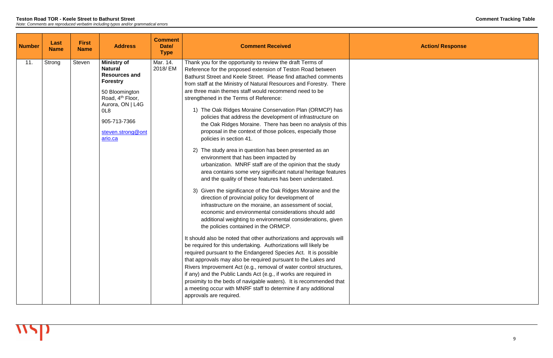| <b>Number</b> | Last<br><b>Name</b> | <b>First</b><br><b>Name</b> | <b>Address</b>                                                                                                                                                                                                           | <b>Comment</b><br>Date/<br><b>Type</b> | <b>Comment Received</b>                                                                                                                                                                                                                                                                                                                                                                                                                                                                                                                                                                                                                                                                                                                                                                                                                                                                                                                                                                                                                                                                                                                                                                                                                                                                                                                                                                                                                                                                                                                                                                                                                                                                                                                                                                                                                                                                         |  |
|---------------|---------------------|-----------------------------|--------------------------------------------------------------------------------------------------------------------------------------------------------------------------------------------------------------------------|----------------------------------------|-------------------------------------------------------------------------------------------------------------------------------------------------------------------------------------------------------------------------------------------------------------------------------------------------------------------------------------------------------------------------------------------------------------------------------------------------------------------------------------------------------------------------------------------------------------------------------------------------------------------------------------------------------------------------------------------------------------------------------------------------------------------------------------------------------------------------------------------------------------------------------------------------------------------------------------------------------------------------------------------------------------------------------------------------------------------------------------------------------------------------------------------------------------------------------------------------------------------------------------------------------------------------------------------------------------------------------------------------------------------------------------------------------------------------------------------------------------------------------------------------------------------------------------------------------------------------------------------------------------------------------------------------------------------------------------------------------------------------------------------------------------------------------------------------------------------------------------------------------------------------------------------------|--|
| 11.           | Strong              | <b>Steven</b>               | <b>Ministry of</b><br><b>Natural</b><br><b>Resources and</b><br><b>Forestry</b><br>50 Bloomington<br>Road, 4 <sup>th</sup> Floor,<br>Aurora, ON   L4G<br>OL <sub>8</sub><br>905-713-7366<br>steven.strong@ont<br>ario.ca | Mar. 14.<br>2018/ EM                   | Thank you for the opportunity to review the draft Terms of<br>Reference for the proposed extension of Teston Road between<br>Bathurst Street and Keele Street. Please find attached comments<br>from staff at the Ministry of Natural Resources and Forestry. There<br>are three main themes staff would recommend need to be<br>strengthened in the Terms of Reference:<br>1) The Oak Ridges Moraine Conservation Plan (ORMCP) has<br>policies that address the development of infrastructure on<br>the Oak Ridges Moraine. There has been no analysis of this<br>proposal in the context of those polices, especially those<br>policies in section 41.<br>2) The study area in question has been presented as an<br>environment that has been impacted by<br>urbanization. MNRF staff are of the opinion that the study<br>area contains some very significant natural heritage features<br>and the quality of these features has been understated.<br>3) Given the significance of the Oak Ridges Moraine and the<br>direction of provincial policy for development of<br>infrastructure on the moraine, an assessment of social,<br>economic and environmental considerations should add<br>additional weighting to environmental considerations, given<br>the policies contained in the ORMCP.<br>It should also be noted that other authorizations and approvals will<br>be required for this undertaking. Authorizations will likely be<br>required pursuant to the Endangered Species Act. It is possible<br>that approvals may also be required pursuant to the Lakes and<br>Rivers Improvement Act (e.g., removal of water control structures,<br>if any) and the Public Lands Act (e.g., if works are required in<br>proximity to the beds of navigable waters). It is recommended that<br>a meeting occur with MNRF staff to determine if any additional<br>approvals are required. |  |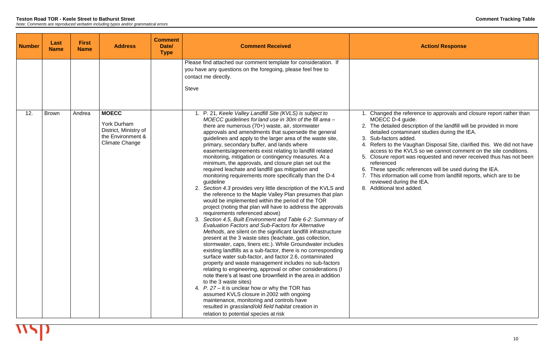4. Refers to the Vaughan Disposal Site, clarified this. We did not have access to the KVLS so we cannot comment on the site conditions. t was requested and never received thus has not been

6. These specific references will be used during the IEA. 7. This information will come from landfill reports, which are to be าg the IEA. added.

| <b>Number</b> | Last<br><b>Name</b> | <b>First</b><br><b>Name</b> | <b>Address</b>                                                                                            | <b>Comment</b><br>Date/<br><b>Type</b> | <b>Comment Received</b>                                                                                                                                                                                                                                                                                                                                                                                                                                                                                                                                                                                                                                                                                                                                                                                                                                                                                                                                                                                                                                                                                                                                                                                                                                                                                                                                                                                                                                                                                                                                                                                                                                                                                                                                                                                                                                   |                                                                                                                                                                                                                                                                        |
|---------------|---------------------|-----------------------------|-----------------------------------------------------------------------------------------------------------|----------------------------------------|-----------------------------------------------------------------------------------------------------------------------------------------------------------------------------------------------------------------------------------------------------------------------------------------------------------------------------------------------------------------------------------------------------------------------------------------------------------------------------------------------------------------------------------------------------------------------------------------------------------------------------------------------------------------------------------------------------------------------------------------------------------------------------------------------------------------------------------------------------------------------------------------------------------------------------------------------------------------------------------------------------------------------------------------------------------------------------------------------------------------------------------------------------------------------------------------------------------------------------------------------------------------------------------------------------------------------------------------------------------------------------------------------------------------------------------------------------------------------------------------------------------------------------------------------------------------------------------------------------------------------------------------------------------------------------------------------------------------------------------------------------------------------------------------------------------------------------------------------------------|------------------------------------------------------------------------------------------------------------------------------------------------------------------------------------------------------------------------------------------------------------------------|
|               |                     |                             |                                                                                                           |                                        | Please find attached our comment template for consideration. If<br>you have any questions on the foregoing, please feel free to<br>contact me directly.<br><b>Steve</b>                                                                                                                                                                                                                                                                                                                                                                                                                                                                                                                                                                                                                                                                                                                                                                                                                                                                                                                                                                                                                                                                                                                                                                                                                                                                                                                                                                                                                                                                                                                                                                                                                                                                                   |                                                                                                                                                                                                                                                                        |
| 12.           | <b>Brown</b>        | Andrea                      | <b>MOECC</b><br><b>York Durham</b><br>District, Ministry of<br>the Environment &<br><b>Climate Change</b> |                                        | 1. P. 21, Keele Valley Landfill Site (KVLS) is subject to<br>MOECC guidelines for land use in 30m of the fill area -<br>there are numerous (70+) waste, air, stormwater<br>approvals and amendments that supersede the general<br>guidelines and apply to the larger area of the waste site,<br>primary, secondary buffer, and lands where<br>easements/agreements exist relating to landfill related<br>monitoring, mitigation or contingency measures. At a<br>minimum, the approvals, and closure plan set out the<br>required leachate and landfill gas mitigation and<br>monitoring requirements more specifically than the D-4<br>guideline<br>2. Section 4.3 provides very little description of the KVLS and<br>the reference to the Maple Valley Plan presumes that plan<br>would be implemented within the period of the TOR<br>project (noting that plan will have to address the approvals<br>requirements referenced above)<br>3. Section 4.5, Built Environment and Table 6-2: Summary of<br><b>Evaluation Factors and Sub-Factors for Alternative</b><br>Methods, are silent on the significant landfill infrastructure<br>present at the 3 waste sites (leachate, gas collection,<br>stormwater, caps, liners etc.). While Groundwater includes<br>existing landfills as a sub-factor, there is no corresponding<br>surface water sub-factor, and factor 2.6, contaminated<br>property and waste management includes no sub-factors<br>relating to engineering, approval or other considerations (I<br>note there's at least one brownfield in the area in addition<br>to the 3 waste sites)<br>4. P. 27 – it is unclear how or why the TOR has<br>assumed KVLS closure in 2002 with ongoing<br>maintenance, monitoring and controls have<br>resulted in grassland/old field habitat creation in<br>relation to potential species at risk | 1. Changed the re<br>MOECC D-4 gu<br>2. The detailed de<br>detailed contan<br>3. Sub-factors ad<br>Refers to the V<br>4.<br>access to the K<br>5. Closure report<br>referenced<br>These specific<br>6.<br>7. This information<br>reviewed during<br>8. Additional text |

## **Action/ Response**

reference to approvals and closure report rather than  $u$ ide.

2. The detailed description of the landfill will be provided in more detailed contaminant studies during the IEA.

ded.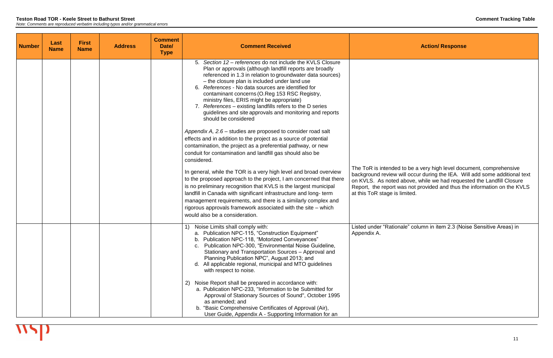The ToR is intended to be a very high level document, comprehensive background review will occur during the IEA. Will add some additional text on KVLS. As noted above, while we had requested the Landfill Closure as not provided and thus the information on the KVLS  $limited.$ 

ale" column in item 2.3 (Noise Sensitive Areas) in

| <b>Number</b> | Last<br><b>Name</b> | <b>First</b><br><b>Name</b> | <b>Address</b> | <b>Comment</b><br>Date/<br><b>Type</b> | <b>Comment Received</b>                                                                                                                                                                                                                                                                                                                                                                                                                                                                                                                                                                                                                                                                                                                                                                                                    |                                                                                                 |
|---------------|---------------------|-----------------------------|----------------|----------------------------------------|----------------------------------------------------------------------------------------------------------------------------------------------------------------------------------------------------------------------------------------------------------------------------------------------------------------------------------------------------------------------------------------------------------------------------------------------------------------------------------------------------------------------------------------------------------------------------------------------------------------------------------------------------------------------------------------------------------------------------------------------------------------------------------------------------------------------------|-------------------------------------------------------------------------------------------------|
|               |                     |                             |                |                                        | 5. Section 12 – references do not include the KVLS Closure<br>Plan or approvals (although landfill reports are broadly<br>referenced in 1.3 in relation to groundwater data sources)<br>- the closure plan is included under land use<br>6. References - No data sources are identified for<br>contaminant concerns (O.Reg 153 RSC Registry,<br>ministry files, ERIS might be appropriate)<br>7. References – existing landfills refers to the D series<br>guidelines and site approvals and monitoring and reports<br>should be considered<br>Appendix A, 2.6 – studies are proposed to consider road salt<br>effects and in addition to the project as a source of potential<br>contamination, the project as a preferential pathway, or new<br>conduit for contamination and landfill gas should also be<br>considered. | The ToR is intended t                                                                           |
|               |                     |                             |                |                                        | In general, while the TOR is a very high level and broad overview<br>to the proposed approach to the project, I am concerned that there<br>is no preliminary recognition that KVLS is the largest municipal<br>landfill in Canada with significant infrastructure and long-term<br>management requirements, and there is a similarly complex and<br>rigorous approvals framework associated with the site - which<br>would also be a consideration.                                                                                                                                                                                                                                                                                                                                                                        | background review w<br>on KVLS. As noted a<br>Report, the report wa<br>at this ToR stage is lin |
|               |                     |                             |                |                                        | Noise Limits shall comply with:<br>1)<br>a. Publication NPC-115, "Construction Equipment"<br>b. Publication NPC-118, "Motorized Conveyances"<br>c. Publication NPC-300, "Environmental Noise Guideline,<br>Stationary and Transportation Sources - Approval and<br>Planning Publication NPC", August 2013; and<br>d. All applicable regional, municipal and MTO guidelines<br>with respect to noise.                                                                                                                                                                                                                                                                                                                                                                                                                       | Listed under "Rationa<br>Appendix A.                                                            |
|               |                     |                             |                |                                        | Noise Report shall be prepared in accordance with:<br>2)<br>a. Publication NPC-233, "Information to be Submitted for<br>Approval of Stationary Sources of Sound", October 1995<br>as amended; and<br>b. "Basic Comprehensive Certificates of Approval (Air),<br>User Guide, Appendix A - Supporting Information for an                                                                                                                                                                                                                                                                                                                                                                                                                                                                                                     |                                                                                                 |

**Action/ Response**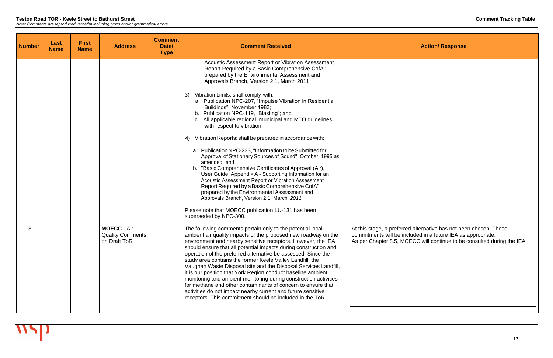| <b>Number</b> | Last<br><b>Name</b> | <b>First</b><br><b>Name</b> | <b>Address</b>                                                | <b>Comment</b><br>Date/<br><b>Type</b> | <b>Comment Received</b>                                                                                                                                                                                                                                                                                                                                                                                                                                                                                                                                                                                                                                                                                                                                                                            |                                                                         |
|---------------|---------------------|-----------------------------|---------------------------------------------------------------|----------------------------------------|----------------------------------------------------------------------------------------------------------------------------------------------------------------------------------------------------------------------------------------------------------------------------------------------------------------------------------------------------------------------------------------------------------------------------------------------------------------------------------------------------------------------------------------------------------------------------------------------------------------------------------------------------------------------------------------------------------------------------------------------------------------------------------------------------|-------------------------------------------------------------------------|
|               |                     |                             |                                                               |                                        | Acoustic Assessment Report or Vibration Assessment<br>Report Required by a Basic Comprehensive CofA"<br>prepared by the Environmental Assessment and<br>Approvals Branch, Version 2.1, March 2011.                                                                                                                                                                                                                                                                                                                                                                                                                                                                                                                                                                                                 |                                                                         |
|               |                     |                             |                                                               |                                        | Vibration Limits: shall comply with:<br>3)<br>a. Publication NPC-207, "Impulse Vibration in Residential<br>Buildings", November 1983;<br>b. Publication NPC-119, "Blasting"; and<br>c. All applicable regional, municipal and MTO guidelines<br>with respect to vibration.                                                                                                                                                                                                                                                                                                                                                                                                                                                                                                                         |                                                                         |
|               |                     |                             |                                                               |                                        | Vibration Reports: shall be prepared in accordance with:<br>4)<br>a. Publication NPC-233, "Information to be Submitted for<br>Approval of Stationary Sources of Sound", October, 1995 as<br>amended; and<br>b. "Basic Comprehensive Certificates of Approval (Air),<br>User Guide, Appendix A - Supporting Information for an<br>Acoustic Assessment Report or Vibration Assessment<br>Report Required by a Basic Comprehensive CofA"<br>prepared by the Environmental Assessment and<br>Approvals Branch, Version 2.1, March 2011.<br>Please note that MOECC publication LU-131 has been<br>superseded by NPC-300.                                                                                                                                                                                |                                                                         |
| 13.           |                     |                             | <b>MOECC - Air</b><br><b>Quality Comments</b><br>on Draft ToR |                                        | The following comments pertain only to the potential local<br>ambient air quality impacts of the proposed new roadway on the<br>environment and nearby sensitive receptors. However, the IEA<br>should ensure that all potential impacts during construction and<br>operation of the preferred alternative be assessed. Since the<br>study area contains the former Keele Valley Landfill, the<br>Vaughan Waste Disposal site and the Disposal Services Landfill,<br>it is our position that York Region conduct baseline ambient<br>monitoring and ambient monitoring during construction activities<br>for methane and other contaminants of concern to ensure that<br>activities do not impact nearby current and future sensitive<br>receptors. This commitment should be included in the ToR. | At this stage, a prefer<br>commitments will be<br>As per Chapter 8.5, N |

At this stage, a preferred alternative has not been chosen. These commitments will be included in a future IEA as appropriate. As per Chapter 8.5, MOECC will continue to be consulted during the IEA.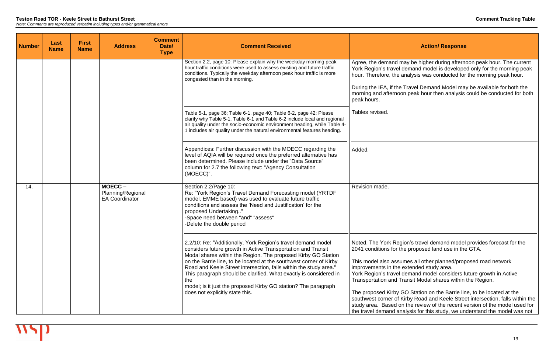| <b>Number</b> | Last<br><b>Name</b> | <b>First</b><br><b>Name</b> | <b>Address</b>                                       | <b>Comment</b><br>Date/<br><b>Type</b> | <b>Comment Received</b>                                                                                                                                                                                                                                                                                                                                                                                                                                                                                                   |                                                                                                                                                                                                                                                                    |
|---------------|---------------------|-----------------------------|------------------------------------------------------|----------------------------------------|---------------------------------------------------------------------------------------------------------------------------------------------------------------------------------------------------------------------------------------------------------------------------------------------------------------------------------------------------------------------------------------------------------------------------------------------------------------------------------------------------------------------------|--------------------------------------------------------------------------------------------------------------------------------------------------------------------------------------------------------------------------------------------------------------------|
|               |                     |                             |                                                      |                                        | Section 2.2, page 10: Please explain why the weekday morning peak<br>hour traffic conditions were used to assess existing and future traffic<br>conditions. Typically the weekday afternoon peak hour traffic is more<br>congested than in the morning.                                                                                                                                                                                                                                                                   | Agree, the demand ma<br>York Region's travel de<br>hour. Therefore, the ar<br>During the IEA, if the T<br>morning and afternoon<br>peak hours.                                                                                                                     |
|               |                     |                             |                                                      |                                        | Table 5-1, page 36; Table 6-1, page 40; Table 6-2, page 42: Please<br>clarify why Table 5-1, Table 6-1 and Table 6-2 include local and regional<br>air quality under the socio-economic environment heading, while Table 4-<br>1 includes air quality under the natural environmental features heading.                                                                                                                                                                                                                   | Tables revised.                                                                                                                                                                                                                                                    |
|               |                     |                             |                                                      |                                        | Appendices: Further discussion with the MOECC regarding the<br>level of AQIA will be required once the preferred alternative has<br>been determined. Please include under the "Data Source"<br>column for 2.7 the following text: "Agency Consultation<br>(MOECC)".                                                                                                                                                                                                                                                       | Added.                                                                                                                                                                                                                                                             |
| 14.           |                     |                             | MOECC-<br>Planning/Regional<br><b>EA Coordinator</b> |                                        | Section 2.2/Page 10:<br>Re: "York Region's Travel Demand Forecasting model (YRTDF<br>model, EMME based) was used to evaluate future traffic<br>conditions and assess the 'Need and Justification' for the<br>proposed Undertaking"<br>-Space need between "and" "assess"<br>-Delete the double period                                                                                                                                                                                                                     | Revision made.                                                                                                                                                                                                                                                     |
|               |                     |                             |                                                      |                                        | 2.2/10: Re: "Additionally, York Region's travel demand model<br>considers future growth in Active Transportation and Transit<br>Modal shares within the Region. The proposed Kirby GO Station<br>on the Barrie line, to be located at the southwest corner of Kirby<br>Road and Keele Street intersection, falls within the study area."<br>This paragraph should be clarified. What exactly is considered in<br>the<br>model; is it just the proposed Kirby GO station? The paragraph<br>does not explicitly state this. | Noted. The York Regio<br>2041 conditions for the<br>This model also assum<br>improvements in the ex<br>York Region's travel de<br><b>Transportation and Tra</b><br>The proposed Kirby G<br>southwest corner of Ki<br>study area. Based on<br>the travel demand ana |

ay be higher during afternoon peak hour. The current lemand model is developed only for the morning peak nalysis was conducted for the morning peak hour.

Fravel Demand Model may be available for both the peak hour then analysis could be conducted for both

on's travel demand model provides forecast for the proposed land use in the GTA.

mes all other planned/proposed road network extended study area.

lemand model considers future growth in Active ansit Modal shares within the Region.

The proposed Kirby GO Station on the Barrie line, to be located at the southwest corner of Kirby Road and Keele Street intersection, falls within the the review of the recent version of the model used for llysis for this study, we understand the model was not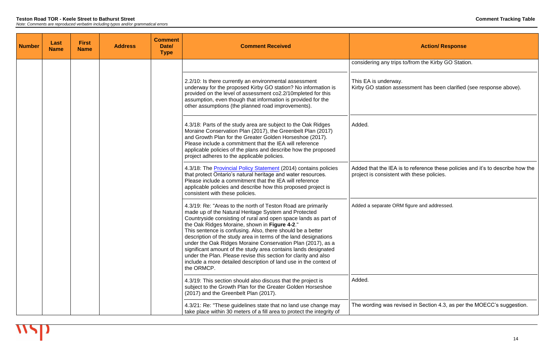| <b>Number</b> | <b>Last</b><br><b>Name</b> | <b>First</b><br><b>Name</b> | <b>Address</b> | <b>Comment</b><br>Date/<br><b>Type</b> | <b>Comment Received</b>                                                                                                                                                                                                                                                                                                                                                                                                                                                                                                                                                                                                                                          | <b>Action/Re</b>                                                                       |
|---------------|----------------------------|-----------------------------|----------------|----------------------------------------|------------------------------------------------------------------------------------------------------------------------------------------------------------------------------------------------------------------------------------------------------------------------------------------------------------------------------------------------------------------------------------------------------------------------------------------------------------------------------------------------------------------------------------------------------------------------------------------------------------------------------------------------------------------|----------------------------------------------------------------------------------------|
|               |                            |                             |                |                                        |                                                                                                                                                                                                                                                                                                                                                                                                                                                                                                                                                                                                                                                                  | considering any trips to/from the Kirby (                                              |
|               |                            |                             |                |                                        | 2.2/10: Is there currently an environmental assessment<br>underway for the proposed Kirby GO station? No information is<br>provided on the level of assessment co2.2/10mpleted for this<br>assumption, even though that information is provided for the<br>other assumptions (the planned road improvements).                                                                                                                                                                                                                                                                                                                                                    | This EA is underway.<br>Kirby GO station assessment has been                           |
|               |                            |                             |                |                                        | 4.3/18: Parts of the study area are subject to the Oak Ridges<br>Moraine Conservation Plan (2017), the Greenbelt Plan (2017)<br>and Growth Plan for the Greater Golden Horseshoe (2017).<br>Please include a commitment that the IEA will reference<br>applicable policies of the plans and describe how the proposed<br>project adheres to the applicable policies.                                                                                                                                                                                                                                                                                             | Added.                                                                                 |
|               |                            |                             |                |                                        | 4.3/18: The Provincial Policy Statement (2014) contains policies<br>that protect Ontario's natural heritage and water resources.<br>Please include a commitment that the IEA will reference<br>applicable policies and describe how this proposed project is<br>consistent with these policies.                                                                                                                                                                                                                                                                                                                                                                  | Added that the IEA is to reference these<br>project is consistent with these policies. |
|               |                            |                             |                |                                        | 4.3/19: Re: "Areas to the north of Teston Road are primarily<br>made up of the Natural Heritage System and Protected<br>Countryside consisting of rural and open space lands as part of<br>the Oak Ridges Moraine, shown in Figure 4-2."<br>This sentence is confusing. Also, there should be a better<br>description of the study area in terms of the land designations<br>under the Oak Ridges Moraine Conservation Plan (2017), as a<br>significant amount of the study area contains lands designated<br>under the Plan. Please revise this section for clarity and also<br>include a more detailed description of land use in the context of<br>the ORMCP. | Added a separate ORM figure and address                                                |
|               |                            |                             |                |                                        | 4.3/19: This section should also discuss that the project is<br>subject to the Growth Plan for the Greater Golden Horseshoe<br>(2017) and the Greenbelt Plan (2017).                                                                                                                                                                                                                                                                                                                                                                                                                                                                                             | Added.                                                                                 |
|               |                            |                             |                |                                        | 4.3/21: Re: "These guidelines state that no land use change may<br>take place within 30 meters of a fill area to protect the integrity of                                                                                                                                                                                                                                                                                                                                                                                                                                                                                                                        | The wording was revised in Section 4.3                                                 |

co/from the Kirby GO Station.

ssment has been clarified (see response above).

Added that the IEA is to reference these policies and it's to describe how the

figure and addressed.

sed in Section 4.3, as per the MOECC's suggestion.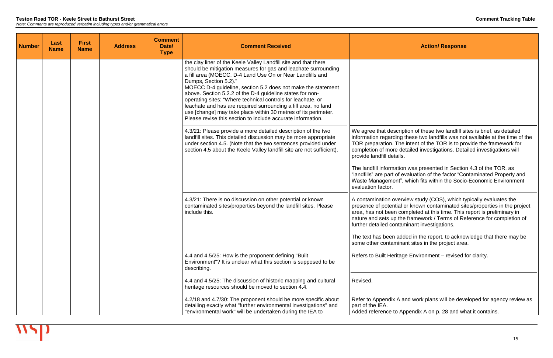| <b>Number</b> | Last<br><b>Name</b> | <b>First</b><br><b>Name</b> | <b>Address</b> | <b>Comment</b><br>Date/<br><b>Type</b> | <b>Comment Received</b>                                                                                                                                                                                                                                                                                                                                                                                                                                                                                                                                                                                                |                                                                                                                                                           |
|---------------|---------------------|-----------------------------|----------------|----------------------------------------|------------------------------------------------------------------------------------------------------------------------------------------------------------------------------------------------------------------------------------------------------------------------------------------------------------------------------------------------------------------------------------------------------------------------------------------------------------------------------------------------------------------------------------------------------------------------------------------------------------------------|-----------------------------------------------------------------------------------------------------------------------------------------------------------|
|               |                     |                             |                |                                        | the clay liner of the Keele Valley Landfill site and that there<br>should be mitigation measures for gas and leachate surrounding<br>a fill area (MOECC, D-4 Land Use On or Near Landfills and<br>Dumps, Section 5.2)."<br>MOECC D-4 guideline, section 5.2 does not make the statement<br>above. Section 5.2.2 of the D-4 guideline states for non-<br>operating sites: "Where technical controls for leachate, or<br>leachate and has are required surrounding a fill area, no land<br>use [change] may take place within 30 metres of its perimeter.<br>Please revise this section to include accurate information. |                                                                                                                                                           |
|               |                     |                             |                |                                        | 4.3/21: Please provide a more detailed description of the two<br>landfill sites. This detailed discussion may be more appropriate<br>under section 4.5. (Note that the two sentences provided under<br>section 4.5 about the Keele Valley landfill site are not sufficient).                                                                                                                                                                                                                                                                                                                                           | We agree that descript<br>information regarding t<br>TOR preparation. The<br>completion of more det<br>provide landfill details.                          |
|               |                     |                             |                |                                        |                                                                                                                                                                                                                                                                                                                                                                                                                                                                                                                                                                                                                        | The landfill information<br>"landfills" are part of ev<br>Waste Management", v<br>evaluation factor.                                                      |
|               |                     |                             |                |                                        | 4.3/21: There is no discussion on other potential or known<br>contaminated sites/properties beyond the landfill sites. Please<br>include this.                                                                                                                                                                                                                                                                                                                                                                                                                                                                         | A contamination overvi<br>presence of potential o<br>area, has not been con<br>nature and sets up the<br>further detailed contam<br>The text has been add |
|               |                     |                             |                |                                        |                                                                                                                                                                                                                                                                                                                                                                                                                                                                                                                                                                                                                        | some other contaminar                                                                                                                                     |
|               |                     |                             |                |                                        | 4.4 and 4.5/25: How is the proponent defining "Built"<br>Environment"? It is unclear what this section is supposed to be<br>describing.                                                                                                                                                                                                                                                                                                                                                                                                                                                                                | <b>Refers to Built Heritage</b>                                                                                                                           |
|               |                     |                             |                |                                        | 4.4 and 4.5/25: The discussion of historic mapping and cultural<br>heritage resources should be moved to section 4.4.                                                                                                                                                                                                                                                                                                                                                                                                                                                                                                  | Revised.                                                                                                                                                  |
|               |                     |                             |                |                                        | 4.2/18 and 4.7/30: The proponent should be more specific about<br>detailing exactly what "further environmental investigations" and<br>"environmental work" will be undertaken during the IEA to                                                                                                                                                                                                                                                                                                                                                                                                                       | Refer to Appendix A ar<br>part of the IEA.<br>Added reference to Ap                                                                                       |

tion of these two landfill sites is brief, as detailed these two landfills was not available at the time of the  $\theta$  intent of the TOR is to provide the framework for etailed investigations. Detailed investigations will

was presented in Section 4.3 of the TOR, as valuation of the factor "Contaminated Property and which fits within the Socio-Economic Environment

view study (COS), which typically evaluates the or known contaminated sites/properties in the project mpleted at this time. This report is preliminary in framework / Terms of Reference for completion of minant investigations.

ded in the report, to acknowledge that there may be ant sites in the project area.

ge Environment – revised for clarity.

and work plans will be developed for agency review as

opendix A on p. 28 and what it contains.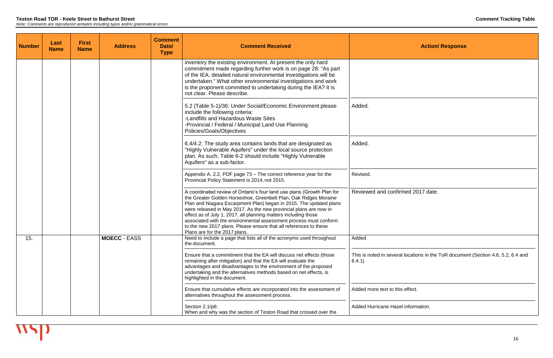| <b>Number</b> | Last<br><b>Name</b> | <b>First</b><br><b>Name</b> | <b>Address</b>      | <b>Comment</b><br>Date/<br><b>Type</b> | <b>Comment Received</b>                                                                                                                                                                                                                                                                                                                                                                                                                                                                                                             |                                    |
|---------------|---------------------|-----------------------------|---------------------|----------------------------------------|-------------------------------------------------------------------------------------------------------------------------------------------------------------------------------------------------------------------------------------------------------------------------------------------------------------------------------------------------------------------------------------------------------------------------------------------------------------------------------------------------------------------------------------|------------------------------------|
|               |                     |                             |                     |                                        | inventory the existing environment. At present the only hard<br>commitment made regarding further work is on page 28: "As part<br>of the IEA, detailed natural environmental investigations will be<br>undertaken." What other environmental investigations and work<br>is the proponent committed to undertaking during the IEA? It is<br>not clear. Please describe.                                                                                                                                                              |                                    |
|               |                     |                             |                     |                                        | 5.2 (Table 5-1)/36: Under Social/Economic Environment please<br>include the following criteria:<br>-Landfills and Hazardous Waste Sites<br>-Provincial / Federal / Municipal Land Use Planning<br>Policies/Goals/Objectives                                                                                                                                                                                                                                                                                                         | Added.                             |
|               |                     |                             |                     |                                        | 6.4/4.2: The study area contains lands that are designated as<br>"Highly Vulnerable Aquifers" under the local source protection<br>plan. As such, Table 6-2 should include "Highly Vulnerable<br>Aquifers" as a sub-factor.                                                                                                                                                                                                                                                                                                         | Added.                             |
|               |                     |                             |                     |                                        | Appendix A, 2.2, PDF page 73 – The correct reference year for the<br>Provincial Policy Statement is 2014, not 2015.                                                                                                                                                                                                                                                                                                                                                                                                                 | Revised.                           |
|               |                     |                             |                     |                                        | A coordinated review of Ontario's four land use plans (Growth Plan for<br>the Greater Golden Horseshoe, Greenbelt Plan, Oak Ridges Moraine<br>Plan and Niagara Escarpment Plan) began in 2015. The updated plans<br>were released in May 2017. As the new provincial plans are now in<br>effect as of July 1, 2017, all planning matters including those<br>associated with the environmental assessment process must conform<br>to the new 2017 plans. Please ensure that all references to these<br>Plans are for the 2017 plans. | Reviewed and confirm               |
| 15.           |                     |                             | <b>MOECC - EASS</b> |                                        | Need to include a page that lists all of the acronyms used throughout<br>the document.                                                                                                                                                                                                                                                                                                                                                                                                                                              | Added                              |
|               |                     |                             |                     |                                        | Ensure that a commitment that the EA will discuss net effects (those<br>remaining after mitigation) and that the EA will evaluate the<br>advantages and disadvantages to the environment of the proposed<br>undertaking and the alternatives methods based on net effects, is<br>highlighted in the document.                                                                                                                                                                                                                       | This is noted in several<br>6.4.1) |
|               |                     |                             |                     |                                        | Ensure that cumulative effects are incorporated into the assessment of<br>alternatives throughout the assessment process.                                                                                                                                                                                                                                                                                                                                                                                                           | Added more text to this            |
|               |                     |                             |                     |                                        | Section 2.1/p6:<br>When and why was the section of Teston Road that crossed over the                                                                                                                                                                                                                                                                                                                                                                                                                                                | <b>Added Hurricane Hazel</b>       |

**Action/ Response** ned 2017 date. Iocations in the ToR document (Section 4.6, 5.2, 6.4 and deffect. Information.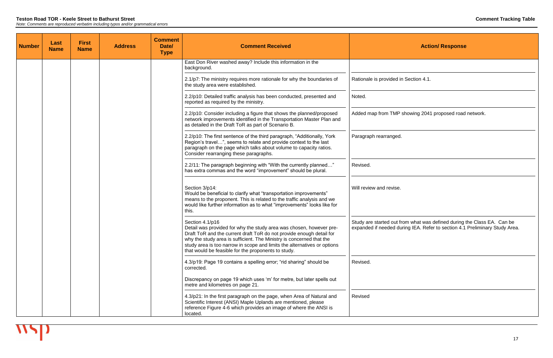| <b>Number</b> | Last<br><b>Name</b> | <b>First</b><br><b>Name</b> | <b>Address</b> | <b>Comment</b><br>Date/<br><b>Type</b> | <b>Comment Received</b>                                                                                                                                                                                                                                                                                                                                                   |                                                        |
|---------------|---------------------|-----------------------------|----------------|----------------------------------------|---------------------------------------------------------------------------------------------------------------------------------------------------------------------------------------------------------------------------------------------------------------------------------------------------------------------------------------------------------------------------|--------------------------------------------------------|
|               |                     |                             |                |                                        | East Don River washed away? Include this information in the<br>background.                                                                                                                                                                                                                                                                                                |                                                        |
|               |                     |                             |                |                                        | 2.1/p7: The ministry requires more rationale for why the boundaries of<br>the study area were established.                                                                                                                                                                                                                                                                | Rationale is provided in \$                            |
|               |                     |                             |                |                                        | 2.2/p10: Detailed traffic analysis has been conducted, presented and<br>reported as required by the ministry.                                                                                                                                                                                                                                                             | Noted.                                                 |
|               |                     |                             |                |                                        | 2.2/p10: Consider including a figure that shows the planned/proposed<br>network improvements identified in the Transportation Master Plan and<br>as detailed in the Draft ToR as part of Scenario B.                                                                                                                                                                      | Added map from TMP sh                                  |
|               |                     |                             |                |                                        | 2.2/p10: The first sentence of the third paragraph, "Additionally, York<br>Region's travel", seems to relate and provide context to the last<br>paragraph on the page which talks about volume to capacity ratios.<br>Consider rearranging these paragraphs.                                                                                                              | Paragraph rearranged.                                  |
|               |                     |                             |                |                                        | 2.2/11: The paragraph beginning with "With the currently planned"<br>has extra commas and the word "improvement" should be plural.                                                                                                                                                                                                                                        | Revised.                                               |
|               |                     |                             |                |                                        | Section 3/p14:<br>Would be beneficial to clarify what "transportation improvements"<br>means to the proponent. This is related to the traffic analysis and we<br>would like further information as to what "improvements" looks like for<br>this.                                                                                                                         | Will review and revise.                                |
|               |                     |                             |                |                                        | Section 4.1/p16<br>Detail was provided for why the study area was chosen, however pre-<br>Draft ToR and the current draft ToR do not provide enough detail for<br>why the study area is sufficient. The Ministry is concerned that the<br>study area is too narrow in scope and limits the alternatives or options<br>that would be feasible for the proponents to study. | Study are started out fror<br>expanded if needed durin |
|               |                     |                             |                |                                        | 4.3/p19: Page 19 contains a spelling error; "rid sharing" should be<br>corrected.                                                                                                                                                                                                                                                                                         | Revised.                                               |
|               |                     |                             |                |                                        | Discrepancy on page 19 which uses 'm' for metre, but later spells out<br>metre and kilometres on page 21.                                                                                                                                                                                                                                                                 |                                                        |
|               |                     |                             |                |                                        | 4.3/p21: In the first paragraph on the page, when Area of Natural and<br>Scientific Interest (ANSI) Maple Uplands are mentioned, please<br>reference Figure 4-6 which provides an image of where the ANSI is<br>located.                                                                                                                                                  | Revised                                                |

Section 4.1.

howing 2041 proposed road network.

Study are started out from what was defined during the Class EA. Can be expanded if needed during IEA. Refer to section 4.1 Preliminary Study Area.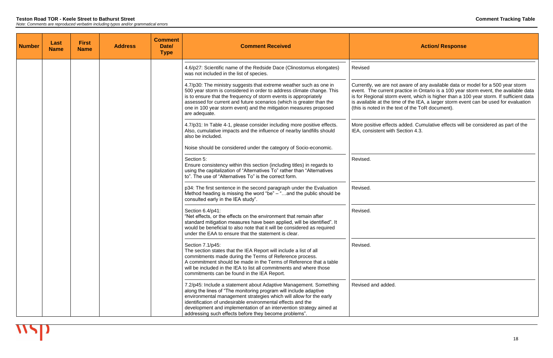| <b>Number</b> | Last<br><b>Name</b> | <b>First</b><br><b>Name</b> | <b>Address</b> | <b>Comment</b><br>Date/<br><b>Type</b> | <b>Comment Received</b>                                                                                                                                                                                                                                                                                                                                                                                    | <b>Action/ Resp</b>                                                                                                                                                                                                                                              |
|---------------|---------------------|-----------------------------|----------------|----------------------------------------|------------------------------------------------------------------------------------------------------------------------------------------------------------------------------------------------------------------------------------------------------------------------------------------------------------------------------------------------------------------------------------------------------------|------------------------------------------------------------------------------------------------------------------------------------------------------------------------------------------------------------------------------------------------------------------|
|               |                     |                             |                |                                        | 4.6/p27: Scientific name of the Redside Dace (Clinostomus elongates)<br>was not included in the list of species.                                                                                                                                                                                                                                                                                           | Revised                                                                                                                                                                                                                                                          |
|               |                     |                             |                |                                        | 4.7/p30: The ministry suggests that extreme weather such as one in<br>500 year storm is considered in order to address climate change. This<br>is to ensure that the frequency of storm events is appropriately<br>assessed for current and future scenarios (which is greater than the<br>one in 100 year storm event) and the mitigation measures proposed<br>are adequate.                              | Currently, we are not aware of any available da<br>event. The current practice in Ontario is a 100<br>is for Regional storm event, which is higher tha<br>is available at the time of the IEA, a larger stor<br>(this is noted in the text of the ToR document). |
|               |                     |                             |                |                                        | 4.7/p31: In Table 4-1, please consider including more positive effects.<br>Also, cumulative impacts and the influence of nearby landfills should<br>also be included.                                                                                                                                                                                                                                      | More positive effects added. Cumulative effect<br>IEA, consistent with Section 4.3.                                                                                                                                                                              |
|               |                     |                             |                |                                        | Noise should be considered under the category of Socio-economic.                                                                                                                                                                                                                                                                                                                                           |                                                                                                                                                                                                                                                                  |
|               |                     |                             |                |                                        | Section 5:<br>Ensure consistency within this section (including titles) in regards to<br>using the capitalization of "Alternatives To" rather than "Alternatives"<br>to". The use of "Alternatives To" is the correct form.                                                                                                                                                                                | Revised.                                                                                                                                                                                                                                                         |
|               |                     |                             |                |                                        | p34: The first sentence in the second paragraph under the Evaluation<br>Method heading is missing the word "be" $-$ "and the public should be<br>consulted early in the IEA study".                                                                                                                                                                                                                        | Revised.                                                                                                                                                                                                                                                         |
|               |                     |                             |                |                                        | Section 6.4/p41:<br>"Net effects, or the effects on the environment that remain after<br>standard mitigation measures have been applied, will be identified". It<br>would be beneficial to also note that it will be considered as required<br>under the EAA to ensure that the statement is clear.                                                                                                        | Revised.                                                                                                                                                                                                                                                         |
|               |                     |                             |                |                                        | Section 7.1/p45:<br>The section states that the IEA Report will include a list of all<br>commitments made during the Terms of Reference process.<br>A commitment should be made in the Terms of Reference that a table<br>will be included in the IEA to list all commitments and where those<br>commitments can be found in the IEA Report.                                                               | Revised.                                                                                                                                                                                                                                                         |
|               |                     |                             |                |                                        | 7.2/p45: Include a statement about Adaptive Management. Something<br>along the lines of "The monitoring program will include adaptive<br>environmental management strategies which will allow for the early<br>identification of undesirable environmental effects and the<br>development and implementation of an intervention strategy aimed at<br>addressing such effects before they become problems". | Revised and added.                                                                                                                                                                                                                                               |

Currently, we are not aware of any available data or model for a 500 year storm event. The current practice in Ontario is a 100 year storm event, the available data is for Regional storm event, which is higher than a 100 year storm. If sufficient data is available at the time of the IEA, a larger storm event can be used for evaluation

> ded. Cumulative effects will be considered as part of the  $t$ ion 4.3.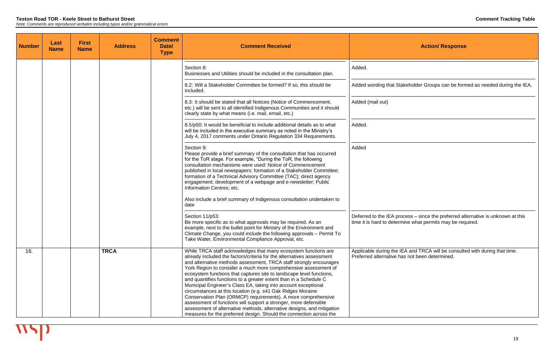| <b>Number</b> | Last<br><b>Name</b> | <b>First</b><br><b>Name</b> | <b>Address</b> | <b>Comment</b><br>Date/<br><b>Type</b> | <b>Comment Received</b>                                                                                                                                                                                                                                                                                                                                                                                                                                                                                                                                                                                                                                                                                                                                                                                                                               |                                                         |
|---------------|---------------------|-----------------------------|----------------|----------------------------------------|-------------------------------------------------------------------------------------------------------------------------------------------------------------------------------------------------------------------------------------------------------------------------------------------------------------------------------------------------------------------------------------------------------------------------------------------------------------------------------------------------------------------------------------------------------------------------------------------------------------------------------------------------------------------------------------------------------------------------------------------------------------------------------------------------------------------------------------------------------|---------------------------------------------------------|
|               |                     |                             |                |                                        | Section 8:<br>Businesses and Utilities should be included in the consultation plan.                                                                                                                                                                                                                                                                                                                                                                                                                                                                                                                                                                                                                                                                                                                                                                   | Added.                                                  |
|               |                     |                             |                |                                        | 8.2: Will a Stakeholder Committee be formed? If so, this should be<br>included.                                                                                                                                                                                                                                                                                                                                                                                                                                                                                                                                                                                                                                                                                                                                                                       | Added wording that Stak                                 |
|               |                     |                             |                |                                        | 8.3: It should be stated that all Notices (Notice of Commencement,<br>etc.) will be sent to all identified Indigenous Communities and it should<br>clearly state by what means (i.e. mail, email, etc.)                                                                                                                                                                                                                                                                                                                                                                                                                                                                                                                                                                                                                                               | Added (mail out)                                        |
|               |                     |                             |                |                                        | 8.5/p50: It would be beneficial to include additional details as to what<br>will be included in the executive summary as noted in the Ministry's<br>July 4, 2017 comments under Ontario Regulation 334 Requirements.                                                                                                                                                                                                                                                                                                                                                                                                                                                                                                                                                                                                                                  | Added.                                                  |
|               |                     |                             |                |                                        | Section 9:<br>Please provide a brief summary of the consultation that has occurred<br>for the ToR stage. For example, "During the ToR, the following<br>consultation mechanisms were used: Notice of Commencement<br>published in local newspapers; formation of a Stakeholder Committee;<br>formation of a Technical Advisory Committee (TAC); direct agency<br>engagement; development of a webpage and e-newsletter; Public<br>Information Centres; etc.                                                                                                                                                                                                                                                                                                                                                                                           | Added                                                   |
|               |                     |                             |                |                                        | Also include a brief summary of Indigenous consultation undertaken to<br>date                                                                                                                                                                                                                                                                                                                                                                                                                                                                                                                                                                                                                                                                                                                                                                         |                                                         |
|               |                     |                             |                |                                        | Section 11/p53:<br>Be more specific as to what approvals may be required. As an<br>example, next to the bullet point for Ministry of the Environment and<br>Climate Change, you could include the following approvals - Permit To<br>Take Water, Environmental Compliance Approval, etc.                                                                                                                                                                                                                                                                                                                                                                                                                                                                                                                                                              | Deferred to the IEA proc<br>time it is hard to determin |
| 16.           |                     |                             | <b>TRCA</b>    |                                        | While TRCA staff acknowledges that many ecosystem functions are<br>already included the factors/criteria for the alternatives assessment<br>and alternative methods assessment, TRCA staff strongly encourages<br>York Region to consider a much more comprehensive assessment of<br>ecosystem functions that captures site to landscape level functions,<br>and quantifies functions to a greater extent than in a Schedule C<br>Municipal Engineer's Class EA, taking into account exceptional<br>circumstances at this location (e.g. s41 Oak Ridges Moraine<br>Conservation Plan (ORMCP) requirements). A more comprehensive<br>assessment of functions will support a stronger, more defensible<br>assessment of alternative methods, alternative designs, and mitigation<br>measures for the preferred design. Should the connection across the | Applicable during the IE/<br>Preferred alternative has  |

keholder Groups can be formed as needed during the IEA.

Deferred to the IEA process – since the preferred alternative is unknown at this time it is hard to determine what permits may be required.

> A and TRCA will be consulted with during that time. s not been determined.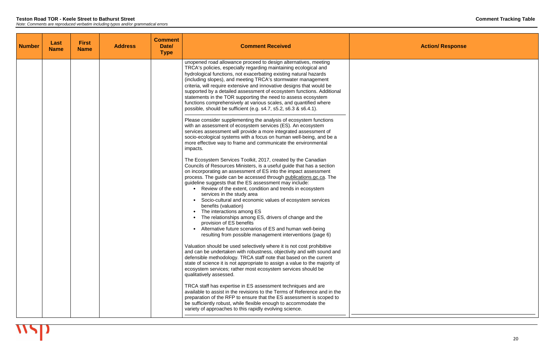| <b>Number</b> | Last<br><b>Name</b> | <b>First</b><br><b>Name</b> | <b>Address</b> | <b>Comment</b><br>Date/<br><b>Type</b> | <b>Comment Received</b>                                                                                                                                                                                                                                                                                                                                                                                                                                                                                                                                                                                                                                                                                                                                            |  |
|---------------|---------------------|-----------------------------|----------------|----------------------------------------|--------------------------------------------------------------------------------------------------------------------------------------------------------------------------------------------------------------------------------------------------------------------------------------------------------------------------------------------------------------------------------------------------------------------------------------------------------------------------------------------------------------------------------------------------------------------------------------------------------------------------------------------------------------------------------------------------------------------------------------------------------------------|--|
|               |                     |                             |                |                                        | unopened road allowance proceed to design alternatives, meeting<br>TRCA's policies, especially regarding maintaining ecological and<br>hydrological functions, not exacerbating existing natural hazards<br>(including slopes), and meeting TRCA's stormwater management<br>criteria, will require extensive and innovative designs that would be<br>supported by a detailed assessment of ecosystem functions. Additional<br>statements in the TOR supporting the need to assess ecosystem<br>functions comprehensively at various scales, and quantified where<br>possible, should be sufficient (e.g. s4.7, s5.2, s6.3 & s6.4.1).                                                                                                                               |  |
|               |                     |                             |                |                                        | Please consider supplementing the analysis of ecosystem functions<br>with an assessment of ecosystem services (ES). An ecosystem<br>services assessment will provide a more integrated assessment of<br>socio-ecological systems with a focus on human well-being, and be a<br>more effective way to frame and communicate the environmental<br>impacts.                                                                                                                                                                                                                                                                                                                                                                                                           |  |
|               |                     |                             |                |                                        | The Ecosystem Services Toolkit, 2017, created by the Canadian<br>Councils of Resources Ministers, is a useful guide that has a section<br>on incorporating an assessment of ES into the impact assessment<br>process. The guide can be accessed through publications.gc.ca. The<br>guideline suggests that the ES assessment may include:<br>• Review of the extent, condition and trends in ecosystem<br>services in the study area<br>Socio-cultural and economic values of ecosystem services<br>benefits (valuation)<br>The interactions among ES<br>The relationships among ES, drivers of change and the<br>provision of ES benefits<br>Alternative future scenarios of ES and human well-being<br>resulting from possible management interventions (page 6) |  |
|               |                     |                             |                |                                        | Valuation should be used selectively where it is not cost prohibitive<br>and can be undertaken with robustness, objectivity and with sound and<br>defensible methodology. TRCA staff note that based on the current<br>state of science it is not appropriate to assign a value to the majority of<br>ecosystem services; rather most ecosystem services should be<br>qualitatively assessed.                                                                                                                                                                                                                                                                                                                                                                      |  |
|               |                     |                             |                |                                        | TRCA staff has expertise in ES assessment techniques and are<br>available to assist in the revisions to the Terms of Reference and in the<br>preparation of the RFP to ensure that the ES assessment is scoped to<br>be sufficiently robust, while flexible enough to accommodate the<br>variety of approaches to this rapidly evolving science.                                                                                                                                                                                                                                                                                                                                                                                                                   |  |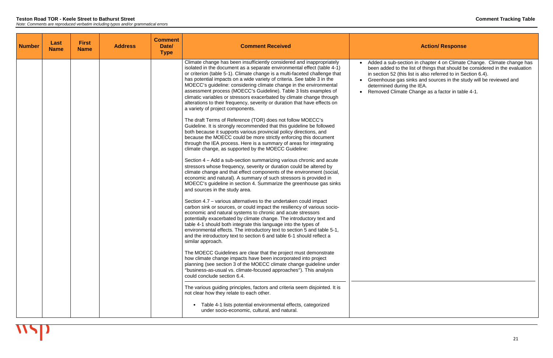| <b>Number</b> | Last<br><b>Name</b> | <b>First</b><br><b>Name</b> | <b>Address</b> | <b>Comment</b><br>Date/<br><b>Type</b> | <b>Comment Received</b>                                                                                                                                                                                                                                                                                                                                                                                                                                                                                                                                                                                                                                                                                                                                                                                                                                                                                                                                                                                                                                                                                                                                                                                                                                                                                                                                                                                                                                                                                                                                                                                                                                                                                                                                                                                                                                                                                                                                                                                                                                                                                                                                                                                                                                                                                                   |                                                                                                                                                     |
|---------------|---------------------|-----------------------------|----------------|----------------------------------------|---------------------------------------------------------------------------------------------------------------------------------------------------------------------------------------------------------------------------------------------------------------------------------------------------------------------------------------------------------------------------------------------------------------------------------------------------------------------------------------------------------------------------------------------------------------------------------------------------------------------------------------------------------------------------------------------------------------------------------------------------------------------------------------------------------------------------------------------------------------------------------------------------------------------------------------------------------------------------------------------------------------------------------------------------------------------------------------------------------------------------------------------------------------------------------------------------------------------------------------------------------------------------------------------------------------------------------------------------------------------------------------------------------------------------------------------------------------------------------------------------------------------------------------------------------------------------------------------------------------------------------------------------------------------------------------------------------------------------------------------------------------------------------------------------------------------------------------------------------------------------------------------------------------------------------------------------------------------------------------------------------------------------------------------------------------------------------------------------------------------------------------------------------------------------------------------------------------------------------------------------------------------------------------------------------------------------|-----------------------------------------------------------------------------------------------------------------------------------------------------|
|               |                     |                             |                |                                        | Climate change has been insufficiently considered and inappropriately<br>isolated in the document as a separate environmental effect (table 4-1)<br>or criterion (table 5-1). Climate change is a multi-faceted challenge that<br>has potential impacts on a wide variety of criteria. See table 3 in the<br>MOECC's guideline: considering climate change in the environmental<br>assessment process (MOECC's Guideline). Table 3 lists examples of<br>climatic variables or stressors exacerbated by climate change through<br>alterations to their frequency, severity or duration that have effects on<br>a variety of project components.<br>The draft Terms of Reference (TOR) does not follow MOECC's<br>Guideline. It is strongly recommended that this guideline be followed<br>both because it supports various provincial policy directions, and<br>because the MOECC could be more strictly enforcing this document<br>through the IEA process. Here is a summary of areas for integrating<br>climate change, as supported by the MOECC Guideline:<br>Section 4 – Add a sub-section summarizing various chronic and acute<br>stressors whose frequency, severity or duration could be altered by<br>climate change and that effect components of the environment (social,<br>economic and natural). A summary of such stressors is provided in<br>MOECC's guideline in section 4. Summarize the greenhouse gas sinks<br>and sources in the study area.<br>Section 4.7 – various alternatives to the undertaken could impact<br>carbon sink or sources, or could impact the resiliency of various socio-<br>economic and natural systems to chronic and acute stressors<br>potentially exacerbated by climate change. The introductory text and<br>table 4-1 should both integrate this language into the types of<br>environmental effects. The introductory text to section 5 and table 5-1,<br>and the introductory text to section 6 and table 6-1 should reflect a<br>similar approach.<br>The MOECC Guidelines are clear that the project must demonstrate<br>how climate change impacts have been incorporated into project<br>planning (see section 3 of the MOECC climate change guideline under<br>"business-as-usual vs. climate-focused approaches"). This analysis<br>could conclude section 6.4. | Added a sub-sec<br>$\bullet$<br>been added to th<br>in section 52 (this<br>Greenhouse gas<br>determined durin<br><b>Removed Climat</b><br>$\bullet$ |
|               |                     |                             |                |                                        | The various guiding principles, factors and criteria seem disjointed. It is<br>not clear how they relate to each other.<br>Table 4-1 lists potential environmental effects, categorized<br>$\bullet$<br>under socio-economic, cultural, and natural.                                                                                                                                                                                                                                                                                                                                                                                                                                                                                                                                                                                                                                                                                                                                                                                                                                                                                                                                                                                                                                                                                                                                                                                                                                                                                                                                                                                                                                                                                                                                                                                                                                                                                                                                                                                                                                                                                                                                                                                                                                                                      |                                                                                                                                                     |

• Added a sub-section in chapter 4 on Climate Change. Climate change has been added to the list of things that should be considered in the evaluation in section 52 (this list is also referred to in Section 6.4).

sinks and sources in the study will be reviewed and ng the IEA.

te Change as a factor in table 4-1.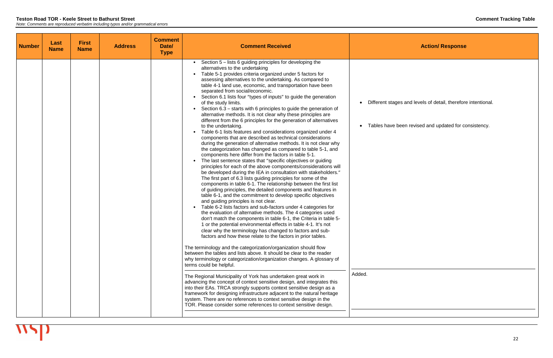| <b>Number</b> | Last<br><b>Name</b> | <b>First</b><br><b>Name</b> | <b>Address</b> | <b>Comment</b><br>Date/<br><b>Type</b> | <b>Comment Received</b>                                                                                                                                                                                                                                                                                                                                                                                                                                                                                                                                                                                                                                                                                                                                                                                                                                                                                                                                                                                                                                                                                                                                                                                                                                                                                                                                                                                                                                                                                                                                                                                                                                                                                                                                                                                                                                                                                                                                                                                                                                                                                                                                                                                                                                                                                                                                                                                                                                                                                                                                                                                                                                                                 |                                               |
|---------------|---------------------|-----------------------------|----------------|----------------------------------------|-----------------------------------------------------------------------------------------------------------------------------------------------------------------------------------------------------------------------------------------------------------------------------------------------------------------------------------------------------------------------------------------------------------------------------------------------------------------------------------------------------------------------------------------------------------------------------------------------------------------------------------------------------------------------------------------------------------------------------------------------------------------------------------------------------------------------------------------------------------------------------------------------------------------------------------------------------------------------------------------------------------------------------------------------------------------------------------------------------------------------------------------------------------------------------------------------------------------------------------------------------------------------------------------------------------------------------------------------------------------------------------------------------------------------------------------------------------------------------------------------------------------------------------------------------------------------------------------------------------------------------------------------------------------------------------------------------------------------------------------------------------------------------------------------------------------------------------------------------------------------------------------------------------------------------------------------------------------------------------------------------------------------------------------------------------------------------------------------------------------------------------------------------------------------------------------------------------------------------------------------------------------------------------------------------------------------------------------------------------------------------------------------------------------------------------------------------------------------------------------------------------------------------------------------------------------------------------------------------------------------------------------------------------------------------------------|-----------------------------------------------|
|               |                     |                             |                |                                        | Section 5 – lists 6 guiding principles for developing the<br>$\bullet$<br>alternatives to the undertaking<br>Table 5-1 provides criteria organized under 5 factors for<br>assessing alternatives to the undertaking. As compared to<br>table 4-1 land use, economic, and transportation have been<br>separated from social/economic.<br>Section 6.1 lists four "types of inputs" to guide the generation<br>$\bullet$<br>of the study limits.<br>Section 6.3 - starts with 6 principles to guide the generation of<br>$\bullet$<br>alternative methods. It is not clear why these principles are<br>different from the 6 principles for the generation of alternatives<br>to the undertaking.<br>Table 6-1 lists features and considerations organized under 4<br>$\bullet$<br>components that are described as technical considerations<br>during the generation of alternative methods. It is not clear why<br>the categorization has changed as compared to table 5-1, and<br>components here differ from the factors in table 5-1.<br>The last sentence states that "specific objectives or guiding<br>$\bullet$<br>principles for each of the above components/considerations will<br>be developed during the IEA in consultation with stakeholders."<br>The first part of 6.3 lists guiding principles for some of the<br>components in table 6-1. The relationship between the first list<br>of guiding principles, the detailed components and features in<br>table 6-1, and the commitment to develop specific objectives<br>and guiding principles is not clear.<br>Table 6-2 lists factors and sub-factors under 4 categories for<br>$\bullet$<br>the evaluation of alternative methods. The 4 categories used<br>don't match the components in table 6-1, the Criteria in table 5-<br>1 or the potential environmental effects in table 4-1. It's not<br>clear why the terminology has changed to factors and sub-<br>factors and how these relate to the factors in prior tables.<br>The terminology and the categorization/organization should flow<br>between the tables and lists above. It should be clear to the reader<br>why terminology or categorization/organization changes. A glossary of<br>terms could be helpful.<br>The Regional Municipality of York has undertaken great work in<br>advancing the concept of context sensitive design, and integrates this<br>into their EAs. TRCA strongly supports context sensitive design as a<br>framework for designing infrastructure adjacent to the natural heritage<br>system. There are no references to context sensitive design in the<br>TOR. Please consider some references to context sensitive design. | Different stages<br>Tables have bee<br>Added. |

and levels of detail, therefore intentional.

en revised and updated for consistency.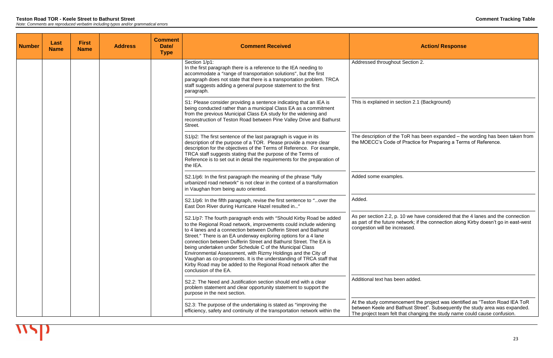As per section 2.2, p. 10 we have considered that the 4 lanes and the connection as part of the future network; if the connection along Kirby doesn't go in east-west ased.

added.

| <b>Number</b> | Last<br><b>Name</b> | <b>First</b><br><b>Name</b> | <b>Address</b> | <b>Comment</b><br>Date/<br><b>Type</b> | <b>Comment Received</b>                                                                                                                                                                                                                                                                                                                                                                                                                                                                                                                                                                                                                              |                                                                                      |
|---------------|---------------------|-----------------------------|----------------|----------------------------------------|------------------------------------------------------------------------------------------------------------------------------------------------------------------------------------------------------------------------------------------------------------------------------------------------------------------------------------------------------------------------------------------------------------------------------------------------------------------------------------------------------------------------------------------------------------------------------------------------------------------------------------------------------|--------------------------------------------------------------------------------------|
|               |                     |                             |                |                                        | Section 1/p1:<br>In the first paragraph there is a reference to the IEA needing to<br>accommodate a "range of transportation solutions", but the first<br>paragraph does not state that there is a transportation problem. TRCA<br>staff suggests adding a general purpose statement to the first<br>paragraph.                                                                                                                                                                                                                                                                                                                                      | Addressed throughout So                                                              |
|               |                     |                             |                |                                        | S1: Please consider providing a sentence indicating that an IEA is<br>being conducted rather than a municipal Class EA as a commitment<br>from the previous Municipal Class EA study for the widening and<br>reconstruction of Teston Road between Pine Valley Drive and Bathurst<br>Street.                                                                                                                                                                                                                                                                                                                                                         | This is explained in secti-                                                          |
|               |                     |                             |                |                                        | S1/p2: The first sentence of the last paragraph is vague in its<br>description of the purpose of a TOR. Please provide a more clear<br>description for the objectives of the Terms of Reference. For example,<br>TRCA staff suggests stating that the purpose of the Terms of<br>Reference is to set out in detail the requirements for the preparation of<br>the IEA.                                                                                                                                                                                                                                                                               | The description of the To<br>the MOECC's Code of P                                   |
|               |                     |                             |                |                                        | S2.1/p6: In the first paragraph the meaning of the phrase "fully"<br>urbanized road network" is not clear in the context of a transformation<br>in Vaughan from being auto oriented.                                                                                                                                                                                                                                                                                                                                                                                                                                                                 | Added some examples.                                                                 |
|               |                     |                             |                |                                        | S2.1/p6: In the fifth paragraph, revise the first sentence to "over the<br>East Don River during Hurricane Hazel resulted in"                                                                                                                                                                                                                                                                                                                                                                                                                                                                                                                        | Added.                                                                               |
|               |                     |                             |                |                                        | S2.1/p7: The fourth paragraph ends with "Should Kirby Road be added<br>to the Regional Road network, improvements could include widening<br>to 4 lanes and a connection between Dufferin Street and Bathurst<br>Street." There is an EA underway exploring options for a 4 lane<br>connection between Dufferin Street and Bathurst Street. The EA is<br>being undertaken under Schedule C of the Municipal Class<br>Environmental Assessment, with Rizmy Holdings and the City of<br>Vaughan as co-proponents. It is the understanding of TRCA staff that<br>Kirby Road may be added to the Regional Road network after the<br>conclusion of the EA. | As per section 2.2, p. 10<br>as part of the future netw<br>congestion will be increa |
|               |                     |                             |                |                                        | S2.2: The Need and Justification section should end with a clear<br>problem statement and clear opportunity statement to support the<br>purpose in the next section.                                                                                                                                                                                                                                                                                                                                                                                                                                                                                 | Additional text has been                                                             |
|               |                     |                             |                |                                        | S2.3: The purpose of the undertaking is stated as "improving the<br>efficiency, safety and continuity of the transportation network within the                                                                                                                                                                                                                                                                                                                                                                                                                                                                                                       | At the study commencen<br>between Keele and Bath<br>The project team felt that       |

## **Action/ Response**

ection 2.

tion 2.1 (Background)

The description of the ToR has been expanded – the wording has been taken from the MOECC's Code of Practice for Preparing a Terms of Reference.

At the study commencement the project was identified as "Teston Road IEA ToR between Keele and Bathust Street". Subsequently the study area was expanded. The project team felt that changing the study name could cause confusion.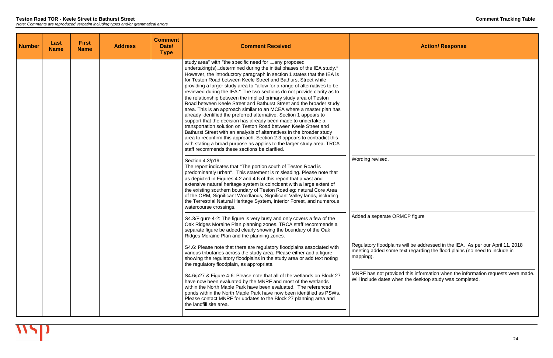| <b>Number</b> | Last<br><b>Name</b> | <b>First</b><br><b>Name</b> | <b>Address</b> | <b>Comment</b><br>Date/<br><b>Type</b> | <b>Comment Received</b>                                                                                                                                                                                                                                                                                                                                                                                                                                                                                                                                                                                                                                                                                                                                                                                                                                                                                                                                                                                                                                                                                                                          |                                                              |
|---------------|---------------------|-----------------------------|----------------|----------------------------------------|--------------------------------------------------------------------------------------------------------------------------------------------------------------------------------------------------------------------------------------------------------------------------------------------------------------------------------------------------------------------------------------------------------------------------------------------------------------------------------------------------------------------------------------------------------------------------------------------------------------------------------------------------------------------------------------------------------------------------------------------------------------------------------------------------------------------------------------------------------------------------------------------------------------------------------------------------------------------------------------------------------------------------------------------------------------------------------------------------------------------------------------------------|--------------------------------------------------------------|
|               |                     |                             |                |                                        | study area" with "the specific need for any proposed<br>undertaking(s)determined during the initial phases of the IEA study."<br>However, the introductory paragraph in section 1 states that the IEA is<br>for Teston Road between Keele Street and Bathurst Street while<br>providing a larger study area to "allow for a range of alternatives to be<br>reviewed during the IEA." The two sections do not provide clarity as to<br>the relationship between the implied primary study area of Teston<br>Road between Keele Street and Bathurst Street and the broader study<br>area. This is an approach similar to an MCEA where a master plan has<br>already identified the preferred alternative. Section 1 appears to<br>support that the decision has already been made to undertake a<br>transportation solution on Teston Road between Keele Street and<br>Bathurst Street with an analysis of alternatives in the broader study<br>area to reconfirm this approach. Section 2.3 appears to contradict this<br>with stating a broad purpose as applies to the larger study area. TRCA<br>staff recommends these sections be clarified. |                                                              |
|               |                     |                             |                |                                        | Section 4.3/p19:<br>The report indicates that "The portion south of Teston Road is<br>predominantly urban". This statement is misleading. Please note that<br>as depicted in Figures 4.2 and 4.6 of this report that a vast and<br>extensive natural heritage system is coincident with a large extent of<br>the existing southern boundary of Teston Road eg: natural Core Area<br>of the ORM, Significant Woodlands, Significant Valley lands, including<br>the Terrestrial Natural Heritage System, Interior Forest, and numerous<br>watercourse crossings.                                                                                                                                                                                                                                                                                                                                                                                                                                                                                                                                                                                   | Wording revised.                                             |
|               |                     |                             |                |                                        | S4.3/Figure 4-2: The figure is very busy and only covers a few of the<br>Oak Ridges Moraine Plan planning zones. TRCA staff recommends a<br>separate figure be added clearly showing the boundary of the Oak<br>Ridges Moraine Plan and the planning zones.                                                                                                                                                                                                                                                                                                                                                                                                                                                                                                                                                                                                                                                                                                                                                                                                                                                                                      | Added a separate ORM                                         |
|               |                     |                             |                |                                        | S4.6: Please note that there are regulatory floodplains associated with<br>various tributaries across the study area. Please either add a figure<br>showing the regulatory floodplains in the study area or add text noting<br>the regulatory floodplain, as appropriate.                                                                                                                                                                                                                                                                                                                                                                                                                                                                                                                                                                                                                                                                                                                                                                                                                                                                        | Regulatory floodplains<br>meeting added some te<br>mapping). |
|               |                     |                             |                |                                        | S4.6/p27 & Figure 4-6: Please note that all of the wetlands on Block 27<br>have now been evaluated by the MNRF and most of the wetlands<br>within the North Maple Park have been evaluated. The referenced<br>ponds within the North Maple Park have now been identified as PSWs.<br>Please contact MNRF for updates to the Block 27 planning area and<br>the landfill site area.                                                                                                                                                                                                                                                                                                                                                                                                                                                                                                                                                                                                                                                                                                                                                                | MNRF has not provided<br>Will include dates when             |
|               |                     |                             |                |                                        |                                                                                                                                                                                                                                                                                                                                                                                                                                                                                                                                                                                                                                                                                                                                                                                                                                                                                                                                                                                                                                                                                                                                                  |                                                              |

ACP figure

Regulatory floodplains will be addressed in the IEA. As per our April 11, 2018 meeting added some text regarding the flood plains (no need to include in

MNRF has not provided this information when the information requests were made. Will include dates when the desktop study was completed.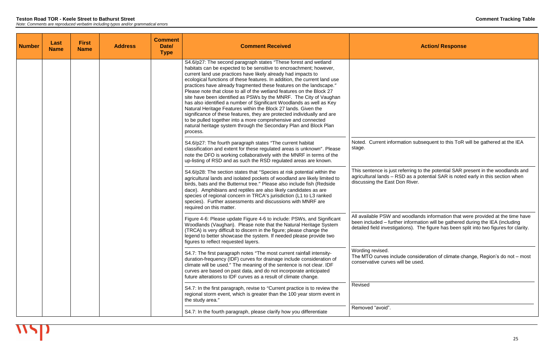This sentence is just referring to the potential SAR present in the woodlands and agricultural lands – RSD as a potential SAR is noted early in this section when River.

| <b>Number</b> | Last<br><b>Name</b> | <b>First</b><br><b>Name</b> | <b>Address</b> | <b>Comment</b><br>Date/<br><b>Type</b> | <b>Comment Received</b>                                                                                                                                                                                                                                                                                                                                                                                                                                                                                                                                                                                                                                                                                                                                                                                                                                                          |                                                                                    |
|---------------|---------------------|-----------------------------|----------------|----------------------------------------|----------------------------------------------------------------------------------------------------------------------------------------------------------------------------------------------------------------------------------------------------------------------------------------------------------------------------------------------------------------------------------------------------------------------------------------------------------------------------------------------------------------------------------------------------------------------------------------------------------------------------------------------------------------------------------------------------------------------------------------------------------------------------------------------------------------------------------------------------------------------------------|------------------------------------------------------------------------------------|
|               |                     |                             |                |                                        | S4.6/p27: The second paragraph states "These forest and wetland<br>habitats can be expected to be sensitive to encroachment; however,<br>current land use practices have likely already had impacts to<br>ecological functions of these features. In addition, the current land use<br>practices have already fragmented these features on the landscape."<br>Please note that close to all of the wetland features on the Block 27<br>site have been identified as PSWs by the MNRF. The City of Vaughan<br>has also identified a number of Significant Woodlands as well as Key<br>Natural Heritage Features within the Block 27 lands. Given the<br>significance of these features, they are protected individually and are<br>to be pulled together into a more comprehensive and connected<br>natural heritage system through the Secondary Plan and Block Plan<br>process. |                                                                                    |
|               |                     |                             |                |                                        | S4.6/p27: The fourth paragraph states "The current habitat<br>classification and extent for these regulated areas is unknown". Please<br>note the DFO is working collaboratively with the MNRF in terms of the<br>up-listing of RSD and as such the RSD regulated areas are known.                                                                                                                                                                                                                                                                                                                                                                                                                                                                                                                                                                                               | Noted. Current informat<br>stage.                                                  |
|               |                     |                             |                |                                        | S4.6/p28: The section states that "Species at risk potential within the<br>agricultural lands and isolated pockets of woodland are likely limited to<br>birds, bats and the Butternut tree." Please also include fish (Redside<br>dace). Amphibians and reptiles are also likely candidates as are<br>species of regional concern in TRCA's jurisdiction (L1 to L3 ranked<br>species). Further assessments and discussions with MNRF are<br>required on this matter.                                                                                                                                                                                                                                                                                                                                                                                                             | This sentence is just ref<br>agricultural lands - RSD<br>discussing the East Don   |
|               |                     |                             |                |                                        | Figure 4-6: Please update Figure 4-6 to include: PSWs, and Significant<br>Woodlands (Vaughan). Please note that the Natural Heritage System<br>(TRCA) is very difficult to discern in the figure; please change the<br>legend to better showcase the system. If needed please provide two<br>figures to reflect requested layers.                                                                                                                                                                                                                                                                                                                                                                                                                                                                                                                                                | All available PSW and w<br>been included - further<br>detailed field investigation |
|               |                     |                             |                |                                        | S4.7: The first paragraph notes "The most current rainfall intensity-<br>duration-frequency (IDF) curves for drainage include consideration of<br>climate will be used." The meaning of the sentence is not clear. IDF<br>curves are based on past data, and do not incorporate anticipated<br>future alterations to IDF curves as a result of climate change.                                                                                                                                                                                                                                                                                                                                                                                                                                                                                                                   | Wording revised.<br>The MTO curves include<br>conservative curves will             |
|               |                     |                             |                |                                        | S4.7: In the first paragraph, revise to "Current practice is to review the<br>regional storm event, which is greater than the 100 year storm event in<br>the study area."                                                                                                                                                                                                                                                                                                                                                                                                                                                                                                                                                                                                                                                                                                        | Revised                                                                            |
|               |                     |                             |                |                                        | S4.7: In the fourth paragraph, please clarify how you differentiate                                                                                                                                                                                                                                                                                                                                                                                                                                                                                                                                                                                                                                                                                                                                                                                                              | Removed "avoid".                                                                   |

**Action/ Response** 

ation subsequent to this ToR will be gathered at the IEA

All available PSW and woodlands information that were provided at the time have been included – further information will be gathered during the IEA (including detailed field investigations). The figure has been split into two figures for clarity.

> Ie consideration of climate change, Region's do not – most be used.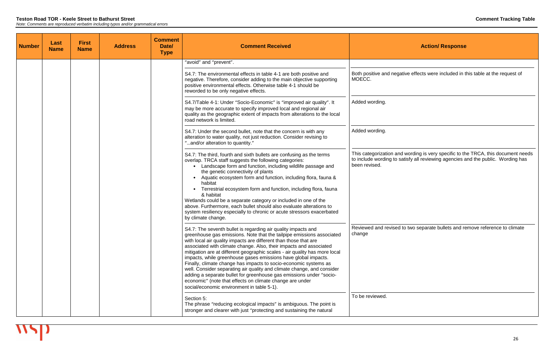| <b>Number</b> | Last<br><b>Name</b> | <b>First</b><br><b>Name</b> | <b>Address</b> | <b>Comment</b><br>Date/<br><b>Type</b> | <b>Comment Received</b>                                                                                                                                                                                                                                                                                                                                                                                                                                                                                                                                                                                                                                                                                                                                         |                                                                         |
|---------------|---------------------|-----------------------------|----------------|----------------------------------------|-----------------------------------------------------------------------------------------------------------------------------------------------------------------------------------------------------------------------------------------------------------------------------------------------------------------------------------------------------------------------------------------------------------------------------------------------------------------------------------------------------------------------------------------------------------------------------------------------------------------------------------------------------------------------------------------------------------------------------------------------------------------|-------------------------------------------------------------------------|
|               |                     |                             |                |                                        | "avoid" and "prevent".                                                                                                                                                                                                                                                                                                                                                                                                                                                                                                                                                                                                                                                                                                                                          |                                                                         |
|               |                     |                             |                |                                        | S4.7: The environmental effects in table 4-1 are both positive and<br>negative. Therefore, consider adding to the main objective supporting<br>positive environmental effects. Otherwise table 4-1 should be<br>reworded to be only negative effects.                                                                                                                                                                                                                                                                                                                                                                                                                                                                                                           | Both positive and negativ<br>MOECC.                                     |
|               |                     |                             |                |                                        | S4.7/Table 4-1: Under "Socio-Economic" is "improved air quality". It<br>may be more accurate to specify improved local and regional air<br>quality as the geographic extent of impacts from alterations to the local<br>road network is limited.                                                                                                                                                                                                                                                                                                                                                                                                                                                                                                                | Added wording.                                                          |
|               |                     |                             |                |                                        | S4.7: Under the second bullet, note that the concern is with any<br>alteration to water quality, not just reduction. Consider revising to<br>"and/or alteration to quantity."                                                                                                                                                                                                                                                                                                                                                                                                                                                                                                                                                                                   | Added wording.                                                          |
|               |                     |                             |                |                                        | S4.7: The third, fourth and sixth bullets are confusing as the terms<br>overlap. TRCA staff suggests the following categories:<br>Landscape form and function, including wildlife passage and<br>the genetic connectivity of plants<br>Aquatic ecosystem form and function, including flora, fauna &<br>habitat<br>Terrestrial ecosystem form and function, including flora, fauna<br>& habitat<br>Wetlands could be a separate category or included in one of the<br>above. Furthermore, each bullet should also evaluate alterations to<br>system resiliency especially to chronic or acute stressors exacerbated<br>by climate change.                                                                                                                       | This categorization and v<br>to include wording to sat<br>been revised. |
|               |                     |                             |                |                                        | S4.7: The seventh bullet is regarding air quality impacts and<br>greenhouse gas emissions. Note that the tailpipe emissions associated<br>with local air quality impacts are different than those that are<br>associated with climate change. Also, their impacts and associated<br>mitigation are at different geographic scales - air quality has more local<br>impacts, while greenhouse gases emissions have global impacts.<br>Finally, climate change has impacts to socio-economic systems as<br>well. Consider separating air quality and climate change, and consider<br>adding a separate bullet for greenhouse gas emissions under "socio-<br>economic" (note that effects on climate change are under<br>social/economic environment in table 5-1). | Reviewed and revised to<br>change                                       |
|               |                     |                             |                |                                        | Section 5:<br>The phrase "reducing ecological impacts" is ambiguous. The point is<br>stronger and clearer with just "protecting and sustaining the natural                                                                                                                                                                                                                                                                                                                                                                                                                                                                                                                                                                                                      | To be reviewed.                                                         |

ive effects were included in this table at the request of

This categorization and wording is very specific to the TRCA, this document needs to include wording to satisfy all reviewing agencies and the public. Wording has

b two separate bullets and remove reference to climate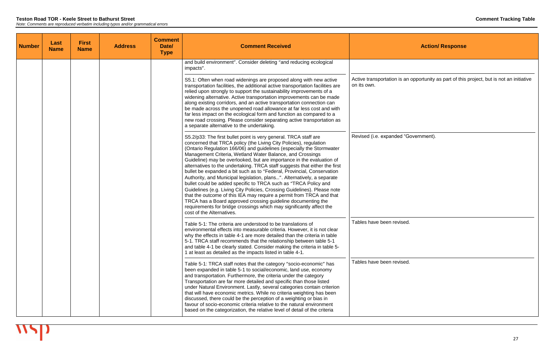| <b>Number</b> | Last<br><b>Name</b> | <b>First</b><br><b>Name</b> | <b>Address</b> | <b>Comment</b><br>Date/<br><b>Type</b> | <b>Comment Received</b>                                                                                                                                                                                                                                                                                                                                                                                                                                                                                                                                                                                                                                                                                                                                                                                                                                                                                                                                                             |                                            |
|---------------|---------------------|-----------------------------|----------------|----------------------------------------|-------------------------------------------------------------------------------------------------------------------------------------------------------------------------------------------------------------------------------------------------------------------------------------------------------------------------------------------------------------------------------------------------------------------------------------------------------------------------------------------------------------------------------------------------------------------------------------------------------------------------------------------------------------------------------------------------------------------------------------------------------------------------------------------------------------------------------------------------------------------------------------------------------------------------------------------------------------------------------------|--------------------------------------------|
|               |                     |                             |                |                                        | and build environment". Consider deleting "and reducing ecological<br>impacts".                                                                                                                                                                                                                                                                                                                                                                                                                                                                                                                                                                                                                                                                                                                                                                                                                                                                                                     |                                            |
|               |                     |                             |                |                                        | S5.1: Often when road widenings are proposed along with new active<br>transportation facilities, the additional active transportation facilities are<br>relied upon strongly to support the sustainability improvements of a<br>widening alternative. Active transportation improvements can be made<br>along existing corridors, and an active transportation connection can<br>be made across the unopened road allowance at far less cost and with<br>far less impact on the ecological form and function as compared to a<br>new road crossing. Please consider separating active transportation as<br>a separate alternative to the undertaking.                                                                                                                                                                                                                                                                                                                               | Active transportation is an<br>on its own. |
|               |                     |                             |                |                                        | S5.2/p33: The first bullet point is very general. TRCA staff are<br>concerned that TRCA policy (the Living City Policies), regulation<br>(Ontario Regulation 166/06) and guidelines (especially the Stormwater<br>Management Criteria, Wetland Water Balance, and Crossings<br>Guideline) may be overlooked, but are importance in the evaluation of<br>alternatives to the undertaking. TRCA staff suggests that either the first<br>bullet be expanded a bit such as to "Federal, Provincial, Conservation<br>Authority, and Municipal legislation, plans". Alternatively, a separate<br>bullet could be added specific to TRCA such as "TRCA Policy and<br>Guidelines (e.g. Living City Policies, Crossing Guidelines). Please note<br>that the outcome of this IEA may require a permit from TRCA and that<br>TRCA has a Board approved crossing guideline documenting the<br>requirements for bridge crossings which may significantly affect the<br>cost of the Alternatives. | Revised (i.e. expanded "G                  |
|               |                     |                             |                |                                        | Table 5-1: The criteria are understood to be translations of<br>environmental effects into measurable criteria. However, it is not clear<br>why the effects in table 4-1 are more detailed than the criteria in table<br>5-1. TRCA staff recommends that the relationship between table 5-1<br>and table 4-1 be clearly stated. Consider making the criteria in table 5-<br>1 at least as detailed as the impacts listed in table 4-1.                                                                                                                                                                                                                                                                                                                                                                                                                                                                                                                                              | Tables have been revised.                  |
|               |                     |                             |                |                                        | Table 5-1: TRCA staff notes that the category "socio-economic" has<br>been expanded in table 5-1 to social/economic, land use, economy<br>and transportation. Furthermore, the criteria under the category<br>Transportation are far more detailed and specific than those listed<br>under Natural Environment. Lastly, several categories contain criterion<br>that will have economic metrics. While no criteria weighting has been<br>discussed, there could be the perception of a weighting or bias in<br>favour of socio-economic criteria relative to the natural environment<br>based on the categorization, the relative level of detail of the criteria                                                                                                                                                                                                                                                                                                                   | Tables have been revised.                  |

an opportunity as part of this project, but is not an initiative

"Government).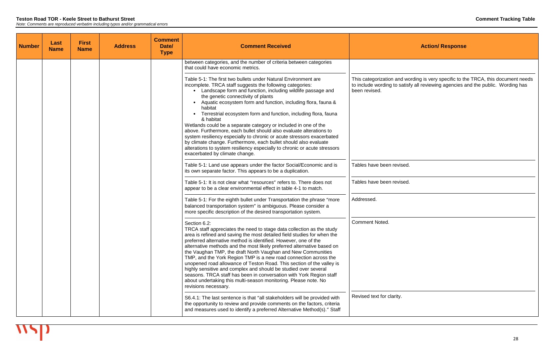| <b>Number</b> | Last<br><b>Name</b> | <b>First</b><br><b>Name</b> | <b>Address</b> | <b>Comment</b><br>Date/<br><b>Type</b> | <b>Comment Received</b>                                                                                                                                                                                                                                                                                                                                                                                                                                                                                                                                                                                                                                                                                                                                                                               |                                                                             |
|---------------|---------------------|-----------------------------|----------------|----------------------------------------|-------------------------------------------------------------------------------------------------------------------------------------------------------------------------------------------------------------------------------------------------------------------------------------------------------------------------------------------------------------------------------------------------------------------------------------------------------------------------------------------------------------------------------------------------------------------------------------------------------------------------------------------------------------------------------------------------------------------------------------------------------------------------------------------------------|-----------------------------------------------------------------------------|
|               |                     |                             |                |                                        | between categories, and the number of criteria between categories<br>that could have economic metrics.                                                                                                                                                                                                                                                                                                                                                                                                                                                                                                                                                                                                                                                                                                |                                                                             |
|               |                     |                             |                |                                        | Table 5-1: The first two bullets under Natural Environment are<br>incomplete. TRCA staff suggests the following categories:<br>• Landscape form and function, including wildlife passage and<br>the genetic connectivity of plants<br>Aquatic ecosystem form and function, including flora, fauna &<br>habitat<br>Terrestrial ecosystem form and function, including flora, fauna<br>& habitat<br>Wetlands could be a separate category or included in one of the<br>above. Furthermore, each bullet should also evaluate alterations to<br>system resiliency especially to chronic or acute stressors exacerbated<br>by climate change. Furthermore, each bullet should also evaluate<br>alterations to system resiliency especially to chronic or acute stressors<br>exacerbated by climate change. | This categorization and wo<br>to include wording to satisf<br>been revised. |
|               |                     |                             |                |                                        | Table 5-1: Land use appears under the factor Social/Economic and is<br>its own separate factor. This appears to be a duplication.                                                                                                                                                                                                                                                                                                                                                                                                                                                                                                                                                                                                                                                                     | Tables have been revised.                                                   |
|               |                     |                             |                |                                        | Table 5-1: It is not clear what "resources" refers to. There does not<br>appear to be a clear environmental effect in table 4-1 to match.                                                                                                                                                                                                                                                                                                                                                                                                                                                                                                                                                                                                                                                             | Tables have been revised.                                                   |
|               |                     |                             |                |                                        | Table 5-1: For the eighth bullet under Transportation the phrase "more<br>balanced transportation system" is ambiguous. Please consider a<br>more specific description of the desired transportation system.                                                                                                                                                                                                                                                                                                                                                                                                                                                                                                                                                                                          | Addressed.                                                                  |
|               |                     |                             |                |                                        | Section 6.2:<br>TRCA staff appreciates the need to stage data collection as the study<br>area is refined and saving the most detailed field studies for when the<br>preferred alternative method is identified. However, one of the<br>alternative methods and the most likely preferred alternative based on<br>the Vaughan TMP, the draft North Vaughan and New Communities<br>TMP, and the York Region TMP is a new road connection across the<br>unopened road allowance of Teston Road. This section of the valley is<br>highly sensitive and complex and should be studied over several<br>seasons. TRCA staff has been in conversation with York Region staff<br>about undertaking this multi-season monitoring. Please note. No<br>revisions necessary.                                       | <b>Comment Noted.</b>                                                       |
|               |                     |                             |                |                                        | S6.4.1: The last sentence is that "all stakeholders will be provided with<br>the opportunity to review and provide comments on the factors, criteria<br>and measures used to identify a preferred Alternative Method(s)." Staff                                                                                                                                                                                                                                                                                                                                                                                                                                                                                                                                                                       | Revised text for clarity.                                                   |

This categorization and wording is very specific to the TRCA, this document needs to include wording to satisfy all reviewing agencies and the public. Wording has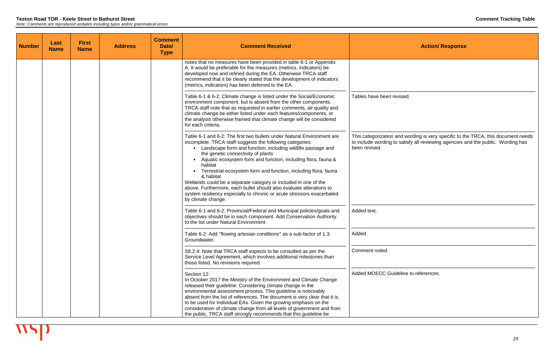| <b>Number</b> | Last<br><b>Name</b> | <b>First</b><br><b>Name</b> | <b>Address</b> | <b>Comment</b><br>Date/<br><b>Type</b> | <b>Comment Received</b>                                                                                                                                                                                                                                                                                                                                                                                                                                                                                                                                                                                                                          |                                                                             |
|---------------|---------------------|-----------------------------|----------------|----------------------------------------|--------------------------------------------------------------------------------------------------------------------------------------------------------------------------------------------------------------------------------------------------------------------------------------------------------------------------------------------------------------------------------------------------------------------------------------------------------------------------------------------------------------------------------------------------------------------------------------------------------------------------------------------------|-----------------------------------------------------------------------------|
|               |                     |                             |                |                                        | notes that no measures have been provided in table 6-1 or Appendix<br>A. It would be preferable for the measures (metrics, indicators) be<br>developed now and refined during the EA. Otherwise TRCA staff<br>recommend that it be clearly stated that the development of indicators<br>(metrics, indicators) has been deferred to the EA.                                                                                                                                                                                                                                                                                                       |                                                                             |
|               |                     |                             |                |                                        | Table 6-1 & 6-2: Climate change is listed under the Social/Economic<br>environment component, but is absent from the other components.<br>TRCA staff note that as requested in earlier comments, air quality and<br>climate change be either listed under each features/components, or<br>the analysis otherwise framed that climate change will be considered<br>for each criteria.                                                                                                                                                                                                                                                             | Tables have been revised.                                                   |
|               |                     |                             |                |                                        | Table 6-1 and 6-2: The first two bullets under Natural Environment are<br>incomplete. TRCA staff suggests the following categories:<br>• Landscape form and function, including wildlife passage and<br>the genetic connectivity of plants<br>Aquatic ecosystem form and function, including flora, fauna &<br>habitat<br>Terrestrial ecosystem form and function, including flora, fauna<br>& habitat<br>Wetlands could be a separate category or included in one of the<br>above. Furthermore, each bullet should also evaluate alterations to<br>system resiliency especially to chronic or acute stressors exacerbated<br>by climate change. | This categorization and wo<br>to include wording to satisf<br>been revised. |
|               |                     |                             |                |                                        | Table 6-1 and 6-2: Provincial/Federal and Municipal policies/goals and<br>objectives should be in each component. Add Conservation Authority<br>to the list under Natural Environment                                                                                                                                                                                                                                                                                                                                                                                                                                                            | Added text.                                                                 |
|               |                     |                             |                |                                        | Table 6-2: Add "flowing artesian conditions" as a sub-factor of 1.3:<br>Groundwater.                                                                                                                                                                                                                                                                                                                                                                                                                                                                                                                                                             | Added.                                                                      |
|               |                     |                             |                |                                        | S8.2.4: Note that TRCA staff expects to be consulted as per the<br>Service Level Agreement, which involves additional milestones than<br>those listed. No revisions required.                                                                                                                                                                                                                                                                                                                                                                                                                                                                    | Comment noted.                                                              |
|               |                     |                             |                |                                        | Section 12:<br>In October 2017 the Ministry of the Environment and Climate Change<br>released their guideline: Considering climate change in the<br>environmental assessment process. This guideline is noticeably<br>absent from the list of references. The document is very clear that it is<br>to be used for Individual EAs. Given the growing emphasis on the<br>consideration of climate change from all levels of government and from<br>the public, TRCA staff strongly recommends that this guideline be                                                                                                                               | <b>Added MOECC Guideline</b>                                                |

This categorization and wording is very specific to the TRCA, this document needs to include wording to satisfy all reviewing agencies and the public. Wording has

he to references.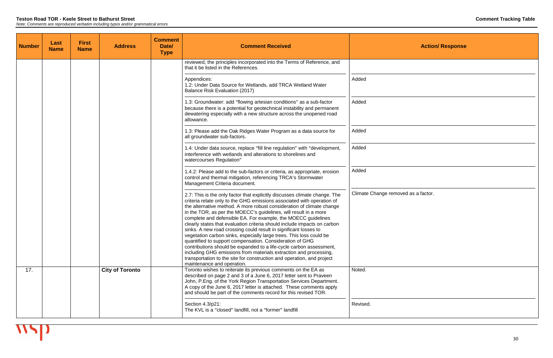| <b>Number</b> | Last<br><b>Name</b> | <b>First</b><br><b>Name</b> | <b>Address</b>         | <b>Comment</b><br>Date/<br><b>Type</b> | <b>Comment Received</b>                                                                                                                                                                                                                                                                                                                                                                                                                                                                                                                                                                                                                                                                                                                                                                                                                                                                                   | <b>Action/ Response</b>             |
|---------------|---------------------|-----------------------------|------------------------|----------------------------------------|-----------------------------------------------------------------------------------------------------------------------------------------------------------------------------------------------------------------------------------------------------------------------------------------------------------------------------------------------------------------------------------------------------------------------------------------------------------------------------------------------------------------------------------------------------------------------------------------------------------------------------------------------------------------------------------------------------------------------------------------------------------------------------------------------------------------------------------------------------------------------------------------------------------|-------------------------------------|
|               |                     |                             |                        |                                        | reviewed, the principles incorporated into the Terms of Reference, and<br>that it be listed in the References.                                                                                                                                                                                                                                                                                                                                                                                                                                                                                                                                                                                                                                                                                                                                                                                            |                                     |
|               |                     |                             |                        |                                        | Appendices:<br>1.2: Under Data Source for Wetlands, add TRCA Wetland Water<br>Balance Risk Evaluation (2017)                                                                                                                                                                                                                                                                                                                                                                                                                                                                                                                                                                                                                                                                                                                                                                                              | Added                               |
|               |                     |                             |                        |                                        | 1.3: Groundwater: add "flowing artesian conditions" as a sub-factor<br>because there is a potential for geotechnical instability and permanent<br>dewatering especially with a new structure across the unopened road<br>allowance.                                                                                                                                                                                                                                                                                                                                                                                                                                                                                                                                                                                                                                                                       | Added                               |
|               |                     |                             |                        |                                        | 1.3: Please add the Oak Ridges Water Program as a data source for<br>all groundwater sub-factors.                                                                                                                                                                                                                                                                                                                                                                                                                                                                                                                                                                                                                                                                                                                                                                                                         | Added                               |
|               |                     |                             |                        |                                        | 1.4: Under data source, replace "fill line regulation" with "development,<br>interference with wetlands and alterations to shorelines and<br>watercourses Regulation"                                                                                                                                                                                                                                                                                                                                                                                                                                                                                                                                                                                                                                                                                                                                     | Added                               |
|               |                     |                             |                        |                                        | 1.4.2: Please add to the sub-factors or criteria, as appropriate, erosion<br>control and thermal mitigation, referencing TRCA's Stormwater<br>Management Criteria document.                                                                                                                                                                                                                                                                                                                                                                                                                                                                                                                                                                                                                                                                                                                               | Added                               |
|               |                     |                             |                        |                                        | 2.7: This is the only factor that explicitly discusses climate change. The<br>criteria relate only to the GHG emissions associated with operation of<br>the alternative method. A more robust consideration of climate change<br>in the TOR, as per the MOECC's guidelines, will result in a more<br>complete and defensible EA. For example, the MOECC guidelines<br>clearly states that evaluation criteria should include impacts on carbon<br>sinks. A new road crossing could result in significant losses to<br>vegetation carbon sinks, especially large trees. This loss could be<br>quantified to support compensation. Consideration of GHG<br>contributions should be expanded to a life-cycle carbon assessment,<br>including GHG emissions from materials extraction and processing,<br>transportation to the site for construction and operation, and project<br>maintenance and operation. | Climate Change removed as a factor. |
| 17.           |                     |                             | <b>City of Toronto</b> |                                        | Toronto wishes to reiterate its previous comments on the EA as<br>described on page 2 and 3 of a June 6, 2017 letter sent to Praveen<br>John, P.Eng. of the York Region Transportation Services Department.<br>A copy of the June 6, 2017 letter is attached. These comments apply<br>and should be part of the comments record for this revised TOR.                                                                                                                                                                                                                                                                                                                                                                                                                                                                                                                                                     | Noted.                              |
|               |                     |                             |                        |                                        | Section 4.3/p21:<br>The KVL is a "closed" landfill, not a "former" landfill                                                                                                                                                                                                                                                                                                                                                                                                                                                                                                                                                                                                                                                                                                                                                                                                                               | Revised.                            |

| <b>Action/ Response</b> |
|-------------------------|
|                         |
|                         |
|                         |
|                         |
|                         |
|                         |
| ed as a factor.         |
|                         |
|                         |
|                         |
|                         |
|                         |
|                         |
|                         |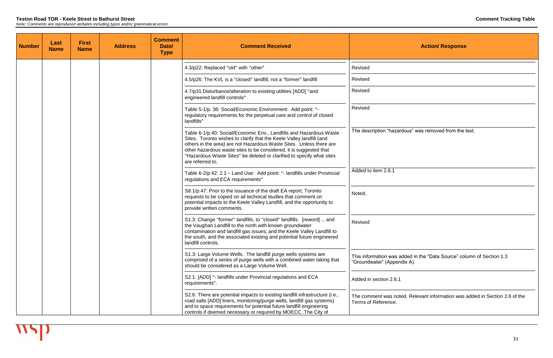| <b>Number</b> | Last<br><b>Name</b> | <b>First</b><br><b>Name</b> | <b>Address</b> | <b>Comment</b><br>Date/<br><b>Type</b> | <b>Comment Received</b>                                                                                                                                                                                                                                                                                                                                                               | <b>Action/ Response</b>                                                            |
|---------------|---------------------|-----------------------------|----------------|----------------------------------------|---------------------------------------------------------------------------------------------------------------------------------------------------------------------------------------------------------------------------------------------------------------------------------------------------------------------------------------------------------------------------------------|------------------------------------------------------------------------------------|
|               |                     |                             |                |                                        | 4.3/p22: Replaced "old" with "other"                                                                                                                                                                                                                                                                                                                                                  | Revised                                                                            |
|               |                     |                             |                |                                        | 4.5/p26: The KVL is a "closed" landfill, not a "former" landfill                                                                                                                                                                                                                                                                                                                      | Revised                                                                            |
|               |                     |                             |                |                                        | 4.7/p31:Disturbance/alteration to existing utilities [ADD] "and<br>engineered landfill controls"                                                                                                                                                                                                                                                                                      | Revised                                                                            |
|               |                     |                             |                |                                        | Table 5-1/p. 36: Social/Economic Environment: Add point: "-<br>regulatory requirements for the perpetual care and control of closed<br>landfills"                                                                                                                                                                                                                                     | Revised                                                                            |
|               |                     |                             |                |                                        | Table 6-1/p.40: Social/Economic Env., Landfills and Hazardous Waste<br>Sites. Toronto wishes to clarify that the Keele Valley landfill (and<br>others in the area) are not Hazardous Waste Sites. Unless there are<br>other hazardous waste sites to be considered, it is suggested that<br>"Hazardous Waste Sites" be deleted or clarified to specify what sites<br>are referred to. | The description "hazardous" was removed from the t                                 |
|               |                     |                             |                |                                        | Table 6-2/p.42: 2.1 - Land Use: Add point: "- landfills under Provincial<br>regulations and ECA requirements"                                                                                                                                                                                                                                                                         | Added to item 2.6.1                                                                |
|               |                     |                             |                |                                        | S8.1/p.47: Prior to the issuance of the draft EA report, Toronto<br>requests to be copied on all technical studies that comment on<br>potential impacts to the Keele Valley Landfill, and the opportunity to<br>provide written comments.                                                                                                                                             | Noted.                                                                             |
|               |                     |                             |                |                                        | S1.3: Change "former" landfills, to "closed" landfills. [reword]  and<br>the Vaughan Landfill to the north with known groundwater<br>contamination and landfill gas issues, and the Keele Valley Landfill to<br>the south, and the associated existing and potential future engineered<br>landfill controls.                                                                          | Revised                                                                            |
|               |                     |                             |                |                                        | S1.3: Large Volume Wells. The landfill purge wells systems are<br>comprised of a series of purge wells with a combined water taking that<br>should be considered as a Large Volume Well.                                                                                                                                                                                              | This information was added in the "Data Source" col<br>"Groundwater" (Appendix A). |
|               |                     |                             |                |                                        | S2.1: [ADD] "- landfills under Provincial regulations and ECA<br>requirements".                                                                                                                                                                                                                                                                                                       | Added in section 2.6.1                                                             |
|               |                     |                             |                |                                        | S2.6: There are potential impacts to existing landfill infrastructure (i.e.,<br>road salts [ADD] liners, monitoring/purge wells, landfill gas systems)<br>and to space requirements for potential future landfill engineering<br>controls if deemed necessary or required by MOECC. The City of                                                                                       | The comment was noted. Relevant information was<br>Terms of Reference.             |

 $\overline{\phantom{a}}$ 

| <b>Action/ Response</b>                                                                              |
|------------------------------------------------------------------------------------------------------|
| Revised                                                                                              |
| Revised                                                                                              |
| Revised                                                                                              |
| Revised                                                                                              |
| The description "hazardous" was removed from the text.                                               |
| Added to item 2.6.1                                                                                  |
| Noted.                                                                                               |
| Revised                                                                                              |
| This information was added in the "Data Source" column of Section 1.3<br>"Groundwater" (Appendix A). |
| Added in section 2.6.1                                                                               |
| The comment was noted. Relevant information was added in Section 2.6 of the                          |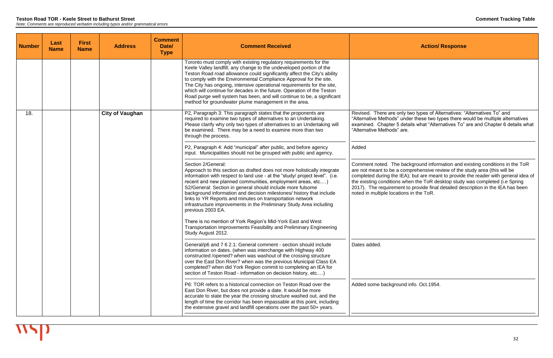#### **Teston Road TOR - Keele Street to Bathurst Street Comment Tracking Table** *Note: Comments are reproduced verbatim including typos and/or grammatical errors*

**Number Last Name First Name Address Comment Date/ Type Comment Received <b>Action Action Action Action Action Action Action Action** Toronto must comply with existing regulatory requirements for the Keele Valley landfill; any change to the undeveloped portion of the Teston Road road allowance could significantly affect the City's ability to comply with the Environmental Compliance Approval for the site. The City has ongoing, intensive operational requirements for the site, which will continue for decades in the future. Operation of the Teston Road purge well system has been, and will continue to be, a significant method for groundwater plume management in the area. 18. **City of Vaughan P2**, Paragraph 3: This paragraph states that the proponents are required to examine two types of alternatives to an Undertaking. Please clarify why only two types of alternatives to an Undertaking will be examined. There may be a need to examine more than two through the process. P2, Paragraph 4: Add "municipal" after public, and before agency input. Municipalities should not be grouped with public and agency. Section 2/General: Approach to this section as drafted does not more holistically integrate information with respect to land use - at the "study/ project level". (i.e. recent and new planned communities, employment areas, etc.…) S2/General: Section in general should include more fulsome background information and decision milestones/ history that include links to YR Reports and minutes on transportation network infrastructure improvements in the Preliminary Study Area including previous 2003 EA. There is no mention of York Region's Mid-York East and West Transportation Improvements Feasibility and Preliminary Engineering Study August 2012. General/p6 and 7 6 2.1: General comment - section should include information on dates. (when was interchange with Highway 400 constructed /opened? when was washout of the crossing structure over the East Don River? when was the previous Municipal Class EA completed? when did York Region commit to completing an IEA for section of Teston Road - information on decision history, etc....) P6: TOR refers to a historical connection on Teston Road over the East Don River, but does not provide a date. It would be more accurate to state the year the crossing structure washed out, and the length of time the corridor has been impassable at this point, including the extensive gravel and landfill operations over the past 50+ years. "Alternative Methods" are. Added Dates added.

Revised. There are only two types of Alternatives: "Alternatives To" and "Alternative Methods" under these two types there would be multiple alternatives examined. Chapter 5 details what "Alternatives To" are and Chapter 6 details what

Comment noted. The background information and existing conditions in the ToR are not meant to be a comprehensive review of the study area (this will be completed during the IEA); but are meant to provide the reader with general idea of the existing conditions when the ToR desktop study was completed (i.e Spring 2017). The requirement to provide final detailed description in the IEA has been noted in multiple locations in the ToR.

Added some background info. Oct.1954.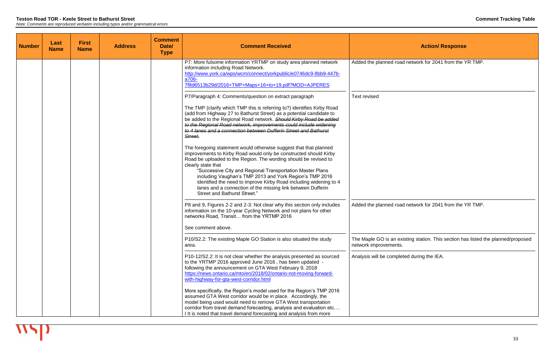| <b>Number</b> | Last<br><b>Name</b> | <b>First</b><br><b>Name</b> | <b>Address</b> | <b>Comment</b><br>Date/<br><b>Type</b> | <b>Comment Received</b>                                                                                                                                                                                                                                                                                                                                                                                                                                                                                                      |                                                  |
|---------------|---------------------|-----------------------------|----------------|----------------------------------------|------------------------------------------------------------------------------------------------------------------------------------------------------------------------------------------------------------------------------------------------------------------------------------------------------------------------------------------------------------------------------------------------------------------------------------------------------------------------------------------------------------------------------|--------------------------------------------------|
|               |                     |                             |                |                                        | P7: More fulsome information YRTMP on study area planned network<br>information including Road Network.<br>http://www.york.ca/wps/wcm/connect/yorkpublic/e0746dc9-8bb9-447b-<br>a706-<br>7f8d6513b29d/2016+TMP+Maps+16+to+19.pdf?MOD=AJPERES                                                                                                                                                                                                                                                                                 | Added the planned road                           |
|               |                     |                             |                |                                        | P7/Paragraph 4: Comments/question on extract paragraph<br>The TMP (clarify which TMP this is referring to?) identifies Kirby Road<br>(add from Highway 27 to Bathurst Street) as a potential candidate to<br>be added to the Regional Road network. Should Kirby Road be added<br>to the Regional Road network, improvements could include widening<br>to 4 lanes and a connection between Dufferin Street and Bathurst<br>Street.                                                                                           | <b>Text revised</b>                              |
|               |                     |                             |                |                                        | The foregoing statement would otherwise suggest that that planned<br>improvements to Kirby Road would only be constructed should Kirby<br>Road be uploaded to the Region. The wording should be revised to<br>clearly state that<br>"Successive City and Regional Transportation Master Plans<br>including Vaughan's TMP 2013 and York Region's TMP 2016<br>identified the need to improve Kirby Road including widening to 4<br>lanes and a connection of the missing link between Dufferin<br>Street and Bathurst Street." |                                                  |
|               |                     |                             |                |                                        | P8 and 9, Figures 2-2 and 2-3: Not clear why this section only includes<br>information on the 10-year Cycling Network and not plans for other<br>networks Road, Transit from the YRTMP 2016<br>See comment above.                                                                                                                                                                                                                                                                                                            | Added the planned road                           |
|               |                     |                             |                |                                        | P10/S2.2: The existing Maple GO Station is also situated the study<br>area.                                                                                                                                                                                                                                                                                                                                                                                                                                                  | The Maple GO is an exis<br>network improvements. |
|               |                     |                             |                |                                        | P10-12/S2.2: It is not clear whether the analysis presented as sourced<br>to the YRTMP 2016 approved June 2016, has been updated -<br>following the announcement on GTA West February 9, 2018<br>https://news.ontario.ca/mto/en/2018/02/ontario-not-moving-forward-<br>with-highway-for-gta-west-corridor.html                                                                                                                                                                                                               | Analysis will be complete                        |
|               |                     |                             |                |                                        | More specifically, the Region's model used for the Region's TMP 2016<br>assumed GTA West corridor would be in place. Accordingly, the<br>model being used would need to remove GTA West transportation<br>corridor from travel demand forecasting, analysis and evaluation etc<br>I It is noted that travel demand forecasting and analysis from more                                                                                                                                                                        |                                                  |

network for 2041 from the YR TMP.

network for 2041 from the YR TMP.

sting station. This section has listed the planned/proposed

ed during the IEA.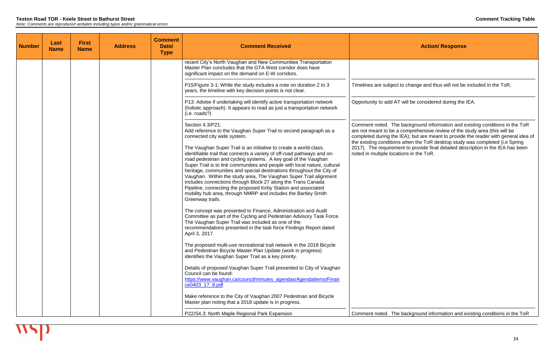| <b>Number</b> | Last<br><b>Name</b> | <b>First</b><br><b>Name</b> | <b>Address</b> | <b>Comment</b><br>Date/<br><b>Type</b> | <b>Comment Received</b>                                                                                                                                                                                                                                                                                                                                                                                                                                                                                                                                                                                                                                           |                                                                                   |
|---------------|---------------------|-----------------------------|----------------|----------------------------------------|-------------------------------------------------------------------------------------------------------------------------------------------------------------------------------------------------------------------------------------------------------------------------------------------------------------------------------------------------------------------------------------------------------------------------------------------------------------------------------------------------------------------------------------------------------------------------------------------------------------------------------------------------------------------|-----------------------------------------------------------------------------------|
|               |                     |                             |                |                                        | recent City's North Vaughan and New Communities Transportation<br>Master Plan concludes that the GTA West corridor does have<br>significant impact on the demand on E-W corridors.                                                                                                                                                                                                                                                                                                                                                                                                                                                                                |                                                                                   |
|               |                     |                             |                |                                        | P15/Figure 3-1: While the study includes a note on duration 2 to 3<br>years, the timeline with key decision points is not clear.                                                                                                                                                                                                                                                                                                                                                                                                                                                                                                                                  | Timelines are subject to                                                          |
|               |                     |                             |                |                                        | P13: Advise if undertaking will identify active transportation network<br>(holistic approach). It appears to read as just a transportation network<br>(i.e. roads?)                                                                                                                                                                                                                                                                                                                                                                                                                                                                                               | Opportunity to add AT wi                                                          |
|               |                     |                             |                |                                        | Section 4.3/P21:<br>Add reference to the Vaughan Super Trail to second paragraph as a<br>connected city wide system.                                                                                                                                                                                                                                                                                                                                                                                                                                                                                                                                              | Comment noted. The ba<br>are not meant to be a co<br>completed during the IEA     |
|               |                     |                             |                |                                        | The Vaughan Super Trail is an initiative to create a world-class,<br>identifiable trail that connects a variety of off-road pathways and on-<br>road pedestrian and cycling systems. A key goal of the Vaughan<br>Super Trail is to link communities and people with local nature, cultural<br>heritage, communities and special destinations throughout the City of<br>Vaughan. Within the study area, The Vaughan Super Trail alignment<br>includes connections through Block 27 along the Trans Canada<br>Pipeline, connecting the proposed Kirby Station and associated<br>mobility hub area, through NMRP and includes the Bartley Smith<br>Greenway trails. | the existing conditions w<br>2017). The requirement<br>noted in multiple location |
|               |                     |                             |                |                                        | The concept was presented to Finance, Administration and Audit<br>Committee as part of the Cycling and Pedestrian Advisory Task Force.<br>The Vaughan Super Trail was included as one of the<br>recommendations presented in the task force Findings Report dated<br>April 3, 2017.                                                                                                                                                                                                                                                                                                                                                                               |                                                                                   |
|               |                     |                             |                |                                        | The proposed multi-use recreational trail network in the 2018 Bicycle<br>and Pedestrian Bicycle Master Plan Update (work in progress)<br>identifies the Vaughan Super Trail as a key priority.                                                                                                                                                                                                                                                                                                                                                                                                                                                                    |                                                                                   |
|               |                     |                             |                |                                        | Details of proposed Vaughan Super Trail presented to City of Vaughan<br>Council can be found:<br>https://www.vaughan.ca/council/minutes_agendas/Agendaltems/Finan<br>ce0403_17_8.pdf                                                                                                                                                                                                                                                                                                                                                                                                                                                                              |                                                                                   |
|               |                     |                             |                |                                        | Make reference to the City of Vaughan 2007 Pedestrian and Bicycle<br>Master plan noting that a 2018 update is in progress.                                                                                                                                                                                                                                                                                                                                                                                                                                                                                                                                        |                                                                                   |
|               |                     |                             |                |                                        | P22/S4.3: North Maple Regional Park Expansion                                                                                                                                                                                                                                                                                                                                                                                                                                                                                                                                                                                                                     | Comment noted. The ba                                                             |

change and thus will not be included in the ToR.

vill be considered during the IEA.

ackground information and existing conditions in the ToR are not meant to be a comprehensive review of the study area (this will be completed during the IEA); but are meant to provide the reader with general idea of the existing conditions when the ToR desktop study was completed (i.e Spring 2017). The requirement to provide final detailed description in the IEA has been ns in the ToR.

ackground information and existing conditions in the ToR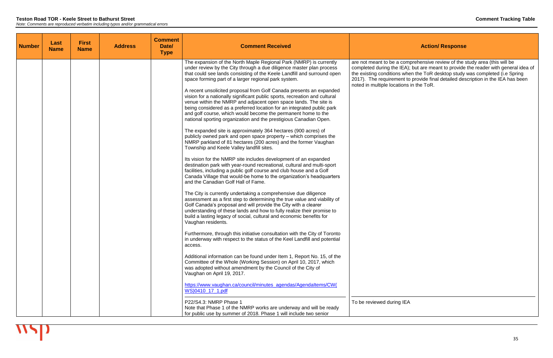are not meant to be a comprehensive review of the study area (this will be completed during the IEA); but are meant to provide the reader with general idea of the existing conditions when the ToR desktop study was completed (i.e Spring 2017). The requirement to provide final detailed description in the IEA has been ns in the ToR.

| <b>Number</b> | Last<br><b>Name</b> | <b>First</b><br><b>Name</b> | <b>Address</b> | <b>Comment</b><br>Date/<br><b>Type</b> | <b>Comment Received</b>                                                                                                                                                                                                                                                                                                                                                                                                               |                                                                                                                                                    |
|---------------|---------------------|-----------------------------|----------------|----------------------------------------|---------------------------------------------------------------------------------------------------------------------------------------------------------------------------------------------------------------------------------------------------------------------------------------------------------------------------------------------------------------------------------------------------------------------------------------|----------------------------------------------------------------------------------------------------------------------------------------------------|
|               |                     |                             |                |                                        | The expansion of the North Maple Regional Park (NMRP) is currently<br>under review by the City through a due diligence master plan process<br>that could see lands consisting of the Keele Landfill and surround open<br>space forming part of a larger regional park system.                                                                                                                                                         | are not meant to be a com<br>completed during the IEA);<br>the existing conditions whe<br>2017). The requirement to<br>noted in multiple locations |
|               |                     |                             |                |                                        | A recent unsolicited proposal from Golf Canada presents an expanded<br>vision for a nationally significant public sports, recreation and cultural<br>venue within the NMRP and adjacent open space lands. The site is<br>being considered as a preferred location for an integrated public park<br>and golf course, which would become the permanent home to the<br>national sporting organization and the prestigious Canadian Open. |                                                                                                                                                    |
|               |                     |                             |                |                                        | The expanded site is approximately 364 hectares (900 acres) of<br>publicly owned park and open space property – which comprises the<br>NMRP parkland of 81 hectares (200 acres) and the former Vaughan<br>Township and Keele Valley landfill sites.                                                                                                                                                                                   |                                                                                                                                                    |
|               |                     |                             |                |                                        | Its vision for the NMRP site includes development of an expanded<br>destination park with year-round recreational, cultural and multi-sport<br>facilities, including a public golf course and club house and a Golf<br>Canada Village that would-be home to the organization's headquarters<br>and the Canadian Golf Hall of Fame.                                                                                                    |                                                                                                                                                    |
|               |                     |                             |                |                                        | The City is currently undertaking a comprehensive due diligence<br>assessment as a first step to determining the true value and viability of<br>Golf Canada's proposal and will provide the City with a clearer<br>understanding of these lands and how to fully realize their promise to<br>build a lasting legacy of social, cultural and economic benefits for<br>Vaughan residents.                                               |                                                                                                                                                    |
|               |                     |                             |                |                                        | Furthermore, through this initiative consultation with the City of Toronto<br>in underway with respect to the status of the Keel Landfill and potential<br>access.                                                                                                                                                                                                                                                                    |                                                                                                                                                    |
|               |                     |                             |                |                                        | Additional information can be found under Item 1, Report No. 15, of the<br>Committee of the Whole (Working Session) on April 10, 2017, which<br>was adopted without amendment by the Council of the City of<br>Vaughan on April 19, 2017.                                                                                                                                                                                             |                                                                                                                                                    |
|               |                     |                             |                |                                        | https://www.vaughan.ca/council/minutes_agendas/Agendaltems/CW(<br>WS)0410_17_1.pdf                                                                                                                                                                                                                                                                                                                                                    |                                                                                                                                                    |
|               |                     |                             |                |                                        | P22/S4.3: NMRP Phase 1<br>Note that Phase 1 of the NMRP works are underway and will be ready<br>for public use by summer of 2018. Phase 1 will include two senior                                                                                                                                                                                                                                                                     | To be reviewed during IEA                                                                                                                          |

## **Action/ Response**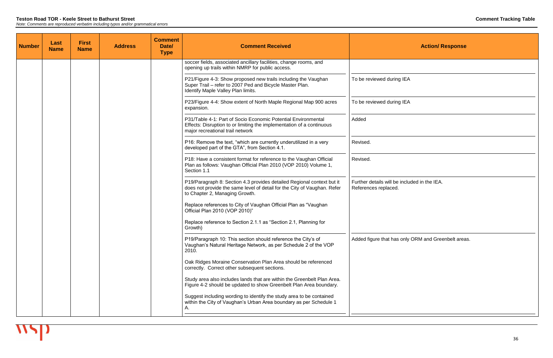| <b>Action/ Response</b>                                              |
|----------------------------------------------------------------------|
|                                                                      |
| To be reviewed during IEA                                            |
| To be reviewed during IEA                                            |
| Added                                                                |
| Revised.                                                             |
| Revised.                                                             |
| Further details will be included in the IEA.<br>References replaced. |
| Added figure that has only ORM and Greenbelt areas.                  |
|                                                                      |

| <b>Number</b> | Last<br><b>Name</b> | <b>First</b><br><b>Name</b> | <b>Address</b> | <b>Comment</b><br>Date/<br><b>Type</b> | <b>Comment Received</b>                                                                                                                                                              | <b>Action/ Response</b>                                              |
|---------------|---------------------|-----------------------------|----------------|----------------------------------------|--------------------------------------------------------------------------------------------------------------------------------------------------------------------------------------|----------------------------------------------------------------------|
|               |                     |                             |                |                                        | soccer fields, associated ancillary facilities, change rooms, and<br>opening up trails within NMRP for public access.                                                                |                                                                      |
|               |                     |                             |                |                                        | P21/Figure 4-3: Show proposed new trails including the Vaughan<br>Super Trail - refer to 2007 Ped and Bicycle Master Plan.<br>Identify Maple Valley Plan limits.                     | To be reviewed during IEA                                            |
|               |                     |                             |                |                                        | P23/Figure 4-4: Show extent of North Maple Regional Map 900 acres<br>expansion.                                                                                                      | To be reviewed during IEA                                            |
|               |                     |                             |                |                                        | P31/Table 4-1: Part of Socio Economic Potential Environmental<br>Effects: Disruption to or limiting the implementation of a continuous<br>major recreational trail network           | Added                                                                |
|               |                     |                             |                |                                        | P16: Remove the text, "which are currently underutilized in a very<br>developed part of the GTA", from Section 4.1.                                                                  | Revised.                                                             |
|               |                     |                             |                |                                        | P18: Have a consistent format for reference to the Vaughan Official<br>Plan as follows: Vaughan Official Plan 2010 (VOP 2010) Volume 1,<br>Section 1.1                               | Revised.                                                             |
|               |                     |                             |                |                                        | P19/Paragraph 8: Section 4.3 provides detailed Regional context but it<br>does not provide the same level of detail for the City of Vaughan. Refer<br>to Chapter 2, Managing Growth. | Further details will be included in the IEA.<br>References replaced. |
|               |                     |                             |                |                                        | Replace references to City of Vaughan Official Plan as "Vaughan<br>Official Plan 2010 (VOP 2010)"                                                                                    |                                                                      |
|               |                     |                             |                |                                        | Replace reference to Section 2.1.1 as "Section 2.1, Planning for<br>Growth)                                                                                                          |                                                                      |
|               |                     |                             |                |                                        | P19/Paragraph 10: This section should reference the City's of<br>Vaughan's Natural Heritage Network, as per Schedule 2 of the VOP<br>2010.                                           | Added figure that has only ORM and Greenbelt area                    |
|               |                     |                             |                |                                        | Oak Ridges Moraine Conservation Plan Area should be referenced<br>correctly. Correct other subsequent sections.                                                                      |                                                                      |
|               |                     |                             |                |                                        | Study area also includes lands that are within the Greenbelt Plan Area.<br>Figure 4-2 should be updated to show Greenbelt Plan Area boundary.                                        |                                                                      |
|               |                     |                             |                |                                        | Suggest including wording to identify the study area to be contained<br>within the City of Vaughan's Urban Area boundary as per Schedule 1<br>Α.                                     |                                                                      |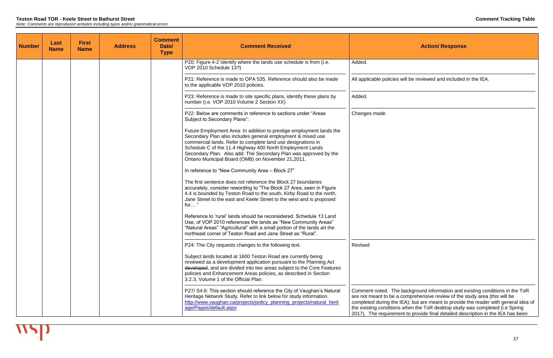| <b>Number</b> | Last<br><b>Name</b> | <b>First</b><br><b>Name</b> | <b>Address</b> | <b>Comment</b><br>Date/<br><b>Type</b> | <b>Comment Received</b>                                                                                                                                                                                                                                                                                                                                                                    |                                                                                                                                        |
|---------------|---------------------|-----------------------------|----------------|----------------------------------------|--------------------------------------------------------------------------------------------------------------------------------------------------------------------------------------------------------------------------------------------------------------------------------------------------------------------------------------------------------------------------------------------|----------------------------------------------------------------------------------------------------------------------------------------|
|               |                     |                             |                |                                        | P20: Figure 4-2 Identify where the lands use schedule is from (i.e.<br>VOP 2010 Schedule 13?)                                                                                                                                                                                                                                                                                              | Added.                                                                                                                                 |
|               |                     |                             |                |                                        | P21: Reference is made to OPA 535. Reference should also be made<br>to the applicable VOP 2010 policies.                                                                                                                                                                                                                                                                                   | All applicable policies wil                                                                                                            |
|               |                     |                             |                |                                        | P23: Reference is made to site specific plans, identify these plans by<br>number (i.e. VOP 2010 Volume 2 Section XX)                                                                                                                                                                                                                                                                       | Added.                                                                                                                                 |
|               |                     |                             |                |                                        | P22: Below are comments in reference to sections under "Areas"<br>Subject to Secondary Plans":                                                                                                                                                                                                                                                                                             | Changes made.                                                                                                                          |
|               |                     |                             |                |                                        | Future Employment Area: In addition to prestige employment lands the<br>Secondary Plan also includes general employment & mixed use<br>commercial lands. Refer to complete land use designations in<br>Schedule C of the 11.4 Highway 400 North Employment Lands<br>Secondary Plan. Also add: The Secondary Plan was approved by the<br>Ontario Municipal Board (OMB) on November 21,2011. |                                                                                                                                        |
|               |                     |                             |                |                                        | In reference to "New Community Area - Block 27"                                                                                                                                                                                                                                                                                                                                            |                                                                                                                                        |
|               |                     |                             |                |                                        | The first sentence does not reference the Block 27 boundaries<br>accurately, consider rewording to "The Block 27 Area, seen in Figure<br>4.4 is bounded by Teston Road to the south, Kirby Road to the north,<br>Jane Street to the east and Keele Street to the west and is proposed<br>for"                                                                                              |                                                                                                                                        |
|               |                     |                             |                |                                        | Reference to 'rural' lands should be reconsidered. Schedule 13 Land<br>Use, of VOP 2010 references the lands as "New Community Areas"<br>"Natural Areas" "Agricultural" with a small portion of the lands art the<br>northeast corner of Teston Road and Jane Street as "Rural".                                                                                                           |                                                                                                                                        |
|               |                     |                             |                |                                        | P24: The City requests changes to the following text.<br>Subject lands located at 1600 Teston Road are currently being<br>reviewed as a development application pursuant to the Planning Act<br>developed, and are divided into two areas subject to the Core Features<br>policies and Enhancement Areas policies, as described in Section<br>3.2.3, Volume 1 of the Official Plan.        | Revised                                                                                                                                |
|               |                     |                             |                |                                        | P27/ S4.6: This section should reference the City of Vaughan's Natural<br>Heritage Network Study. Refer to link below for study information.<br>http://www.vaughan.ca/projects/policy_planning_projects/natural_herit<br>age/Pages/default.aspx                                                                                                                                            | Comment noted. The ba<br>are not meant to be a cor<br>completed during the IEA<br>the existing conditions wl<br>2017). The requirement |

I be reviewed and included in the IEA.

Comment noted. The background information and existing conditions in the ToR are not meant to be a comprehensive review of the study area (this will be completed during the IEA); but are meant to provide the reader with general idea of the existing conditions when the ToR desktop study was completed (i.e Spring 2017). The requirement to provide final detailed description in the IEA has been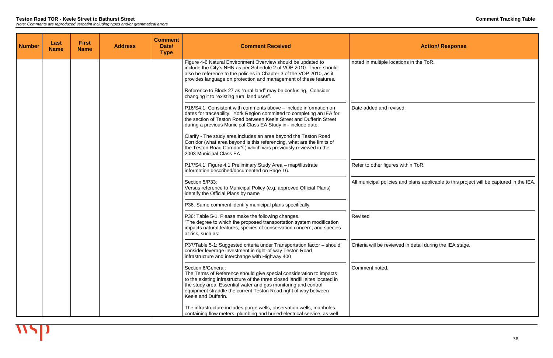| <b>Number</b> | Last<br><b>Name</b> | <b>First</b><br><b>Name</b> | <b>Address</b> | <b>Comment</b><br>Date/<br><b>Type</b> | <b>Comment Received</b>                                                                                                                                                                                                                                                                                                               |                            |
|---------------|---------------------|-----------------------------|----------------|----------------------------------------|---------------------------------------------------------------------------------------------------------------------------------------------------------------------------------------------------------------------------------------------------------------------------------------------------------------------------------------|----------------------------|
|               |                     |                             |                |                                        | Figure 4-6 Natural Environment Overview should be updated to<br>include the City's NHN as per Schedule 2 of VOP 2010. There should<br>also be reference to the policies in Chapter 3 of the VOP 2010, as it<br>provides language on protection and management of these features.                                                      | noted in multiple location |
|               |                     |                             |                |                                        | Reference to Block 27 as "rural land" may be confusing. Consider<br>changing it to "existing rural land uses".                                                                                                                                                                                                                        |                            |
|               |                     |                             |                |                                        | P16/S4.1: Consistent with comments above – include information on<br>dates for traceability. York Region committed to completing an IEA for<br>the section of Teston Road between Keele Street and Dufferin Street<br>during a previous Municipal Class EA Study in-include date.                                                     | Date added and revised.    |
|               |                     |                             |                |                                        | Clarify - The study area includes an area beyond the Teston Road<br>Corridor (what area beyond is this referencing, what are the limits of<br>the Teston Road Corridor?) which was previously reviewed in the<br>2003 Municipal Class EA                                                                                              |                            |
|               |                     |                             |                |                                        | P17/S4.1: Figure 4.1 Preliminary Study Area - map/illustrate<br>information described/documented on Page 16.                                                                                                                                                                                                                          | Refer to other figures wit |
|               |                     |                             |                |                                        | Section 5/P33:<br>Versus reference to Municipal Policy (e.g. approved Official Plans)<br>identify the Official Plans by name                                                                                                                                                                                                          | All municipal policies and |
|               |                     |                             |                |                                        | P36: Same comment identify municipal plans specifically                                                                                                                                                                                                                                                                               |                            |
|               |                     |                             |                |                                        | P36: Table 5-1. Please make the following changes.<br>"The degree to which the proposed transportation system modification<br>impacts natural features, species of conservation concern, and species<br>at risk, such as:                                                                                                             | Revised                    |
|               |                     |                             |                |                                        | P37/Table 5-1: Suggested criteria under Transportation factor - should<br>consider leverage investment in right-of-way Teston Road<br>infrastructure and interchange with Highway 400                                                                                                                                                 | Criteria will be reviewed  |
|               |                     |                             |                |                                        | Section 6/General:<br>The Terms of Reference should give special consideration to impacts<br>to the existing infrastructure of the three closed landfill sites located in<br>the study area. Essential water and gas monitoring and control<br>equipment straddle the current Teston Road right of way between<br>Keele and Dufferin. | Comment noted.             |
|               |                     |                             |                |                                        | The infrastructure includes purge wells, observation wells, manholes<br>containing flow meters, plumbing and buried electrical service, as well                                                                                                                                                                                       |                            |

**Action/ Response** ns in the ToR. thin ToR. d plans applicable to this project will be captured in the IEA.

in detail during the IEA stage.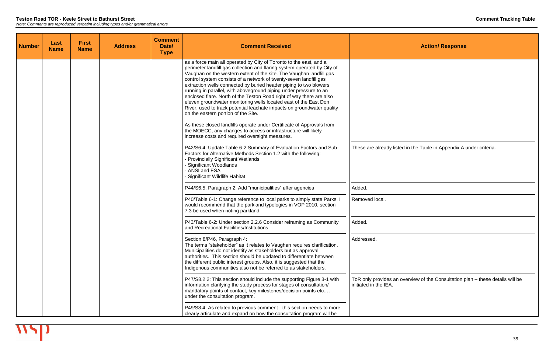| <b>Number</b> | Last<br><b>Name</b> | <b>First</b><br><b>Name</b> | <b>Address</b> | <b>Comment</b><br>Date/<br><b>Type</b> | <b>Comment Received</b>                                                                                                                                                                                                                                                                                                                                                                                                                                                                                                                                                                                                                                                                                                                                                                                                                                                                         |                                                  |
|---------------|---------------------|-----------------------------|----------------|----------------------------------------|-------------------------------------------------------------------------------------------------------------------------------------------------------------------------------------------------------------------------------------------------------------------------------------------------------------------------------------------------------------------------------------------------------------------------------------------------------------------------------------------------------------------------------------------------------------------------------------------------------------------------------------------------------------------------------------------------------------------------------------------------------------------------------------------------------------------------------------------------------------------------------------------------|--------------------------------------------------|
|               |                     |                             |                |                                        | as a force main all operated by City of Toronto to the east, and a<br>perimeter landfill gas collection and flaring system operated by City of<br>Vaughan on the western extent of the site. The Vaughan landfill gas<br>control system consists of a network of twenty-seven landfill gas<br>extraction wells connected by buried header piping to two blowers<br>running in parallel, with aboveground piping under pressure to an<br>enclosed flare. North of the Teston Road right of way there are also<br>eleven groundwater monitoring wells located east of the East Don<br>River, used to track potential leachate impacts on groundwater quality<br>on the eastern portion of the Site.<br>As these closed landfills operate under Certificate of Approvals from<br>the MOECC, any changes to access or infrastructure will likely<br>increase costs and required oversight measures. |                                                  |
|               |                     |                             |                |                                        | P42/S6.4: Update Table 6-2 Summary of Evaluation Factors and Sub-<br>Factors for Alternative Methods Section 1.2 with the following:<br>- Provincially Significant Wetlands<br>- Significant Woodlands<br>- ANSI and ESA<br>Significant Wildlife Habitat                                                                                                                                                                                                                                                                                                                                                                                                                                                                                                                                                                                                                                        | These are already listed                         |
|               |                     |                             |                |                                        | P44/S6.5, Paragraph 2: Add "municipalities" after agencies                                                                                                                                                                                                                                                                                                                                                                                                                                                                                                                                                                                                                                                                                                                                                                                                                                      | Added.                                           |
|               |                     |                             |                |                                        | P40/Table 6-1: Change reference to local parks to simply state Parks. I<br>would recommend that the parkland typologies in VOP 2010, section<br>7.3 be used when noting parkland.                                                                                                                                                                                                                                                                                                                                                                                                                                                                                                                                                                                                                                                                                                               | Removed local.                                   |
|               |                     |                             |                |                                        | P43/Table 6-2: Under section 2.2.6 Consider reframing as Community<br>and Recreational Facilities/Institutions                                                                                                                                                                                                                                                                                                                                                                                                                                                                                                                                                                                                                                                                                                                                                                                  | Added.                                           |
|               |                     |                             |                |                                        | Section 8/P46, Paragraph 4:<br>The terms "stakeholder" as it relates to Vaughan requires clarification.<br>Municipalities do not identify as stakeholders but as approval<br>authorities. This section should be updated to differentiate between<br>the different public interest groups. Also, it is suggested that the<br>Indigenous communities also not be referred to as stakeholders.                                                                                                                                                                                                                                                                                                                                                                                                                                                                                                    | Addressed.                                       |
|               |                     |                             |                |                                        | P47/S8.2.2: This section should include the supporting Figure 3-1 with<br>information clarifying the study process for stages of consultation/<br>mandatory points of contact, key milestones/decision points etc<br>under the consultation program.                                                                                                                                                                                                                                                                                                                                                                                                                                                                                                                                                                                                                                            | ToR only provides an ov<br>initiated in the IEA. |
|               |                     |                             |                |                                        | P49/S8.4: As related to previous comment - this section needs to more<br>clearly articulate and expand on how the consultation program will be                                                                                                                                                                                                                                                                                                                                                                                                                                                                                                                                                                                                                                                                                                                                                  |                                                  |

I in the Table in Appendix A under criteria.

verview of the Consultation plan – these details will be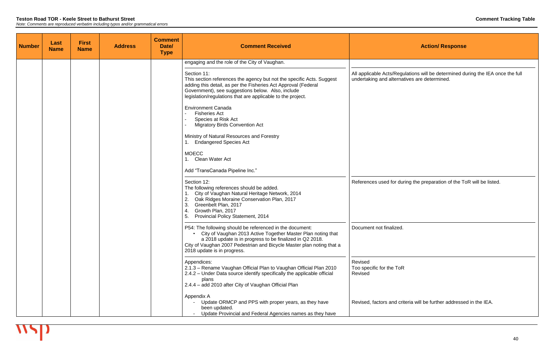| <b>Number</b> | Last<br><b>Name</b> | <b>First</b><br><b>Name</b> | <b>Address</b> | <b>Comment</b><br>Date/<br><b>Type</b> | <b>Comment Received</b>                                                                                                                                                                                                                                                                      |                                                      |
|---------------|---------------------|-----------------------------|----------------|----------------------------------------|----------------------------------------------------------------------------------------------------------------------------------------------------------------------------------------------------------------------------------------------------------------------------------------------|------------------------------------------------------|
|               |                     |                             |                |                                        | engaging and the role of the City of Vaughan.                                                                                                                                                                                                                                                |                                                      |
|               |                     |                             |                |                                        | Section 11:<br>This section references the agency but not the specific Acts. Suggest<br>adding this detail, as per the Fisheries Act Approval (Federal<br>Government), see suggestions below. Also, include<br>legislation/regulations that are applicable to the project.                   | All applicable Acts/Regu<br>undertaking and alternat |
|               |                     |                             |                |                                        | <b>Environment Canada</b><br><b>Fisheries Act</b><br>Species at Risk Act<br>$\overline{\phantom{a}}$<br><b>Migratory Birds Convention Act</b>                                                                                                                                                |                                                      |
|               |                     |                             |                |                                        | Ministry of Natural Resources and Forestry<br><b>Endangered Species Act</b>                                                                                                                                                                                                                  |                                                      |
|               |                     |                             |                |                                        | <b>MOECC</b><br>Clean Water Act                                                                                                                                                                                                                                                              |                                                      |
|               |                     |                             |                |                                        | Add "TransCanada Pipeline Inc."                                                                                                                                                                                                                                                              |                                                      |
|               |                     |                             |                |                                        | Section 12:<br>The following references should be added.<br>City of Vaughan Natural Heritage Network, 2014<br>2.<br>Oak Ridges Moraine Conservation Plan, 2017<br>3.<br>Greenbelt Plan, 2017<br>Growth Plan, 2017<br>4.<br>5.<br><b>Provincial Policy Statement, 2014</b>                    | References used for duri                             |
|               |                     |                             |                |                                        | P54: The following should be referenced in the document:<br>City of Vaughan 2013 Active Together Master Plan noting that<br>a 2018 update is in progress to be finalized in Q2 2018.<br>City of Vaughan 2007 Pedestrian and Bicycle Master plan noting that a<br>2018 update is in progress. | Document not finalized.                              |
|               |                     |                             |                |                                        | Appendices:<br>2.1.3 - Rename Vaughan Official Plan to Vaughan Official Plan 2010<br>2.4.2 – Under Data source identify specifically the applicable official<br>plans<br>2.4.4 - add 2010 after City of Vaughan Official Plan                                                                | Revised<br>Too specific for the ToR<br>Revised       |
|               |                     |                             |                |                                        | Appendix A<br>Update ORMCP and PPS with proper years, as they have<br>been updated.<br>Update Provincial and Federal Agencies names as they have                                                                                                                                             | Revised, factors and crite                           |

 $a$ lations will be determined during the IEA once the full tives are determined.

ring the preparation of the ToR will be listed.

teria will be further addressed in the IEA.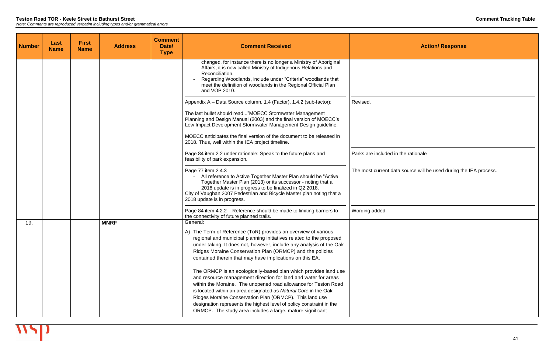| <b>Number</b> | Last<br><b>Name</b> | <b>First</b><br><b>Name</b> | <b>Address</b> | <b>Comment</b><br>Date/<br><b>Type</b> | <b>Comment Received</b>                                                                                                                                                                                                                                                                                                                                                                                                                                                                                                                                                                                                                                                                                                                                         |                           |
|---------------|---------------------|-----------------------------|----------------|----------------------------------------|-----------------------------------------------------------------------------------------------------------------------------------------------------------------------------------------------------------------------------------------------------------------------------------------------------------------------------------------------------------------------------------------------------------------------------------------------------------------------------------------------------------------------------------------------------------------------------------------------------------------------------------------------------------------------------------------------------------------------------------------------------------------|---------------------------|
|               |                     |                             |                |                                        | changed, for instance there is no longer a Ministry of Aboriginal<br>Affairs, it is now called Ministry of Indigenous Relations and<br>Reconciliation.<br>Regarding Woodlands, include under "Criteria" woodlands that<br>meet the definition of woodlands in the Regional Official Plan<br>and VOP 2010.                                                                                                                                                                                                                                                                                                                                                                                                                                                       |                           |
|               |                     |                             |                |                                        | Appendix A - Data Source column, 1.4 (Factor), 1.4.2 (sub-factor):<br>The last bullet should read"MOECC Stormwater Management<br>Planning and Design Manual (2003) and the final version of MOECC's<br>Low Impact Development Stormwater Management Design guideline.<br>MOECC anticipates the final version of the document to be released in<br>2018. Thus, well within the IEA project timeline.                                                                                                                                                                                                                                                                                                                                                             | Revised.                  |
|               |                     |                             |                |                                        | Page 84 item 2.2 under rationale: Speak to the future plans and<br>feasibility of park expansion.                                                                                                                                                                                                                                                                                                                                                                                                                                                                                                                                                                                                                                                               | Parks are included in the |
|               |                     |                             |                |                                        | Page 77 item 2.4.3<br>All reference to Active Together Master Plan should be "Active"<br>Together Master Plan (2013) or its successor - noting that a<br>2018 update is in progress to be finalized in Q2 2018.<br>City of Vaughan 2007 Pedestrian and Bicycle Master plan noting that a<br>2018 update is in progress.                                                                                                                                                                                                                                                                                                                                                                                                                                         | The most current data so  |
|               |                     |                             |                |                                        | Page 84 item 4.2.2 – Reference should be made to limiting barriers to<br>the connectivity of future planned trails.                                                                                                                                                                                                                                                                                                                                                                                                                                                                                                                                                                                                                                             | Wording added.            |
| 19.           |                     |                             | <b>MNRF</b>    |                                        | General:<br>A) The Term of Reference (ToR) provides an overview of various<br>regional and municipal planning initiatives related to the proposed<br>under taking. It does not, however, include any analysis of the Oak<br>Ridges Moraine Conservation Plan (ORMCP) and the policies<br>contained therein that may have implications on this EA.<br>The ORMCP is an ecologically-based plan which provides land use<br>and resource management direction for land and water for areas<br>within the Moraine. The unopened road allowance for Teston Road<br>is located within an area designated as Natural Core in the Oak<br>Ridges Moraine Conservation Plan (ORMCP). This land use<br>designation represents the highest level of policy constraint in the |                           |

ne rationale

source will be used during the IEA process.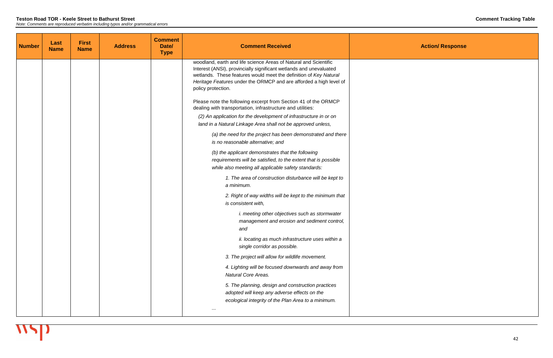| <b>Number</b> | Last<br><b>Name</b> | <b>First</b><br><b>Name</b> | <b>Address</b> | <b>Comment</b><br>Date/<br><b>Type</b> | <b>Comment Received</b>                                                                                                                                                                                                                                                                                 |  |
|---------------|---------------------|-----------------------------|----------------|----------------------------------------|---------------------------------------------------------------------------------------------------------------------------------------------------------------------------------------------------------------------------------------------------------------------------------------------------------|--|
|               |                     |                             |                |                                        | woodland, earth and life science Areas of Natural and Scientific<br>Interest (ANSI), provincially significant wetlands and unevaluated<br>wetlands. These features would meet the definition of Key Natural<br>Heritage Features under the ORMCP and are afforded a high level of<br>policy protection. |  |
|               |                     |                             |                |                                        | Please note the following excerpt from Section 41 of the ORMCP<br>dealing with transportation, infrastructure and utilities:                                                                                                                                                                            |  |
|               |                     |                             |                |                                        | (2) An application for the development of infrastructure in or on<br>land in a Natural Linkage Area shall not be approved unless,                                                                                                                                                                       |  |
|               |                     |                             |                |                                        | (a) the need for the project has been demonstrated and there<br>is no reasonable alternative; and                                                                                                                                                                                                       |  |
|               |                     |                             |                |                                        | (b) the applicant demonstrates that the following<br>requirements will be satisfied, to the extent that is possible<br>while also meeting all applicable safety standards:                                                                                                                              |  |
|               |                     |                             |                |                                        | 1. The area of construction disturbance will be kept to<br>a minimum.                                                                                                                                                                                                                                   |  |
|               |                     |                             |                |                                        | 2. Right of way widths will be kept to the minimum that<br>is consistent with,                                                                                                                                                                                                                          |  |
|               |                     |                             |                |                                        | <i>i. meeting other objectives such as stormwater</i><br>management and erosion and sediment control,<br>and                                                                                                                                                                                            |  |
|               |                     |                             |                |                                        | ii. locating as much infrastructure uses within a<br>single corridor as possible.                                                                                                                                                                                                                       |  |
|               |                     |                             |                |                                        | 3. The project will allow for wildlife movement.                                                                                                                                                                                                                                                        |  |
|               |                     |                             |                |                                        | 4. Lighting will be focused downwards and away from<br><b>Natural Core Areas.</b>                                                                                                                                                                                                                       |  |
|               |                     |                             |                |                                        | 5. The planning, design and construction practices<br>adopted will keep any adverse effects on the<br>ecological integrity of the Plan Area to a minimum.<br>$\cdots$                                                                                                                                   |  |
|               |                     |                             |                |                                        |                                                                                                                                                                                                                                                                                                         |  |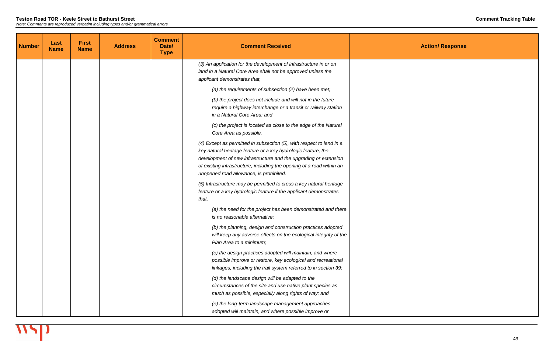| <b>Number</b> | Last<br><b>Name</b> | <b>First</b><br><b>Name</b> | <b>Address</b> | <b>Comment</b><br>Date/<br><b>Type</b> | <b>Comment Received</b>                                                                                                                                                                                                                                                                                                       |  |
|---------------|---------------------|-----------------------------|----------------|----------------------------------------|-------------------------------------------------------------------------------------------------------------------------------------------------------------------------------------------------------------------------------------------------------------------------------------------------------------------------------|--|
|               |                     |                             |                |                                        | (3) An application for the development of infrastructure in or on<br>land in a Natural Core Area shall not be approved unless the<br>applicant demonstrates that,                                                                                                                                                             |  |
|               |                     |                             |                |                                        | (a) the requirements of subsection (2) have been met;                                                                                                                                                                                                                                                                         |  |
|               |                     |                             |                |                                        | (b) the project does not include and will not in the future<br>require a highway interchange or a transit or railway station<br>in a Natural Core Area; and                                                                                                                                                                   |  |
|               |                     |                             |                |                                        | (c) the project is located as close to the edge of the Natural<br>Core Area as possible.                                                                                                                                                                                                                                      |  |
|               |                     |                             |                |                                        | (4) Except as permitted in subsection (5), with respect to land in a<br>key natural heritage feature or a key hydrologic feature, the<br>development of new infrastructure and the upgrading or extension<br>of existing infrastructure, including the opening of a road within an<br>unopened road allowance, is prohibited. |  |
|               |                     |                             |                |                                        | (5) Infrastructure may be permitted to cross a key natural heritage<br>feature or a key hydrologic feature if the applicant demonstrates<br>that,                                                                                                                                                                             |  |
|               |                     |                             |                |                                        | (a) the need for the project has been demonstrated and there<br>is no reasonable alternative;                                                                                                                                                                                                                                 |  |
|               |                     |                             |                |                                        | (b) the planning, design and construction practices adopted<br>will keep any adverse effects on the ecological integrity of the<br>Plan Area to a minimum;                                                                                                                                                                    |  |
|               |                     |                             |                |                                        | (c) the design practices adopted will maintain, and where<br>possible improve or restore, key ecological and recreational<br>linkages, including the trail system referred to in section 39;                                                                                                                                  |  |
|               |                     |                             |                |                                        | (d) the landscape design will be adapted to the<br>circumstances of the site and use native plant species as<br>much as possible, especially along rights of way; and                                                                                                                                                         |  |
|               |                     |                             |                |                                        | (e) the long-term landscape management approaches<br>adopted will maintain, and where possible improve or                                                                                                                                                                                                                     |  |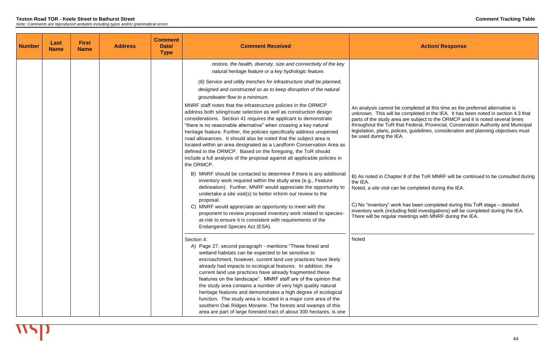nas been completed during this ToR stage – detailed inventory work (including field investigations) will be completed during the IEA. There will be regular meetings with MNRF during the IEA.

| <b>Number</b> | Last<br><b>Name</b> | <b>First</b><br><b>Name</b> | <b>Address</b> | <b>Comment</b><br>Date/<br><b>Type</b> | <b>Comment Received</b>                                                                                                                                                                                                                                                                                                                                                                                                                                                                                                                                                                                                                                                                                                                                                                                                         |                                                                                                                                                                        |
|---------------|---------------------|-----------------------------|----------------|----------------------------------------|---------------------------------------------------------------------------------------------------------------------------------------------------------------------------------------------------------------------------------------------------------------------------------------------------------------------------------------------------------------------------------------------------------------------------------------------------------------------------------------------------------------------------------------------------------------------------------------------------------------------------------------------------------------------------------------------------------------------------------------------------------------------------------------------------------------------------------|------------------------------------------------------------------------------------------------------------------------------------------------------------------------|
|               |                     |                             |                |                                        | restore, the health, diversity, size and connectivity of the key<br>natural heritage feature or a key hydrologic feature.                                                                                                                                                                                                                                                                                                                                                                                                                                                                                                                                                                                                                                                                                                       |                                                                                                                                                                        |
|               |                     |                             |                |                                        | (6) Service and utility trenches for infrastructure shall be planned,<br>designed and constructed so as to keep disruption of the natural<br>groundwater flow to a minimum.<br>MNRF staff notes that the infrastructure policies in the ORMCP<br>address both siting/route selection as well as construction design<br>considerations. Section 41 requires the applicant to demonstrate<br>"there is no reasonable alternative" when crossing a key natural<br>heritage feature. Further, the policies specifically address unopened<br>road allowances. It should also be noted that the subject area is<br>located within an area designated as a Landform Conservation Area as<br>defined in the ORMCP. Based on the foregoing, the ToR should<br>include a full analysis of the proposal against all applicable policies in | An analysis cannot be co<br>unknown. This will be co<br>parts of the study area a<br>throughout the ToR that<br>legislation, plans, polices<br>be used during the IEA. |
|               |                     |                             |                |                                        | the ORMCP.<br>B) MNRF should be contacted to determine if there is any additional<br>inventory work required within the study area (e.g., Feature<br>delineation). Further, MNRF would appreciate the opportunity to<br>undertake a site visit(s) to better inform our review to the<br>proposal.<br>C) MNRF would appreciate an opportunity to meet with the<br>proponent to review proposed inventory work related to species-<br>at-risk to ensure it is consistent with requirements of the<br>Endangered Species Act (ESA).                                                                                                                                                                                                                                                                                                | B) As noted in Chapter 8<br>the IEA.<br>Noted, a site visit can be<br>C) No "inventory" work h<br>inventory work (including<br>There will be regular me                |
|               |                     |                             |                |                                        | Section 4:<br>A) Page 27, second paragraph - mentions "These forest and<br>wetland habitats can be expected to be sensitive to<br>encroachment, however, current land use practices have likely<br>already had impacts to ecological features. In addition, the<br>current land use practices have already fragmented these<br>features on the landscape". MNRF staff are of the opinion that<br>the study area contains a number of very high quality natural<br>heritage features and demonstrates a high degree of ecological<br>function. The study area is located in a major core area of the<br>southern Oak Ridges Moraine. The forests and swamps of this<br>area are part of large forested tract of about 300 hectares, is one                                                                                       | Noted                                                                                                                                                                  |

#### **Action/ Response**

ompleted at this time as the preferred alternative is empressed in the line and the presence incommence of the opportunity of the opportunity of the completed in section 4.3 that are subject to the ORMCP and it is noted several times Federal, Provincial, Conservation Authority and Municipal s, guidelines, consideration and planning objectives must

of the ToR MNRF will be continued to be consulted during

completed during the IEA.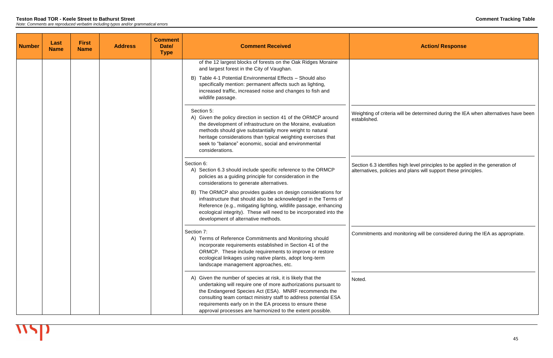| <b>Number</b> | Last<br><b>Name</b> | <b>First</b><br><b>Name</b> | <b>Address</b> | <b>Comment</b><br>Date/<br><b>Type</b> | <b>Comment Received</b>                                                                                                                                                                                                                                                                                                                                                              |                                                          |
|---------------|---------------------|-----------------------------|----------------|----------------------------------------|--------------------------------------------------------------------------------------------------------------------------------------------------------------------------------------------------------------------------------------------------------------------------------------------------------------------------------------------------------------------------------------|----------------------------------------------------------|
|               |                     |                             |                |                                        | of the 12 largest blocks of forests on the Oak Ridges Moraine<br>and largest forest in the City of Vaughan.<br>B) Table 4-1 Potential Environmental Effects - Should also<br>specifically mention: permanent affects such as lighting,<br>increased traffic, increased noise and changes to fish and<br>wildlife passage.                                                            |                                                          |
|               |                     |                             |                |                                        | Section 5:<br>A) Given the policy direction in section 41 of the ORMCP around<br>the development of infrastructure on the Moraine, evaluation<br>methods should give substantially more weight to natural<br>heritage considerations than typical weighting exercises that<br>seek to "balance" economic, social and environmental<br>considerations.                                | Weighting of criteria will<br>established.               |
|               |                     |                             |                |                                        | Section 6:<br>A) Section 6.3 should include specific reference to the ORMCP<br>policies as a guiding principle for consideration in the<br>considerations to generate alternatives.                                                                                                                                                                                                  | Section 6.3 identifies hig<br>alternatives, policies and |
|               |                     |                             |                |                                        | B) The ORMCP also provides guides on design considerations for<br>infrastructure that should also be acknowledged in the Terms of<br>Reference (e.g., mitigating lighting, wildlife passage, enhancing<br>ecological integrity). These will need to be incorporated into the<br>development of alternative methods.                                                                  |                                                          |
|               |                     |                             |                |                                        | Section 7:<br>A) Terms of Reference Commitments and Monitoring should<br>incorporate requirements established in Section 41 of the<br>ORMCP. These include requirements to improve or restore<br>ecological linkages using native plants, adopt long-term<br>landscape management approaches, etc.                                                                                   | Commitments and monit                                    |
|               |                     |                             |                |                                        | A) Given the number of species at risk, it is likely that the<br>undertaking will require one of more authorizations pursuant to<br>the Endangered Species Act (ESA). MNRF recommends the<br>consulting team contact ministry staff to address potential ESA<br>requirements early on in the EA process to ensure these<br>approval processes are harmonized to the extent possible. | Noted.                                                   |

be determined during the IEA when alternatives have been

Section 6.3 identifies high level principles to be applied in the generation of alternatives, policies and plans will support these principles.

itoring will be considered during the IEA as appropriate.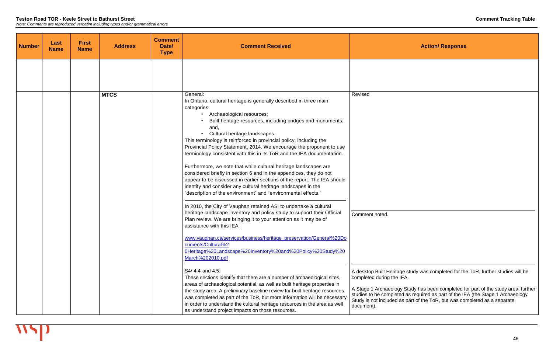#### **Teston Road TOR - Keele Street to Bathurst Street Comment Tracking Table**

*Note: Comments are reproduced verbatim including typos and/or grammatical errors*

| <b>Number</b> | Last<br><b>Name</b> | <b>First</b><br><b>Name</b> | <b>Address</b> | <b>Comment</b><br>Date/<br><b>Type</b> | <b>Comment Received</b>                                                                                                                                                                                                                                                                                                                                                                                                                                                                                                                                                                                                                                                                                                                                                                                                                                                                                          |                                                                                                   |
|---------------|---------------------|-----------------------------|----------------|----------------------------------------|------------------------------------------------------------------------------------------------------------------------------------------------------------------------------------------------------------------------------------------------------------------------------------------------------------------------------------------------------------------------------------------------------------------------------------------------------------------------------------------------------------------------------------------------------------------------------------------------------------------------------------------------------------------------------------------------------------------------------------------------------------------------------------------------------------------------------------------------------------------------------------------------------------------|---------------------------------------------------------------------------------------------------|
|               |                     |                             |                |                                        |                                                                                                                                                                                                                                                                                                                                                                                                                                                                                                                                                                                                                                                                                                                                                                                                                                                                                                                  |                                                                                                   |
|               |                     |                             | <b>MTCS</b>    |                                        | General:<br>In Ontario, cultural heritage is generally described in three main<br>categories:<br>Archaeological resources;<br>$\bullet$<br>Built heritage resources, including bridges and monuments;<br>and,<br>Cultural heritage landscapes.<br>$\bullet$<br>This terminology is reinforced in provincial policy, including the<br>Provincial Policy Statement, 2014. We encourage the proponent to use<br>terminology consistent with this in its ToR and the IEA documentation.<br>Furthermore, we note that while cultural heritage landscapes are<br>considered briefly in section 6 and in the appendices, they do not<br>appear to be discussed in earlier sections of the report. The IEA should<br>identify and consider any cultural heritage landscapes in the<br>"description of the environment" and "environmental effects."<br>In 2010, the City of Vaughan retained ASI to undertake a cultural | Revised                                                                                           |
|               |                     |                             |                |                                        | heritage landscape inventory and policy study to support their Official<br>Plan review. We are bringing it to your attention as it may be of<br>assistance with this IEA.<br>www.vaughan.ca/services/business/heritage preservation/General%20Do<br>cuments/Cultural%2<br>0Heritage%20Landscape%20Inventory%20and%20Policy%20Study%20<br>March%202010.pdf<br>S4/4.4 and 4.5:<br>These sections identify that there are a number of archaeological sites,                                                                                                                                                                                                                                                                                                                                                                                                                                                         | Comment noted.<br>A desktop Built Heritage s<br>completed during the IEA.                         |
|               |                     |                             |                |                                        | areas of archaeological potential, as well as built heritage properties in<br>the study area. A preliminary baseline review for built heritage resources<br>was completed as part of the ToR, but more information will be necessary<br>in order to understand the cultural heritage resources in the area as well<br>as understand project impacts on those resources.                                                                                                                                                                                                                                                                                                                                                                                                                                                                                                                                          | A Stage 1 Archaeology St<br>studies to be completed a<br>Study is not included as p<br>document). |

**Action/ Response** 

study was completed for the ToR, further studies will be

A Stage 1 Archaeology Study has been completed for part of the study area, further studies to be completed as required as part of the IEA (the Stage 1 Archaeology Study is not included as part of the ToR, but was completed as a separate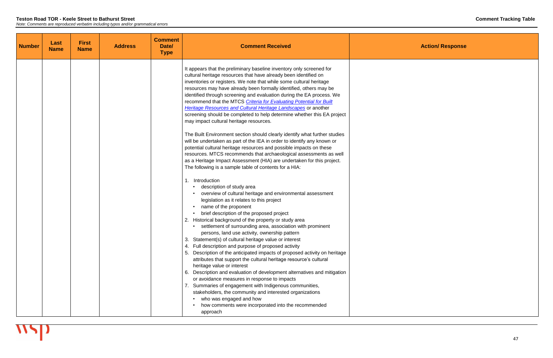| <b>Number</b> | Last<br><b>Name</b> | <b>First</b><br><b>Name</b> | <b>Address</b> | <b>Comment</b><br>Date/<br><b>Type</b> | <b>Comment Received</b>                                                                                                                                                                                                                                                                                                                                                                                                                                                                                                                                                                                                                                                                                                                                                                                                                                                                                                                                                                                                                                                                                                                                                                                                                                                                                                                                                                                                                                                                                                                                                                                                                                                                                                                                                                                                                                                                                                                                                                                                                                                                                                                  |  |
|---------------|---------------------|-----------------------------|----------------|----------------------------------------|------------------------------------------------------------------------------------------------------------------------------------------------------------------------------------------------------------------------------------------------------------------------------------------------------------------------------------------------------------------------------------------------------------------------------------------------------------------------------------------------------------------------------------------------------------------------------------------------------------------------------------------------------------------------------------------------------------------------------------------------------------------------------------------------------------------------------------------------------------------------------------------------------------------------------------------------------------------------------------------------------------------------------------------------------------------------------------------------------------------------------------------------------------------------------------------------------------------------------------------------------------------------------------------------------------------------------------------------------------------------------------------------------------------------------------------------------------------------------------------------------------------------------------------------------------------------------------------------------------------------------------------------------------------------------------------------------------------------------------------------------------------------------------------------------------------------------------------------------------------------------------------------------------------------------------------------------------------------------------------------------------------------------------------------------------------------------------------------------------------------------------------|--|
|               |                     |                             |                |                                        | It appears that the preliminary baseline inventory only screened for<br>cultural heritage resources that have already been identified on<br>inventories or registers. We note that while some cultural heritage<br>resources may have already been formally identified, others may be<br>identified through screening and evaluation during the EA process. We<br>recommend that the MTCS Criteria for Evaluating Potential for Built<br>Heritage Resources and Cultural Heritage Landscapes or another<br>screening should be completed to help determine whether this EA project<br>may impact cultural heritage resources.<br>The Built Environment section should clearly identify what further studies<br>will be undertaken as part of the IEA in order to identify any known or<br>potential cultural heritage resources and possible impacts on these<br>resources. MTCS recommends that archaeological assessments as well<br>as a Heritage Impact Assessment (HIA) are undertaken for this project.<br>The following is a sample table of contents for a HIA:<br>1. Introduction<br>description of study area<br>overview of cultural heritage and environmental assessment<br>legislation as it relates to this project<br>name of the proponent<br>brief description of the proposed project<br>Historical background of the property or study area<br>2.<br>settlement of surrounding area, association with prominent<br>persons, land use activity, ownership pattern<br>Statement(s) of cultural heritage value or interest<br>Full description and purpose of proposed activity<br>4.<br>Description of the anticipated impacts of proposed activity on heritage<br>attributes that support the cultural heritage resource's cultural<br>heritage value or interest<br>Description and evaluation of development alternatives and mitigation<br>6.<br>or avoidance measures in response to impacts<br>7. Summaries of engagement with Indigenous communities,<br>stakeholders, the community and interested organizations<br>who was engaged and how<br>how comments were incorporated into the recommended<br>approach |  |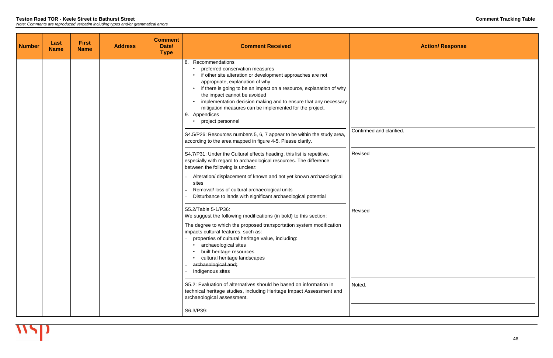| <b>Number</b> | Last<br><b>Name</b> | <b>First</b><br><b>Name</b> | <b>Address</b> | <b>Comment</b><br>Date/<br><b>Type</b> | <b>Comment Received</b>                                                                                                                                                                                                                                                                                                                                                                                                                            |                          |
|---------------|---------------------|-----------------------------|----------------|----------------------------------------|----------------------------------------------------------------------------------------------------------------------------------------------------------------------------------------------------------------------------------------------------------------------------------------------------------------------------------------------------------------------------------------------------------------------------------------------------|--------------------------|
|               |                     |                             |                |                                        | Recommendations<br>8.<br>preferred conservation measures<br>if other site alteration or development approaches are not<br>appropriate, explanation of why<br>if there is going to be an impact on a resource, explanation of why<br>the impact cannot be avoided<br>implementation decision making and to ensure that any necessary<br>mitigation measures can be implemented for the project.<br>9. Appendices<br>project personnel               |                          |
|               |                     |                             |                |                                        | S4.5/P26: Resources numbers 5, 6, 7 appear to be within the study area,<br>according to the area mapped in figure 4-5. Please clarify.                                                                                                                                                                                                                                                                                                             | Confirmed and clarified. |
|               |                     |                             |                |                                        | S4.7/P31: Under the Cultural effects heading, this list is repetitive,<br>especially with regard to archaeological resources. The difference<br>between the following is unclear:                                                                                                                                                                                                                                                                  | Revised                  |
|               |                     |                             |                |                                        | Alteration/ displacement of known and not yet known archaeological<br>sites<br>Removal/ loss of cultural archaeological units<br>Disturbance to lands with significant archaeological potential                                                                                                                                                                                                                                                    |                          |
|               |                     |                             |                |                                        | S5.2/Table 5-1/P36:<br>We suggest the following modifications (in bold) to this section:<br>The degree to which the proposed transportation system modification<br>impacts cultural features, such as:<br>properties of cultural heritage value, including:<br>archaeological sites<br>built heritage resources<br>cultural heritage landscapes<br>archaeological and;<br>$\overline{\phantom{0}}$<br>Indigenous sites<br>$\overline{\phantom{0}}$ | Revised                  |
|               |                     |                             |                |                                        | S5.2: Evaluation of alternatives should be based on information in<br>technical heritage studies, including Heritage Impact Assessment and<br>archaeological assessment.                                                                                                                                                                                                                                                                           | Noted.                   |
|               |                     |                             |                |                                        | S6.3/P39:                                                                                                                                                                                                                                                                                                                                                                                                                                          |                          |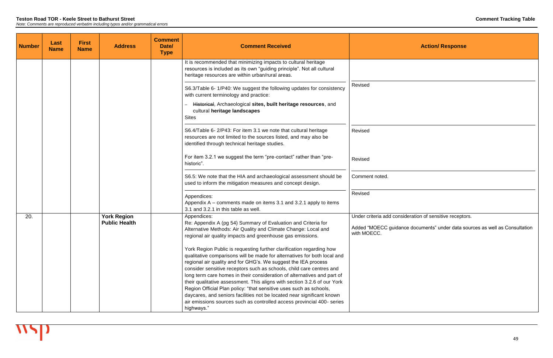| <b>Number</b> | Last<br><b>Name</b> | <b>First</b><br><b>Name</b> | <b>Address</b>                             | <b>Comment</b><br>Date/<br><b>Type</b> | <b>Comment Received</b>                                                                                                                                                                                                                                                                                                                                                                                                                           |                                                                |
|---------------|---------------------|-----------------------------|--------------------------------------------|----------------------------------------|---------------------------------------------------------------------------------------------------------------------------------------------------------------------------------------------------------------------------------------------------------------------------------------------------------------------------------------------------------------------------------------------------------------------------------------------------|----------------------------------------------------------------|
|               |                     |                             |                                            |                                        | It is recommended that minimizing impacts to cultural heritage<br>resources is included as its own "guiding principle". Not all cultural<br>heritage resources are within urban/rural areas.                                                                                                                                                                                                                                                      |                                                                |
|               |                     |                             |                                            |                                        | S6.3/Table 6-1/P40: We suggest the following updates for consistency<br>with current terminology and practice:                                                                                                                                                                                                                                                                                                                                    | Revised                                                        |
|               |                     |                             |                                            |                                        | Historical, Archaeological sites, built heritage resources, and<br>cultural heritage landscapes<br><b>Sites</b>                                                                                                                                                                                                                                                                                                                                   |                                                                |
|               |                     |                             |                                            |                                        | S6.4/Table 6-2/P43: For item 3.1 we note that cultural heritage<br>resources are not limited to the sources listed, and may also be<br>identified through technical heritage studies.                                                                                                                                                                                                                                                             | Revised                                                        |
|               |                     |                             |                                            |                                        | For item 3.2.1 we suggest the term "pre-contact" rather than "pre-<br>historic".                                                                                                                                                                                                                                                                                                                                                                  | Revised                                                        |
|               |                     |                             |                                            |                                        | S6.5: We note that the HIA and archaeological assessment should be<br>used to inform the mitigation measures and concept design.                                                                                                                                                                                                                                                                                                                  | Comment noted.                                                 |
|               |                     |                             |                                            |                                        | Appendices:<br>Appendix $A -$ comments made on items 3.1 and 3.2.1 apply to items<br>3.1 and 3.2.1 in this table as well.                                                                                                                                                                                                                                                                                                                         | Revised                                                        |
| 20.           |                     |                             | <b>York Region</b><br><b>Public Health</b> |                                        | Appendices:<br>Re: Appendix A (pg 54) Summary of Evaluation and Criteria for<br>Alternative Methods: Air Quality and Climate Change: Local and<br>regional air quality impacts and greenhouse gas emissions.                                                                                                                                                                                                                                      | Under criteria add consi<br>Added "MOECC guidan<br>with MOECC. |
|               |                     |                             |                                            |                                        | York Region Public is requesting further clarification regarding how<br>qualitative comparisons will be made for alternatives for both local and<br>regional air quality and for GHG's. We suggest the IEA process<br>consider sensitive receptors such as schools, child care centres and<br>long term care homes in their consideration of alternatives and part of<br>their qualitative assessment. This aligns with section 3.2.6 of our York |                                                                |
|               |                     |                             |                                            |                                        | Region Official Plan policy: "that sensitive uses such as schools,<br>daycares, and seniors facilities not be located near significant known<br>air emissions sources such as controlled access provincial 400- series<br>highways."                                                                                                                                                                                                              |                                                                |

ideration of sensitive receptors.

nce documents" under data sources as well as Consultation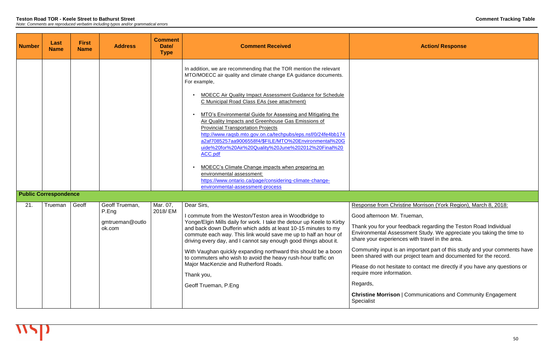edback regarding the Teston Road Individual Environmental Assessment Study. We appreciate you taking the time to share your experiences with travel in the area.

| <b>Number</b> | Last<br><b>Name</b>          | <b>First</b><br><b>Name</b> | <b>Address</b>                                       | <b>Comment</b><br>Date/<br><b>Type</b> | <b>Comment Received</b>                                                                                                                                                                                                                                                                                                                                                                                                                                                                                                                                                                                                                                                                                                                                                                                               |                                                                                                                                                                                                                                                                                                            |
|---------------|------------------------------|-----------------------------|------------------------------------------------------|----------------------------------------|-----------------------------------------------------------------------------------------------------------------------------------------------------------------------------------------------------------------------------------------------------------------------------------------------------------------------------------------------------------------------------------------------------------------------------------------------------------------------------------------------------------------------------------------------------------------------------------------------------------------------------------------------------------------------------------------------------------------------------------------------------------------------------------------------------------------------|------------------------------------------------------------------------------------------------------------------------------------------------------------------------------------------------------------------------------------------------------------------------------------------------------------|
|               | <b>Public Correspondence</b> |                             |                                                      |                                        | In addition, we are recommending that the TOR mention the relevant<br>MTO/MOECC air quality and climate change EA guidance documents.<br>For example,<br><b>MOECC Air Quality Impact Assessment Guidance for Schedule</b><br>C Municipal Road Class EAs (see attachment)<br>MTO's Environmental Guide for Assessing and Mitigating the<br>Air Quality Impacts and Greenhouse Gas Emissions of<br><b>Provincial Transportation Projects</b><br>http://www.ragsb.mto.gov.on.ca/techpubs/eps.nsf/0/24fe4bb174<br>a2af7085257aa9006558f4/\$FILE/MTO%20Environmental%20G<br>uide%20for%20Air%20Quality%20June%202012%20Final%20<br>ACC.pdf<br>MOECC's Climate Change impacts when preparing an<br>environmental assessment:<br>https://www.ontario.ca/page/considering-climate-change-<br>environmental-assessment-process |                                                                                                                                                                                                                                                                                                            |
| 21.           | Trueman                      | Geoff                       | Geoff Trueman,<br>P.Eng<br>gmtrueman@outlo<br>ok.com | Mar. 07,<br>2018/EM                    | Dear Sirs,<br>commute from the Weston/Teston area in Woodbridge to<br>Yonge/Elgin Mills daily for work. I take the detour up Keele to Kirby<br>and back down Dufferin which adds at least 10-15 minutes to my<br>commute each way. This link would save me up to half an hour of<br>driving every day, and I cannot say enough good things about it.<br>With Vaughan quickly expanding northward this should be a boon<br>to commuters who wish to avoid the heavy rush-hour traffic on<br>Major MacKenzie and Rutherford Roads.<br>Thank you,<br>Geoff Trueman, P.Eng                                                                                                                                                                                                                                                | <b>Response from Christ</b><br>Good afternoon Mr. T<br>Thank you for your fee<br><b>Environmental Assess</b><br>share your experience<br>Community input is ar<br>been shared with our<br>Please do not hesitate<br>require more informati<br>Regards,<br><b>Christine Morrison  </b><br><b>Specialist</b> |

## **Action/ Response**

## tine Morrison (York Region), March 8, 2018:

rueman,

Community input is an important part of this study and your comments have been shared with our project team and documented for the record.

> e to contact me directly if you have any questions or tion.

**Communications and Community Engagement**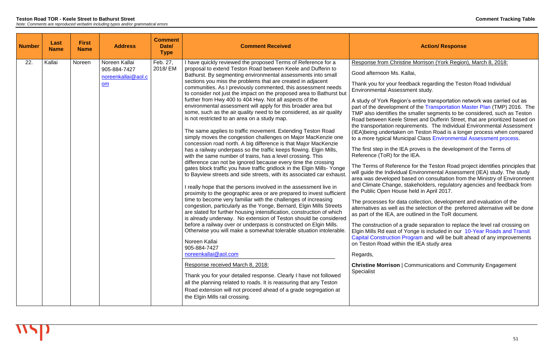| Feb. 27,<br>22.<br>Kallai<br>Noreen Kallai<br>I have quickly reviewed the proposed Terms of Reference for a<br>Noreen                                                                                                                                                                                                                                                                                                                                                                                                                                                                                                                                                                                                                                                                                                                                                                                                                                                                                                                                                                                                                                                                                                                                                                                                                                                                                                                                                                                                                                                                                                                                                                                                                                                                                                                                                                                                                                                                                                                                                                                                                                              | <b>Response from Christir</b>                                                                                                                                                                                                                                                                                                                                                                                                                                                                                                                                                                                                                                                                              |
|--------------------------------------------------------------------------------------------------------------------------------------------------------------------------------------------------------------------------------------------------------------------------------------------------------------------------------------------------------------------------------------------------------------------------------------------------------------------------------------------------------------------------------------------------------------------------------------------------------------------------------------------------------------------------------------------------------------------------------------------------------------------------------------------------------------------------------------------------------------------------------------------------------------------------------------------------------------------------------------------------------------------------------------------------------------------------------------------------------------------------------------------------------------------------------------------------------------------------------------------------------------------------------------------------------------------------------------------------------------------------------------------------------------------------------------------------------------------------------------------------------------------------------------------------------------------------------------------------------------------------------------------------------------------------------------------------------------------------------------------------------------------------------------------------------------------------------------------------------------------------------------------------------------------------------------------------------------------------------------------------------------------------------------------------------------------------------------------------------------------------------------------------------------------|------------------------------------------------------------------------------------------------------------------------------------------------------------------------------------------------------------------------------------------------------------------------------------------------------------------------------------------------------------------------------------------------------------------------------------------------------------------------------------------------------------------------------------------------------------------------------------------------------------------------------------------------------------------------------------------------------------|
| 2018/ EM<br>proposal to extend Teston Road between Keele and Dufferin to<br>905-884-7427<br>Bathurst. By segmenting environmental assessments into small<br>noreenkallai@aol.c<br>sections you miss the problems that are created in adjacent<br>om<br>communities. As I previously commented, this assessment needs<br>to consider not just the impact on the proposed area to Bathurst but<br>further from Hwy 400 to 404 Hwy. Not all aspects of the<br>environmental assessment will apply for this broader area but<br>some, such as the air quality need to be considered, as air quality<br>is not restricted to an area on a study map.<br>The same applies to traffic movement. Extending Teston Road<br>simply moves the congestion challenges on Major MacKenzie one<br>concession road north. A big difference is that Major MacKenzie<br>has a railway underpass so the traffic keeps flowing. Elgin Mills,<br>with the same number of trains, has a level crossing. This<br>difference can not be ignored because every time the crossing<br>gates block traffic you have traffic gridlock in the Elgin Mills-Yonge<br>to Bayview streets and side streets, with its associated car exhaust.<br>I really hope that the persons involved in the assessment live in<br>proximity to the geographic area or are prepared to invest sufficient<br>time to become very familiar with the challenges of increasing<br>congestion, particularly as the Yonge, Bernard, Elgin Mills Streets<br>are slated for further housing intensification, construction of which<br>is already underway. No extension of Teston should be considered<br>before a railway over or underpass is constructed on Elgin Mills.<br>Otherwise you will make a somewhat tolerable situation intolerable.<br>Noreen Kallai<br>905-884-7427<br>noreenkallai@aol.com<br>Regards,<br>Response received March 8, 2018:<br>Specialist<br>Thank you for your detailed response. Clearly I have not followed<br>all the planning related to roads. It is reassuring that any Teston<br>Road extension will not proceed ahead of a grade segregation at<br>the Elgin Mills rail crossing. | Good afternoon Ms. Ka<br>Thank you for your feed<br><b>Environmental Assessr</b><br>A study of York Region<br>part of the developmen<br>TMP also identifies the<br>Road between Keele S<br>the transportation requi<br>(IEA) being undertaken<br>to a more typical Munic<br>The first step in the IEA<br>Reference (ToR) for the<br>The Terms of Referenc<br>will guide the Individual<br>area was developed ba<br>and Climate Change, st<br>the Public Open House<br>The processes for data<br>alternatives as well as t<br>as part of the IEA, are of<br>The construction of a g<br>Elgin Mills Rd east of Y<br><b>Capital Construction Pr</b><br>on Teston Road within<br><b>Christine Morrison   C</b> |

#### Response Morrison (York Region), March 8, 2018:

allai,

dback regarding the Teston Road Individual ment study.

's entire transportation network was carried out as nt of the [Transportation Master Plan](http://www.york.ca/wps/portal/yorkhome/yorkregion/yr/plansreportsandstrategies/transportationmasterplan/) (TMP) 2016. The smaller segments to be considered, such as Teston Street and Dufferin Street, that are prioritized based on irements. The Individual Environmental Assessment on Teston Road is a longer process when compared tipal Class [Environmental Assessment process.](http://www.york.ca/wps/portal/yorkhome/environment/yr/environmentalassessmentstudy/)

proves is the development of the Terms of e IEA.

te for the Teston Road project identifies principles that I Environmental Assessment (IEA) study. The study ased on consultation from the Ministry of Environment takeholders, regulatory agencies and feedback from  $h$  held in April 2017.

collection, development and evaluation of the the selection of the preferred alternative will be done outlined in the ToR document.

rade separation to replace the level rail crossing on Yonge is included in our 10-Year Roads and Transit rogram and will be built ahead of any improvements the IEA study area

**Communications and Community Engagement**